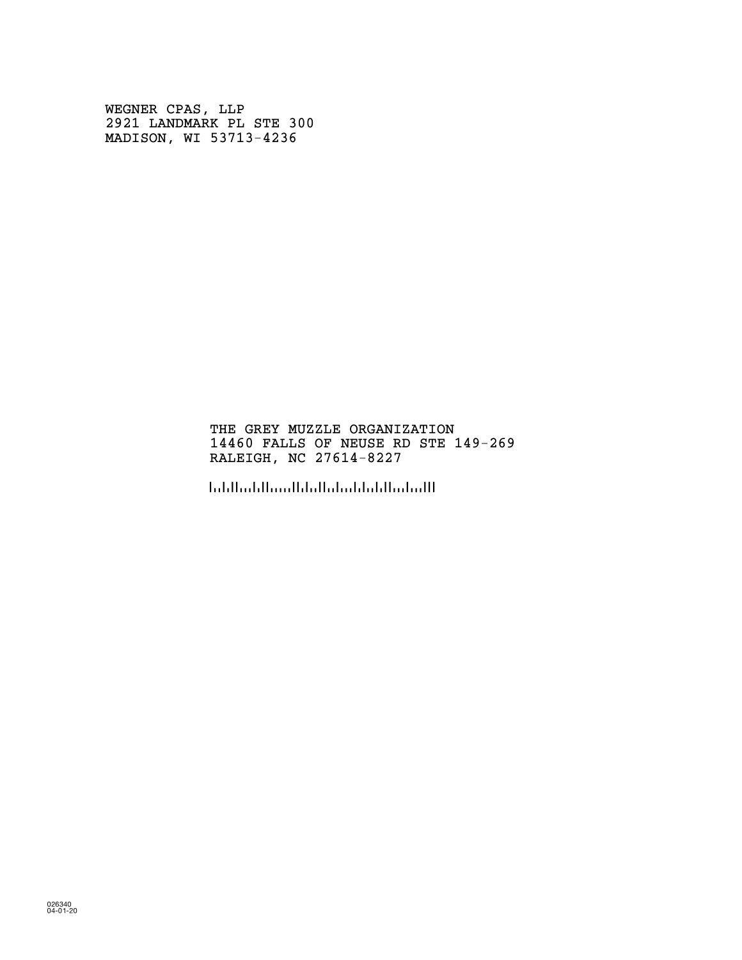WEGNER CPAS, LLP 2921 LANDMARK PL STE 300 MADISON, WI 53713-4236

## THE GREY MUZZLE ORGANIZATION 14460 FALLS OF NEUSE RD STE 149-269 RALEIGH, NC 27614-8227

!2761482271!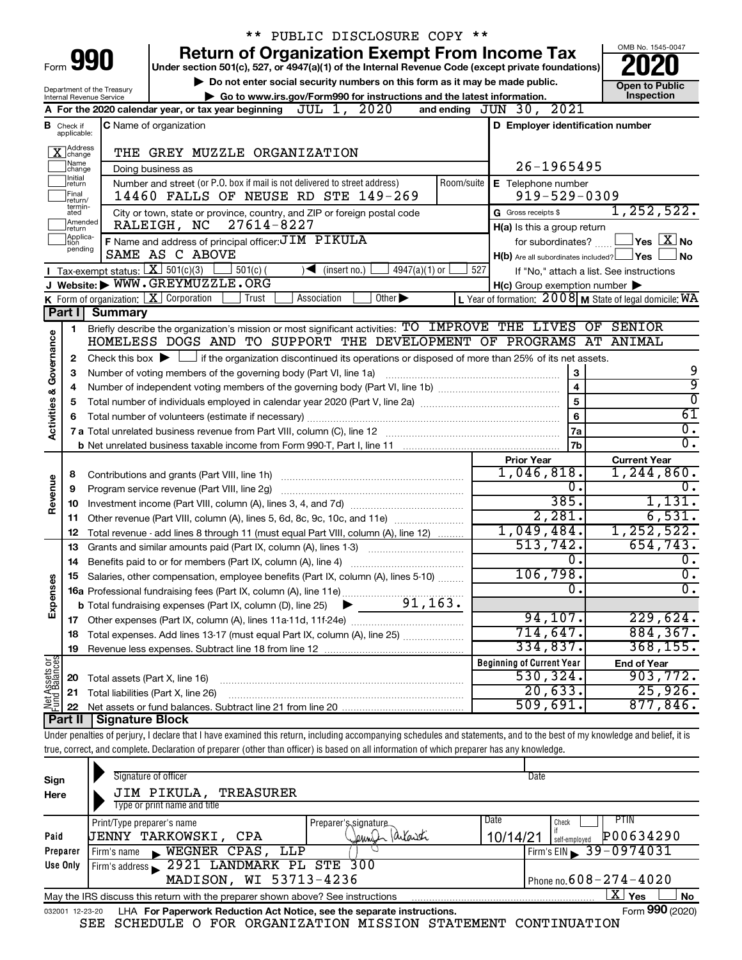|                            |                                         |                                | ** PUBLIC DISCLOSURE COPY **                                                                                                                                               |                                                     |                    |                                                                        |  |
|----------------------------|-----------------------------------------|--------------------------------|----------------------------------------------------------------------------------------------------------------------------------------------------------------------------|-----------------------------------------------------|--------------------|------------------------------------------------------------------------|--|
|                            |                                         |                                | <b>Return of Organization Exempt From Income Tax</b>                                                                                                                       |                                                     |                    | OMB No. 1545-0047                                                      |  |
| Form 990                   |                                         |                                | Under section 501(c), 527, or 4947(a)(1) of the Internal Revenue Code (except private foundations)                                                                         |                                                     |                    |                                                                        |  |
| Department of the Treasury |                                         |                                | Do not enter social security numbers on this form as it may be made public.                                                                                                |                                                     |                    | <b>Open to Public</b>                                                  |  |
|                            |                                         | Internal Revenue Service       | Go to www.irs.gov/Form990 for instructions and the latest information.                                                                                                     |                                                     |                    | Inspection                                                             |  |
|                            |                                         |                                | JUL 1, 2020<br>A For the 2020 calendar year, or tax year beginning                                                                                                         | and ending JUN 30, 2021                             |                    |                                                                        |  |
|                            | <b>B</b> Check if applicable:           |                                | <b>C</b> Name of organization                                                                                                                                              | D Employer identification number                    |                    |                                                                        |  |
|                            | X Address                               |                                | THE GREY MUZZLE ORGANIZATION                                                                                                                                               |                                                     |                    |                                                                        |  |
|                            | ]Name<br>]change                        |                                | Doing business as                                                                                                                                                          |                                                     | 26-1965495         |                                                                        |  |
|                            | Initial<br> return<br> Final<br>return/ |                                | Number and street (or P.O. box if mail is not delivered to street address)<br>Room/suite<br>14460 FALLS OF NEUSE RD STE 149-269                                            | E Telephone number                                  | $919 - 529 - 0309$ |                                                                        |  |
|                            | termin-<br>ated                         |                                | City or town, state or province, country, and ZIP or foreign postal code                                                                                                   | G Gross receipts \$                                 |                    | 1, 252, 522.                                                           |  |
|                            | Amended<br>Ireturn                      |                                | 27614-8227<br>RALEIGH, NC                                                                                                                                                  | H(a) Is this a group return                         |                    |                                                                        |  |
|                            | Applica-<br>tion                        |                                | F Name and address of principal officer: JIM PIKULA                                                                                                                        | for subordinates?                                   |                    | $\Box$ Yes $\Box$ No                                                   |  |
|                            | pending                                 |                                | SAME AS C ABOVE                                                                                                                                                            | $H(b)$ Are all subordinates included? $\Box$ Yes    |                    | <b>No</b>                                                              |  |
|                            |                                         |                                | Tax-exempt status: $X \over 301(c)(3)$<br>$501(c)$ (<br>$\sqrt{\bullet}$ (insert no.)<br>$4947(a)(1)$ or                                                                   | 527                                                 |                    | If "No," attach a list. See instructions                               |  |
|                            |                                         |                                | J Website: WWW.GREYMUZZLE.ORG                                                                                                                                              | $H(c)$ Group exemption number $\blacktriangleright$ |                    |                                                                        |  |
|                            |                                         |                                | <b>K</b> Form of organization: $\boxed{\mathbf{X}}$ Corporation<br>Other $\blacktriangleright$<br>Trust<br>Association                                                     |                                                     |                    | L Year of formation: $2008$ M State of legal domicile: $\overline{WA}$ |  |
|                            | Part I                                  | <b>Summary</b>                 |                                                                                                                                                                            |                                                     |                    |                                                                        |  |
|                            | 1                                       |                                | Briefly describe the organization's mission or most significant activities: TO IMPROVE THE LIVES OF SENIOR                                                                 |                                                     |                    |                                                                        |  |
|                            |                                         |                                | HOMELESS DOGS AND TO SUPPORT THE DEVELOPMENT OF PROGRAMS AT ANIMAL                                                                                                         |                                                     |                    |                                                                        |  |
|                            | 2                                       |                                | Check this box $\blacktriangleright$ $\Box$ if the organization discontinued its operations or disposed of more than 25% of its net assets.                                |                                                     |                    |                                                                        |  |
| Governance                 | З                                       |                                | Number of voting members of the governing body (Part VI, line 1a)                                                                                                          |                                                     | 3                  | 9                                                                      |  |
|                            | 4                                       |                                | 4                                                                                                                                                                          | 9                                                   |                    |                                                                        |  |
|                            | 5                                       |                                | 5                                                                                                                                                                          | $\overline{0}$                                      |                    |                                                                        |  |
| <b>Activities &amp;</b>    | 6                                       |                                |                                                                                                                                                                            |                                                     | 6                  | $\overline{61}$                                                        |  |
|                            |                                         |                                |                                                                                                                                                                            |                                                     | 7a                 | $\overline{0}$ .                                                       |  |
|                            |                                         |                                |                                                                                                                                                                            |                                                     | 7 <sub>b</sub>     | $\overline{0}$ .                                                       |  |
|                            |                                         |                                |                                                                                                                                                                            | <b>Prior Year</b>                                   |                    | <b>Current Year</b>                                                    |  |
|                            | 8                                       |                                |                                                                                                                                                                            | 1,046,818.                                          |                    | 1,244,860.                                                             |  |
| Revenue                    | 9                                       |                                | Program service revenue (Part VIII, line 2g)                                                                                                                               |                                                     | 0.                 | $\overline{0}$ .                                                       |  |
|                            | 10                                      |                                |                                                                                                                                                                            |                                                     | 385.               | 1,131.                                                                 |  |
|                            | 11                                      |                                | Other revenue (Part VIII, column (A), lines 5, 6d, 8c, 9c, 10c, and 11e)                                                                                                   |                                                     | 2,281.             | 6,531.                                                                 |  |
|                            | 12                                      |                                | Total revenue - add lines 8 through 11 (must equal Part VIII, column (A), line 12)                                                                                         | 1,049,484.                                          |                    | 1, 252, 522.                                                           |  |
|                            | 13                                      |                                | Grants and similar amounts paid (Part IX, column (A), lines 1-3)                                                                                                           | 513,742.                                            |                    | 654,743.                                                               |  |
|                            |                                         |                                |                                                                                                                                                                            |                                                     | 0.                 | $\overline{0}$ .                                                       |  |
|                            |                                         |                                | Salaries, other compensation, employee benefits (Part IX, column (A), lines 5-10)                                                                                          | 106,798.                                            |                    | $\overline{0}$ .                                                       |  |
|                            |                                         |                                |                                                                                                                                                                            |                                                     | $\overline{0}$     | σ.                                                                     |  |
| Expenses                   |                                         |                                | 91, 163.<br><b>b</b> Total fundraising expenses (Part IX, column (D), line 25)                                                                                             |                                                     |                    |                                                                        |  |
|                            |                                         |                                |                                                                                                                                                                            | 94,107.                                             |                    | 229,624.                                                               |  |
|                            | 18                                      |                                | Total expenses. Add lines 13-17 (must equal Part IX, column (A), line 25) <i></i>                                                                                          | 714,647.                                            |                    | 884, 367.                                                              |  |
|                            | 19                                      |                                |                                                                                                                                                                            | 334,837.                                            |                    | 368, 155.                                                              |  |
| Net Assets or              |                                         |                                |                                                                                                                                                                            | <b>Beginning of Current Year</b>                    |                    | <b>End of Year</b>                                                     |  |
|                            | 20                                      | Total assets (Part X, line 16) |                                                                                                                                                                            | 530, 324.                                           |                    | 903, 772.                                                              |  |
|                            | 21                                      |                                | Total liabilities (Part X, line 26)                                                                                                                                        | 20,633.                                             |                    | 25,926.                                                                |  |
|                            | 22                                      |                                |                                                                                                                                                                            | 509,691.                                            |                    | 877,846.                                                               |  |
|                            | Part II                                 | <b>Signature Block</b>         |                                                                                                                                                                            |                                                     |                    |                                                                        |  |
|                            |                                         |                                | Under penalties of perjury, I declare that I have examined this return, including accompanying schedules and statements, and to the best of my knowledge and belief, it is |                                                     |                    |                                                                        |  |
|                            |                                         |                                | true, correct, and complete. Declaration of preparer (other than officer) is based on all information of which preparer has any knowledge.                                 |                                                     |                    |                                                                        |  |
| Sign                       |                                         |                                | Signature of officer                                                                                                                                                       | Date                                                |                    |                                                                        |  |

| Sign     | Signature of officer                                                                                  |                      | пате                                   |  |  |  |  |  |
|----------|-------------------------------------------------------------------------------------------------------|----------------------|----------------------------------------|--|--|--|--|--|
| Here     | JIM PIKULA,<br>TREASURER                                                                              |                      |                                        |  |  |  |  |  |
|          | Type or print name and title                                                                          |                      |                                        |  |  |  |  |  |
|          | Print/Type preparer's name                                                                            | Preparer's signature | PTIN<br><b>Date</b><br>Check           |  |  |  |  |  |
| Paid     | TARKOWSKI,<br>CPA<br>UENNY                                                                            | eunin                | P00634290<br>10/14/21<br>self-emploved |  |  |  |  |  |
| Preparer | WEGNER CPAS,<br>LLP<br>Firm's name                                                                    |                      | Firm's EIN 39-0974031                  |  |  |  |  |  |
| Use Only | Firm's address 2921 LANDMARK PL STE 300                                                               |                      |                                        |  |  |  |  |  |
|          | MADISON, WI 53713-4236                                                                                |                      | Phone no. $608 - 274 - 4020$           |  |  |  |  |  |
|          | ΧI<br>Yes<br>No<br>May the IRS discuss this return with the preparer shown above? See instructions    |                      |                                        |  |  |  |  |  |
| 032001   | Form 990 (2020)<br>LHA For Paperwork Reduction Act Notice, see the separate instructions.<br>12-23-20 |                      |                                        |  |  |  |  |  |

SEE SCHEDULE O FOR ORGANIZATION MISSION STATEMENT CONTINUATION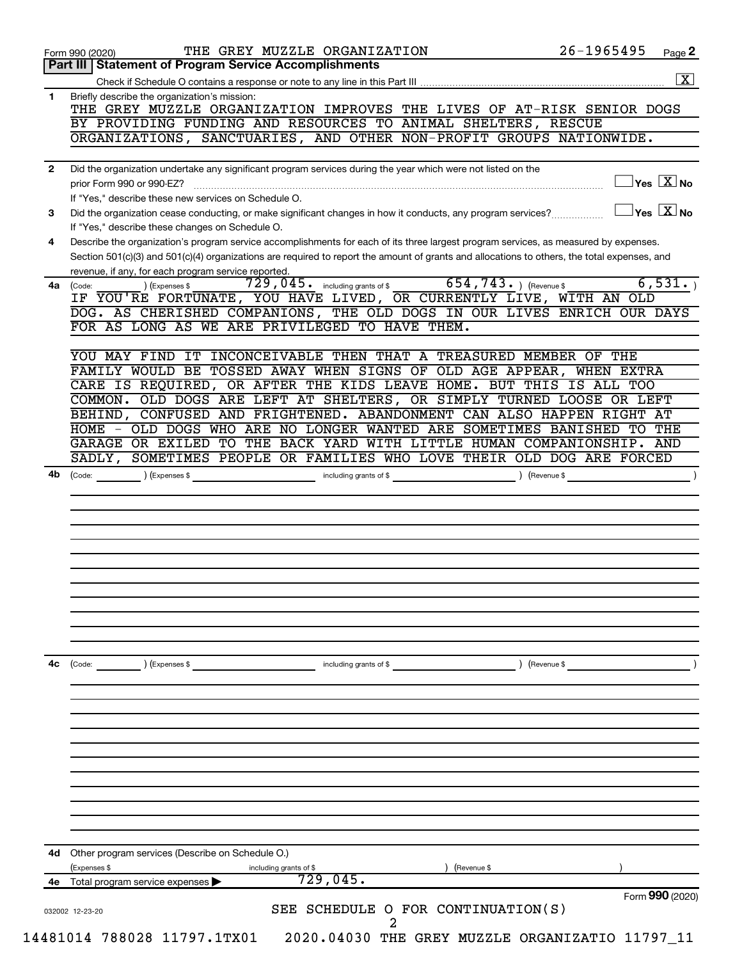|    | Form 990 (2020)<br>Part III<br><b>Statement of Program Service Accomplishments</b>                                                                                                                                                                                                   | Page 2 |
|----|--------------------------------------------------------------------------------------------------------------------------------------------------------------------------------------------------------------------------------------------------------------------------------------|--------|
|    |                                                                                                                                                                                                                                                                                      |        |
| 1  | Briefly describe the organization's mission:<br>THE GREY MUZZLE ORGANIZATION IMPROVES THE LIVES OF AT-RISK SENIOR DOGS                                                                                                                                                               |        |
|    | BY PROVIDING FUNDING AND RESOURCES TO ANIMAL SHELTERS, RESCUE                                                                                                                                                                                                                        |        |
|    | ORGANIZATIONS, SANCTUARIES, AND OTHER NON-PROFIT GROUPS NATIONWIDE.                                                                                                                                                                                                                  |        |
| 2  | Did the organization undertake any significant program services during the year which were not listed on the                                                                                                                                                                         |        |
|    | $\sqrt{\mathsf{Yes}\ \mathbf{X}}$ No<br>If "Yes," describe these new services on Schedule O.                                                                                                                                                                                         |        |
| 3  | $\overline{\ }$ Yes $\overline{\rm X}$ No<br>Did the organization cease conducting, or make significant changes in how it conducts, any program services?<br>If "Yes," describe these changes on Schedule O.                                                                         |        |
| 4  | Describe the organization's program service accomplishments for each of its three largest program services, as measured by expenses.<br>Section 501(c)(3) and 501(c)(4) organizations are required to report the amount of grants and allocations to others, the total expenses, and |        |
|    | revenue, if any, for each program service reported.                                                                                                                                                                                                                                  |        |
| 4a | $654, 743.$ (Revenue \$)<br>6,531.<br>$729,045$ $\cdot$ including grants of \$<br>) (Expenses \$<br>(Code:<br>IF YOU'RE FORTUNATE, YOU HAVE LIVED, OR CURRENTLY LIVE, WITH AN OLD                                                                                                    |        |
|    | DOG. AS CHERISHED COMPANIONS, THE OLD DOGS IN OUR LIVES ENRICH OUR DAYS<br>FOR AS LONG AS WE ARE PRIVILEGED TO HAVE THEM.                                                                                                                                                            |        |
|    | YOU MAY FIND IT INCONCEIVABLE THEN THAT A TREASURED MEMBER OF THE                                                                                                                                                                                                                    |        |
|    | FAMILY WOULD BE TOSSED AWAY WHEN SIGNS OF OLD AGE APPEAR, WHEN EXTRA                                                                                                                                                                                                                 |        |
|    | CARE IS REQUIRED, OR AFTER THE KIDS LEAVE HOME. BUT THIS IS ALL TOO                                                                                                                                                                                                                  |        |
|    | COMMON. OLD DOGS ARE LEFT AT SHELTERS, OR SIMPLY TURNED LOOSE OR LEFT                                                                                                                                                                                                                |        |
|    | BEHIND, CONFUSED AND FRIGHTENED. ABANDONMENT CAN ALSO HAPPEN RIGHT AT                                                                                                                                                                                                                |        |
|    | HOME - OLD DOGS WHO ARE NO LONGER WANTED ARE SOMETIMES BANISHED<br>TO<br>THE                                                                                                                                                                                                         |        |
|    | GARAGE OR EXILED TO THE BACK YARD WITH LITTLE HUMAN COMPANIONSHIP.<br>AND                                                                                                                                                                                                            |        |
|    | SADLY, SOMETIMES PEOPLE OR FAMILIES WHO LOVE THEIR OLD DOG ARE FORCED                                                                                                                                                                                                                |        |
|    |                                                                                                                                                                                                                                                                                      |        |
|    |                                                                                                                                                                                                                                                                                      |        |
|    |                                                                                                                                                                                                                                                                                      |        |
|    |                                                                                                                                                                                                                                                                                      |        |
| 4с | ) (Revenue \$<br>(Code:<br>) (Expenses \$<br>including grants of \$                                                                                                                                                                                                                  |        |
|    |                                                                                                                                                                                                                                                                                      |        |
|    |                                                                                                                                                                                                                                                                                      |        |
|    |                                                                                                                                                                                                                                                                                      |        |
|    |                                                                                                                                                                                                                                                                                      |        |
|    |                                                                                                                                                                                                                                                                                      |        |
| 4d | Other program services (Describe on Schedule O.)<br>(Expenses \$<br>(Revenue \$<br>including grants of \$                                                                                                                                                                            |        |
|    |                                                                                                                                                                                                                                                                                      |        |
|    | 729,045.<br>4e Total program service expenses<br>Form 990 (2020)                                                                                                                                                                                                                     |        |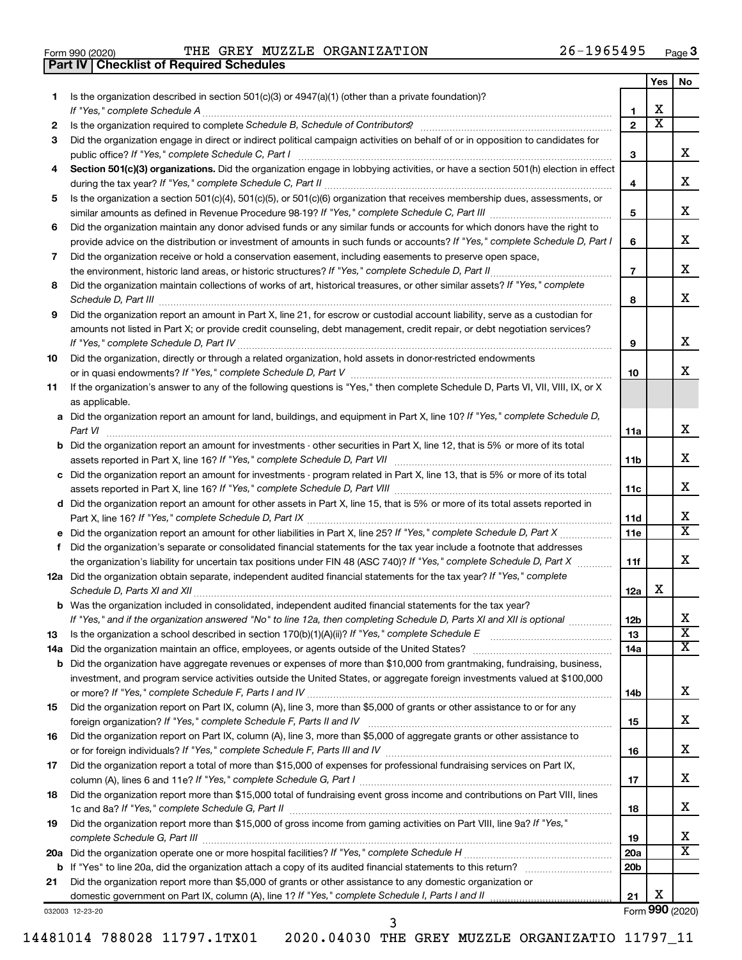|  | Form 990 (2020) |
|--|-----------------|

**Part IV Checklist of Required Schedules**

Form 990 (2020) Page THE GREY MUZZLE ORGANIZATION 26-1965495

|     |                                                                                                                                                                       |                 | Yes                     | No                      |
|-----|-----------------------------------------------------------------------------------------------------------------------------------------------------------------------|-----------------|-------------------------|-------------------------|
| 1   | Is the organization described in section $501(c)(3)$ or $4947(a)(1)$ (other than a private foundation)?                                                               |                 |                         |                         |
|     | If "Yes," complete Schedule A                                                                                                                                         | 1               | х                       |                         |
| 2   | Is the organization required to complete Schedule B, Schedule of Contributors? [111] [12] the organization required to complete Schedule B, Schedule of Contributors? | $\overline{2}$  | $\overline{\textbf{X}}$ |                         |
| 3   | Did the organization engage in direct or indirect political campaign activities on behalf of or in opposition to candidates for                                       |                 |                         |                         |
|     | public office? If "Yes," complete Schedule C, Part I                                                                                                                  | 3               |                         | x                       |
| 4   | Section 501(c)(3) organizations. Did the organization engage in lobbying activities, or have a section 501(h) election in effect                                      |                 |                         |                         |
|     |                                                                                                                                                                       | 4               |                         | х                       |
| 5   | Is the organization a section 501(c)(4), 501(c)(5), or 501(c)(6) organization that receives membership dues, assessments, or                                          |                 |                         |                         |
|     |                                                                                                                                                                       | 5               |                         | х                       |
| 6   | Did the organization maintain any donor advised funds or any similar funds or accounts for which donors have the right to                                             |                 |                         |                         |
|     | provide advice on the distribution or investment of amounts in such funds or accounts? If "Yes," complete Schedule D, Part I                                          | 6               |                         | х                       |
| 7   | Did the organization receive or hold a conservation easement, including easements to preserve open space,                                                             |                 |                         |                         |
|     |                                                                                                                                                                       | $\overline{7}$  |                         | x                       |
| 8   | Did the organization maintain collections of works of art, historical treasures, or other similar assets? If "Yes," complete                                          |                 |                         |                         |
|     |                                                                                                                                                                       | 8               |                         | x                       |
| 9   | Did the organization report an amount in Part X, line 21, for escrow or custodial account liability, serve as a custodian for                                         |                 |                         |                         |
|     | amounts not listed in Part X; or provide credit counseling, debt management, credit repair, or debt negotiation services?                                             |                 |                         |                         |
|     |                                                                                                                                                                       | 9               |                         | x                       |
|     | Did the organization, directly or through a related organization, hold assets in donor-restricted endowments                                                          |                 |                         |                         |
| 10  |                                                                                                                                                                       | 10              |                         | x                       |
|     |                                                                                                                                                                       |                 |                         |                         |
| 11  | If the organization's answer to any of the following questions is "Yes," then complete Schedule D, Parts VI, VII, VIII, IX, or X                                      |                 |                         |                         |
|     | as applicable.                                                                                                                                                        |                 |                         |                         |
|     | a Did the organization report an amount for land, buildings, and equipment in Part X, line 10? If "Yes," complete Schedule D,                                         |                 |                         | x                       |
|     |                                                                                                                                                                       | 11a             |                         |                         |
|     | <b>b</b> Did the organization report an amount for investments - other securities in Part X, line 12, that is 5% or more of its total                                 |                 |                         | x                       |
|     |                                                                                                                                                                       | 11b             |                         |                         |
|     | c Did the organization report an amount for investments - program related in Part X, line 13, that is 5% or more of its total                                         |                 |                         | x                       |
|     |                                                                                                                                                                       | 11c             |                         |                         |
|     | d Did the organization report an amount for other assets in Part X, line 15, that is 5% or more of its total assets reported in                                       |                 |                         |                         |
|     |                                                                                                                                                                       | 11d             |                         | x                       |
|     |                                                                                                                                                                       | 11e             |                         | x                       |
|     | f Did the organization's separate or consolidated financial statements for the tax year include a footnote that addresses                                             |                 |                         |                         |
|     | the organization's liability for uncertain tax positions under FIN 48 (ASC 740)? If "Yes," complete Schedule D, Part X                                                | 11f             |                         | x                       |
|     | 12a Did the organization obtain separate, independent audited financial statements for the tax year? If "Yes," complete                                               |                 |                         |                         |
|     | Schedule D, Parts XI and XII                                                                                                                                          | 12a             | х                       |                         |
|     | <b>b</b> Was the organization included in consolidated, independent audited financial statements for the tax year?                                                    |                 |                         |                         |
|     | If "Yes," and if the organization answered "No" to line 12a, then completing Schedule D, Parts XI and XII is optional                                                 | 12 <sub>b</sub> |                         | Χ                       |
| 13  | Is the organization a school described in section $170(b)(1)(A)(ii)?$ If "Yes," complete Schedule E                                                                   | 13              |                         | $\overline{\textbf{X}}$ |
| 14a |                                                                                                                                                                       | 14a             |                         | x                       |
| b   | Did the organization have aggregate revenues or expenses of more than \$10,000 from grantmaking, fundraising, business,                                               |                 |                         |                         |
|     | investment, and program service activities outside the United States, or aggregate foreign investments valued at \$100,000                                            |                 |                         |                         |
|     |                                                                                                                                                                       | 14b             |                         | х                       |
| 15  | Did the organization report on Part IX, column (A), line 3, more than \$5,000 of grants or other assistance to or for any                                             |                 |                         |                         |
|     |                                                                                                                                                                       | 15              |                         | х                       |
| 16  | Did the organization report on Part IX, column (A), line 3, more than \$5,000 of aggregate grants or other assistance to                                              |                 |                         |                         |
|     |                                                                                                                                                                       | 16              |                         | х                       |
| 17  | Did the organization report a total of more than \$15,000 of expenses for professional fundraising services on Part IX,                                               |                 |                         |                         |
|     |                                                                                                                                                                       | 17              |                         | х                       |
| 18  | Did the organization report more than \$15,000 total of fundraising event gross income and contributions on Part VIII, lines                                          |                 |                         |                         |
|     |                                                                                                                                                                       | 18              |                         | х                       |
| 19  | Did the organization report more than \$15,000 of gross income from gaming activities on Part VIII, line 9a? If "Yes,"                                                |                 |                         |                         |
|     |                                                                                                                                                                       | 19              |                         | x                       |
|     |                                                                                                                                                                       | 20a             |                         | x                       |
|     |                                                                                                                                                                       | 20 <sub>b</sub> |                         |                         |
| 21  | Did the organization report more than \$5,000 of grants or other assistance to any domestic organization or                                                           |                 |                         |                         |
|     |                                                                                                                                                                       | 21              | х                       |                         |
|     | 032003 12-23-20                                                                                                                                                       |                 |                         | Form 990 (2020)         |

3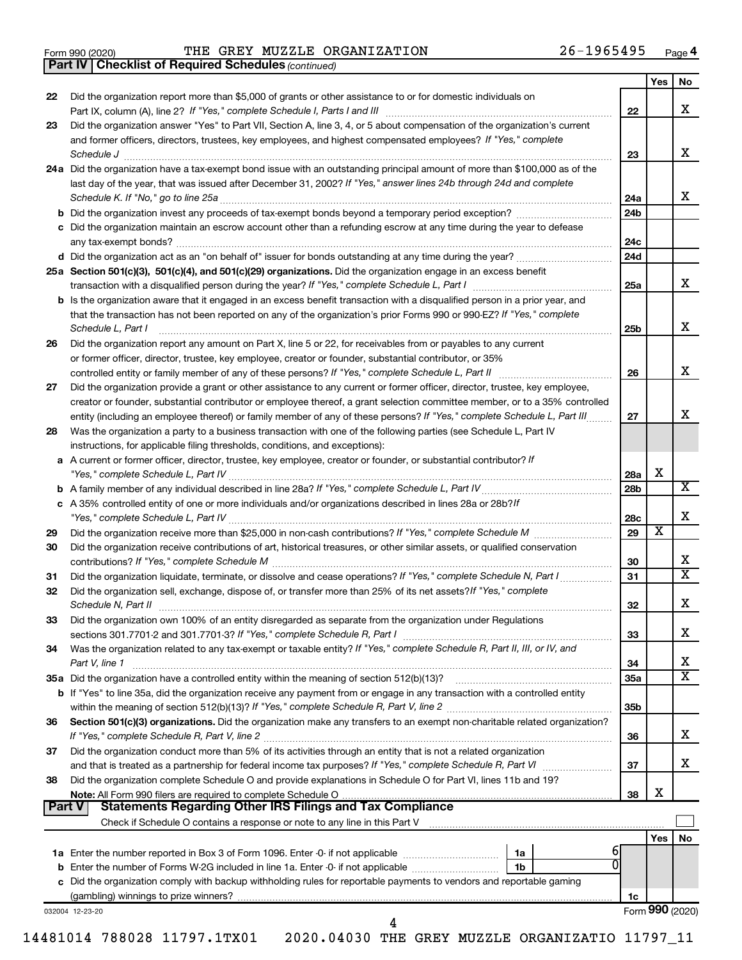|  | Form 990 (2020) |
|--|-----------------|
|  |                 |

Form 990 (2020) Page THE GREY MUZZLE ORGANIZATION 26-1965495

*(continued)* **Part IV Checklist of Required Schedules**

|        | $\sim$                                                                                                                                                          |                 |     |                       |
|--------|-----------------------------------------------------------------------------------------------------------------------------------------------------------------|-----------------|-----|-----------------------|
|        |                                                                                                                                                                 |                 | Yes | No                    |
| 22     | Did the organization report more than \$5,000 of grants or other assistance to or for domestic individuals on                                                   | 22              |     | x                     |
| 23     | Did the organization answer "Yes" to Part VII, Section A, line 3, 4, or 5 about compensation of the organization's current                                      |                 |     |                       |
|        | and former officers, directors, trustees, key employees, and highest compensated employees? If "Yes," complete                                                  |                 |     |                       |
|        | Schedule J                                                                                                                                                      | 23              |     | x                     |
|        | 24a Did the organization have a tax-exempt bond issue with an outstanding principal amount of more than \$100,000 as of the                                     |                 |     |                       |
|        | last day of the year, that was issued after December 31, 2002? If "Yes," answer lines 24b through 24d and complete                                              |                 |     |                       |
|        |                                                                                                                                                                 | 24a             |     | x                     |
|        |                                                                                                                                                                 | 24b             |     |                       |
|        | c Did the organization maintain an escrow account other than a refunding escrow at any time during the year to defease                                          |                 |     |                       |
|        |                                                                                                                                                                 | 24с             |     |                       |
|        |                                                                                                                                                                 | 24d             |     |                       |
|        | 25a Section 501(c)(3), 501(c)(4), and 501(c)(29) organizations. Did the organization engage in an excess benefit                                                |                 |     |                       |
|        |                                                                                                                                                                 | 25a             |     | x                     |
|        | <b>b</b> Is the organization aware that it engaged in an excess benefit transaction with a disqualified person in a prior year, and                             |                 |     |                       |
|        | that the transaction has not been reported on any of the organization's prior Forms 990 or 990-EZ? If "Yes," complete                                           |                 |     |                       |
|        | Schedule L, Part I                                                                                                                                              | 25b             |     | х                     |
| 26     | Did the organization report any amount on Part X, line 5 or 22, for receivables from or payables to any current                                                 |                 |     |                       |
|        | or former officer, director, trustee, key employee, creator or founder, substantial contributor, or 35%                                                         |                 |     |                       |
|        | controlled entity or family member of any of these persons? If "Yes," complete Schedule L, Part II                                                              | 26              |     | х                     |
| 27     | Did the organization provide a grant or other assistance to any current or former officer, director, trustee, key employee,                                     |                 |     |                       |
|        | creator or founder, substantial contributor or employee thereof, a grant selection committee member, or to a 35% controlled                                     |                 |     |                       |
|        | entity (including an employee thereof) or family member of any of these persons? If "Yes," complete Schedule L, Part III                                        | 27              |     | х                     |
| 28     | Was the organization a party to a business transaction with one of the following parties (see Schedule L, Part IV                                               |                 |     |                       |
|        | instructions, for applicable filing thresholds, conditions, and exceptions):                                                                                    |                 |     |                       |
|        | a A current or former officer, director, trustee, key employee, creator or founder, or substantial contributor? If                                              |                 |     |                       |
|        |                                                                                                                                                                 | 28a             | х   |                       |
|        |                                                                                                                                                                 | 28 <sub>b</sub> |     | х                     |
|        | c A 35% controlled entity of one or more individuals and/or organizations described in lines 28a or 28b?/f                                                      |                 |     |                       |
|        |                                                                                                                                                                 | 28c             |     | х                     |
| 29     |                                                                                                                                                                 | 29              | х   |                       |
| 30     | Did the organization receive contributions of art, historical treasures, or other similar assets, or qualified conservation                                     |                 |     |                       |
|        |                                                                                                                                                                 | 30              |     | х                     |
| 31     | Did the organization liquidate, terminate, or dissolve and cease operations? If "Yes," complete Schedule N, Part I                                              | 31              |     | $\overline{\text{x}}$ |
| 32     | Did the organization sell, exchange, dispose of, or transfer more than 25% of its net assets? If "Yes," complete                                                |                 |     |                       |
|        | Schedule N, Part II                                                                                                                                             | 32              |     | х                     |
| 33     | Did the organization own 100% of an entity disregarded as separate from the organization under Regulations                                                      |                 |     |                       |
|        | sections 301.7701-2 and 301.7701-3? If "Yes," complete Schedule R, Part I                                                                                       | 33              |     | х                     |
| 34     | Was the organization related to any tax-exempt or taxable entity? If "Yes," complete Schedule R, Part II, III, or IV, and                                       |                 |     | х                     |
|        | Part V, line 1                                                                                                                                                  | 34              |     | х                     |
|        | 35a Did the organization have a controlled entity within the meaning of section 512(b)(13)?                                                                     | 35a             |     |                       |
|        | <b>b</b> If "Yes" to line 35a, did the organization receive any payment from or engage in any transaction with a controlled entity                              | 35 <sub>b</sub> |     |                       |
| 36     | Section 501(c)(3) organizations. Did the organization make any transfers to an exempt non-charitable related organization?                                      |                 |     |                       |
|        |                                                                                                                                                                 | 36              |     | х                     |
| 37     | Did the organization conduct more than 5% of its activities through an entity that is not a related organization                                                |                 |     |                       |
|        |                                                                                                                                                                 | 37              |     | х                     |
| 38     | Did the organization complete Schedule O and provide explanations in Schedule O for Part VI, lines 11b and 19?                                                  |                 |     |                       |
|        | Note: All Form 990 filers are required to complete Schedule O.                                                                                                  | 38              | х   |                       |
| Part V | <b>Statements Regarding Other IRS Filings and Tax Compliance</b>                                                                                                |                 |     |                       |
|        | Check if Schedule O contains a response or note to any line in this Part V [11] [12] Check if Schedule O contains a response or note to any line in this Part V |                 |     |                       |
|        |                                                                                                                                                                 |                 | Yes | No                    |
|        | <b>1a</b> Enter the number reported in Box 3 of Form 1096. Enter -0- if not applicable <i>manumumumum</i><br>1a                                                 |                 |     |                       |
|        | <b>b</b> Enter the number of Forms W-2G included in line 1a. Enter -0- if not applicable<br>1 <sub>b</sub>                                                      |                 |     |                       |
|        | c Did the organization comply with backup withholding rules for reportable payments to vendors and reportable gaming                                            |                 |     |                       |
|        |                                                                                                                                                                 | 1c              |     |                       |
|        | 032004 12-23-20                                                                                                                                                 |                 |     | Form 990 (2020)       |
|        | 4                                                                                                                                                               |                 |     |                       |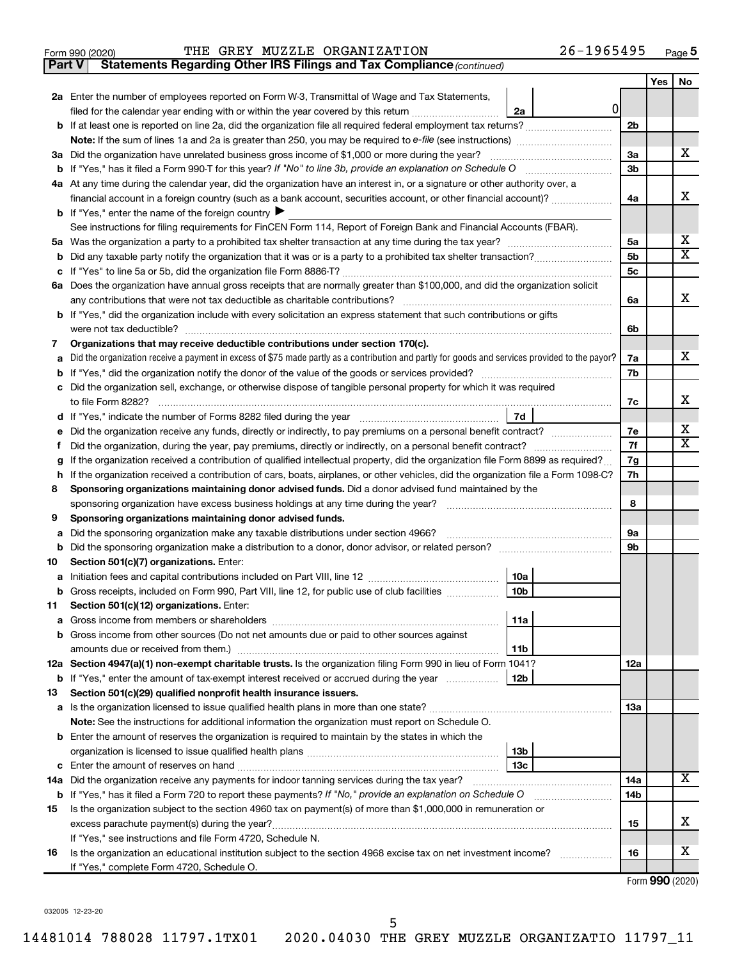|  | Form 990 (2020) |
|--|-----------------|
|  |                 |

**Part V Statements Regarding Other IRS Filings and Tax Compliance**

*(continued)*

|    |                                                                                                                                                 |                | Yes | No                      |  |
|----|-------------------------------------------------------------------------------------------------------------------------------------------------|----------------|-----|-------------------------|--|
|    | <b>2a</b> Enter the number of employees reported on Form W-3, Transmittal of Wage and Tax Statements,                                           |                |     |                         |  |
|    | 0<br>filed for the calendar year ending with or within the year covered by this return<br>2a                                                    |                |     |                         |  |
|    |                                                                                                                                                 |                |     |                         |  |
|    |                                                                                                                                                 |                |     |                         |  |
|    | 3a Did the organization have unrelated business gross income of \$1,000 or more during the year?                                                |                |     | х                       |  |
|    |                                                                                                                                                 |                |     |                         |  |
|    | 4a At any time during the calendar year, did the organization have an interest in, or a signature or other authority over, a                    |                |     |                         |  |
|    | financial account in a foreign country (such as a bank account, securities account, or other financial account)?                                |                |     |                         |  |
|    | <b>b</b> If "Yes," enter the name of the foreign country $\blacktriangleright$                                                                  |                |     |                         |  |
|    | See instructions for filing requirements for FinCEN Form 114, Report of Foreign Bank and Financial Accounts (FBAR).                             |                |     |                         |  |
|    |                                                                                                                                                 | 5a             |     | x                       |  |
| b  |                                                                                                                                                 | 5b             |     | $\overline{\mathbf{X}}$ |  |
| с  |                                                                                                                                                 | 5 <sub>c</sub> |     |                         |  |
|    | 6a Does the organization have annual gross receipts that are normally greater than \$100,000, and did the organization solicit                  |                |     |                         |  |
|    |                                                                                                                                                 | 6a             |     | x                       |  |
|    | <b>b</b> If "Yes," did the organization include with every solicitation an express statement that such contributions or gifts                   |                |     |                         |  |
|    | were not tax deductible?                                                                                                                        | 6b             |     |                         |  |
| 7  | Organizations that may receive deductible contributions under section 170(c).                                                                   |                |     |                         |  |
| a  | Did the organization receive a payment in excess of \$75 made partly as a contribution and partly for goods and services provided to the payor? | 7a             |     | х                       |  |
| b  |                                                                                                                                                 | 7b             |     |                         |  |
| с  | Did the organization sell, exchange, or otherwise dispose of tangible personal property for which it was required                               |                |     | х                       |  |
|    | 7d                                                                                                                                              | 7c             |     |                         |  |
|    | Did the organization receive any funds, directly or indirectly, to pay premiums on a personal benefit contract?                                 | 7e             |     | х                       |  |
| f  |                                                                                                                                                 | 7f             |     | $\mathbf x$             |  |
|    | If the organization received a contribution of qualified intellectual property, did the organization file Form 8899 as required?                | 7g             |     |                         |  |
| h  | If the organization received a contribution of cars, boats, airplanes, or other vehicles, did the organization file a Form 1098-C?              | 7h             |     |                         |  |
| 8  | Sponsoring organizations maintaining donor advised funds. Did a donor advised fund maintained by the                                            |                |     |                         |  |
|    |                                                                                                                                                 | 8              |     |                         |  |
| 9  | Sponsoring organizations maintaining donor advised funds.                                                                                       |                |     |                         |  |
| а  | Did the sponsoring organization make any taxable distributions under section 4966?                                                              | 9а             |     |                         |  |
|    |                                                                                                                                                 | 9b             |     |                         |  |
| 10 | Section 501(c)(7) organizations. Enter:                                                                                                         |                |     |                         |  |
| а  | 10a                                                                                                                                             |                |     |                         |  |
|    | 10 <sub>b</sub><br>b Gross receipts, included on Form 990, Part VIII, line 12, for public use of club facilities                                |                |     |                         |  |
| 11 | Section 501(c)(12) organizations. Enter:                                                                                                        |                |     |                         |  |
|    | 11a                                                                                                                                             |                |     |                         |  |
|    | b Gross income from other sources (Do not net amounts due or paid to other sources against                                                      |                |     |                         |  |
|    | 11b                                                                                                                                             |                |     |                         |  |
|    | 12a Section 4947(a)(1) non-exempt charitable trusts. Is the organization filing Form 990 in lieu of Form 1041?                                  | 12a            |     |                         |  |
|    | b If "Yes," enter the amount of tax-exempt interest received or accrued during the year<br>12b                                                  |                |     |                         |  |
| 13 | Section 501(c)(29) qualified nonprofit health insurance issuers.                                                                                |                |     |                         |  |
|    | a Is the organization licensed to issue qualified health plans in more than one state?                                                          | 13a            |     |                         |  |
|    | Note: See the instructions for additional information the organization must report on Schedule O.                                               |                |     |                         |  |
|    | <b>b</b> Enter the amount of reserves the organization is required to maintain by the states in which the                                       |                |     |                         |  |
|    | 13b                                                                                                                                             |                |     |                         |  |
|    | 13 <sub>c</sub><br>c Enter the amount of reserves on hand                                                                                       |                |     |                         |  |
|    | 14a Did the organization receive any payments for indoor tanning services during the tax year?                                                  | 14a            |     | x                       |  |
|    | <b>b</b> If "Yes," has it filed a Form 720 to report these payments? If "No," provide an explanation on Schedule O                              | 14b            |     |                         |  |
| 15 | Is the organization subject to the section 4960 tax on payment(s) of more than \$1,000,000 in remuneration or                                   |                |     | X                       |  |
|    | excess parachute payment(s) during the year?                                                                                                    | 15             |     |                         |  |
|    | If "Yes," see instructions and file Form 4720, Schedule N.                                                                                      |                |     | x                       |  |
| 16 | Is the organization an educational institution subject to the section 4968 excise tax on net investment income?                                 | 16             |     |                         |  |
|    | If "Yes," complete Form 4720, Schedule O.                                                                                                       |                |     |                         |  |

Form (2020) **990**

032005 12-23-20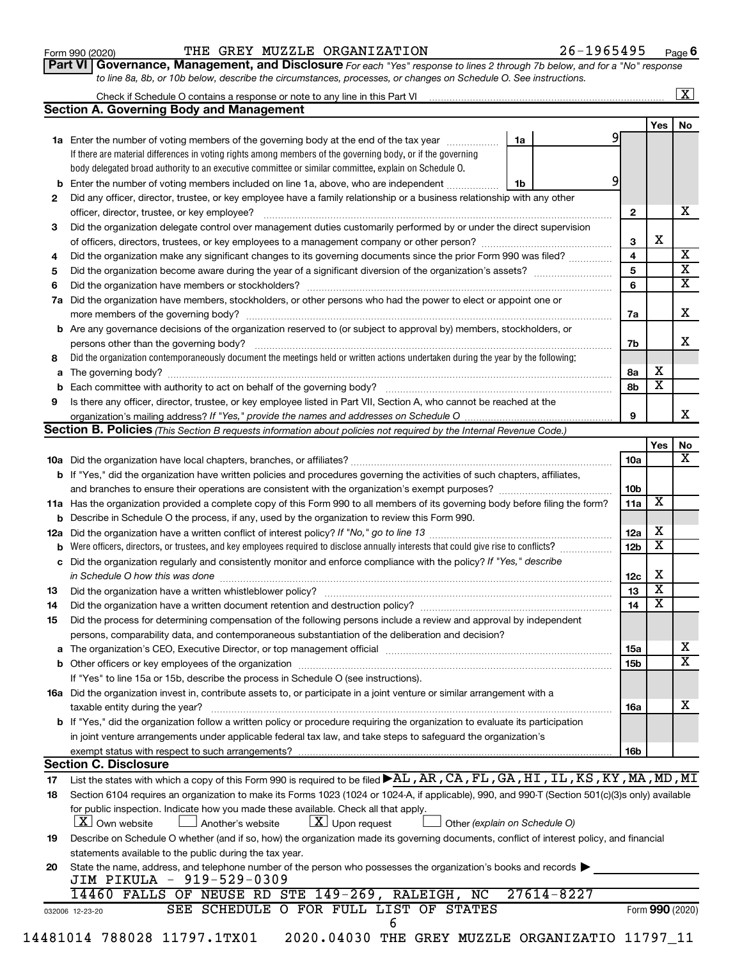#### Form 990 (2020) Page THE GREY MUZZLE ORGANIZATION 26-1965495

**Part VI** Governance, Management, and Disclosure For each "Yes" response to lines 2 through 7b below, and for a "No" response *to line 8a, 8b, or 10b below, describe the circumstances, processes, or changes on Schedule O. See instructions.*

|    | <b>Section A. Governing Body and Management</b>                                                                                                                                                                                |                 |                              |    |
|----|--------------------------------------------------------------------------------------------------------------------------------------------------------------------------------------------------------------------------------|-----------------|------------------------------|----|
|    |                                                                                                                                                                                                                                |                 | Yes                          | No |
|    | 1a<br>1a Enter the number of voting members of the governing body at the end of the tax year                                                                                                                                   | 9               |                              |    |
|    | If there are material differences in voting rights among members of the governing body, or if the governing                                                                                                                    |                 |                              |    |
|    | body delegated broad authority to an executive committee or similar committee, explain on Schedule O.                                                                                                                          |                 |                              |    |
|    | 9<br><b>b</b> Enter the number of voting members included on line 1a, above, who are independent<br>1b                                                                                                                         |                 |                              |    |
| 2  | Did any officer, director, trustee, or key employee have a family relationship or a business relationship with any other                                                                                                       |                 |                              |    |
|    |                                                                                                                                                                                                                                | 2               |                              |    |
| 3  | Did the organization delegate control over management duties customarily performed by or under the direct supervision                                                                                                          |                 |                              |    |
|    |                                                                                                                                                                                                                                | 3               | X                            |    |
| 4  | Did the organization make any significant changes to its governing documents since the prior Form 990 was filed?                                                                                                               | 4               |                              |    |
| 5  |                                                                                                                                                                                                                                | 5               |                              |    |
| 6  |                                                                                                                                                                                                                                | 6               |                              |    |
|    | 7a Did the organization have members, stockholders, or other persons who had the power to elect or appoint one or                                                                                                              |                 |                              |    |
|    |                                                                                                                                                                                                                                | 7a              |                              |    |
|    | <b>b</b> Are any governance decisions of the organization reserved to (or subject to approval by) members, stockholders, or                                                                                                    |                 |                              |    |
|    | persons other than the governing body?                                                                                                                                                                                         | 7b              |                              |    |
| 8  | Did the organization contemporaneously document the meetings held or written actions undertaken during the year by the following:                                                                                              |                 |                              |    |
|    |                                                                                                                                                                                                                                | 8a              | х                            |    |
|    |                                                                                                                                                                                                                                | 8b              | x                            |    |
| 9  | Is there any officer, director, trustee, or key employee listed in Part VII, Section A, who cannot be reached at the                                                                                                           |                 |                              |    |
|    |                                                                                                                                                                                                                                | 9               |                              |    |
|    | Section B. Policies (This Section B requests information about policies not required by the Internal Revenue Code.)                                                                                                            |                 |                              |    |
|    |                                                                                                                                                                                                                                |                 | Yes                          |    |
|    |                                                                                                                                                                                                                                | 10a             |                              |    |
|    |                                                                                                                                                                                                                                |                 |                              |    |
|    | <b>b</b> If "Yes," did the organization have written policies and procedures governing the activities of such chapters, affiliates,                                                                                            |                 |                              |    |
|    |                                                                                                                                                                                                                                | 10 <sub>b</sub> | X                            |    |
|    | 11a Has the organization provided a complete copy of this Form 990 to all members of its governing body before filing the form?                                                                                                | 11a             |                              |    |
|    | <b>b</b> Describe in Schedule O the process, if any, used by the organization to review this Form 990.                                                                                                                         |                 |                              |    |
|    |                                                                                                                                                                                                                                | 12a             | х<br>$\overline{\textbf{x}}$ |    |
|    |                                                                                                                                                                                                                                | 12 <sub>b</sub> |                              |    |
|    | c Did the organization regularly and consistently monitor and enforce compliance with the policy? If "Yes," describe                                                                                                           |                 |                              |    |
|    | in Schedule O how this was done <i>maching and accordination of the schedule O</i> how this was done                                                                                                                           | 12c             | X                            |    |
| 13 |                                                                                                                                                                                                                                | 13              | X                            |    |
| 14 | Did the organization have a written document retention and destruction policy? [11] manufaction manufaction in                                                                                                                 | 14              | X                            |    |
| 15 | Did the process for determining compensation of the following persons include a review and approval by independent                                                                                                             |                 |                              |    |
|    | persons, comparability data, and contemporaneous substantiation of the deliberation and decision?                                                                                                                              |                 |                              |    |
|    | a The organization's CEO, Executive Director, or top management official manufactured content content of the organization's CEO, Executive Director, or top management official manufactured content of the content of the con | <b>15a</b>      |                              |    |
|    |                                                                                                                                                                                                                                | 15b             |                              |    |
|    | If "Yes" to line 15a or 15b, describe the process in Schedule O (see instructions).                                                                                                                                            |                 |                              |    |
|    | 16a Did the organization invest in, contribute assets to, or participate in a joint venture or similar arrangement with a                                                                                                      |                 |                              |    |
|    | taxable entity during the year?                                                                                                                                                                                                | <b>16a</b>      |                              |    |
|    | <b>b</b> If "Yes," did the organization follow a written policy or procedure requiring the organization to evaluate its participation                                                                                          |                 |                              |    |
|    | in joint venture arrangements under applicable federal tax law, and take steps to safeguard the organization's                                                                                                                 |                 |                              |    |
|    | exempt status with respect to such arrangements?                                                                                                                                                                               | 16b             |                              |    |
|    | <b>Section C. Disclosure</b>                                                                                                                                                                                                   |                 |                              |    |
|    | List the states with which a copy of this Form 990 is required to be filed >AL, AR, CA, FL, GA, HI, IL, KS, KY, MA, MD, MI                                                                                                     |                 |                              |    |
| 17 |                                                                                                                                                                                                                                |                 |                              |    |
| 18 | Section 6104 requires an organization to make its Forms 1023 (1024 or 1024-A, if applicable), 990, and 990-T (Section 501(c)(3)s only) available                                                                               |                 |                              |    |
|    | for public inspection. Indicate how you made these available. Check all that apply.                                                                                                                                            |                 |                              |    |
|    | $X$ Own website<br>$\lfloor \underline{X} \rfloor$ Upon request<br>Another's website<br>Other (explain on Schedule O)                                                                                                          |                 |                              |    |
| 19 | Describe on Schedule O whether (and if so, how) the organization made its governing documents, conflict of interest policy, and financial                                                                                      |                 |                              |    |
|    | statements available to the public during the tax year.                                                                                                                                                                        |                 |                              |    |
| 20 | State the name, address, and telephone number of the person who possesses the organization's books and records $\blacktriangleright$                                                                                           |                 |                              |    |
|    | JIM PIKULA - 919-529-0309                                                                                                                                                                                                      |                 |                              |    |
|    | 27614-8227<br>14460 FALLS OF NEUSE RD STE 149-269, RALEIGH, NC                                                                                                                                                                 |                 |                              |    |
|    | SEE SCHEDULE O FOR FULL LIST OF STATES<br>032006 12-23-20                                                                                                                                                                      |                 | Form 990 (2020)              |    |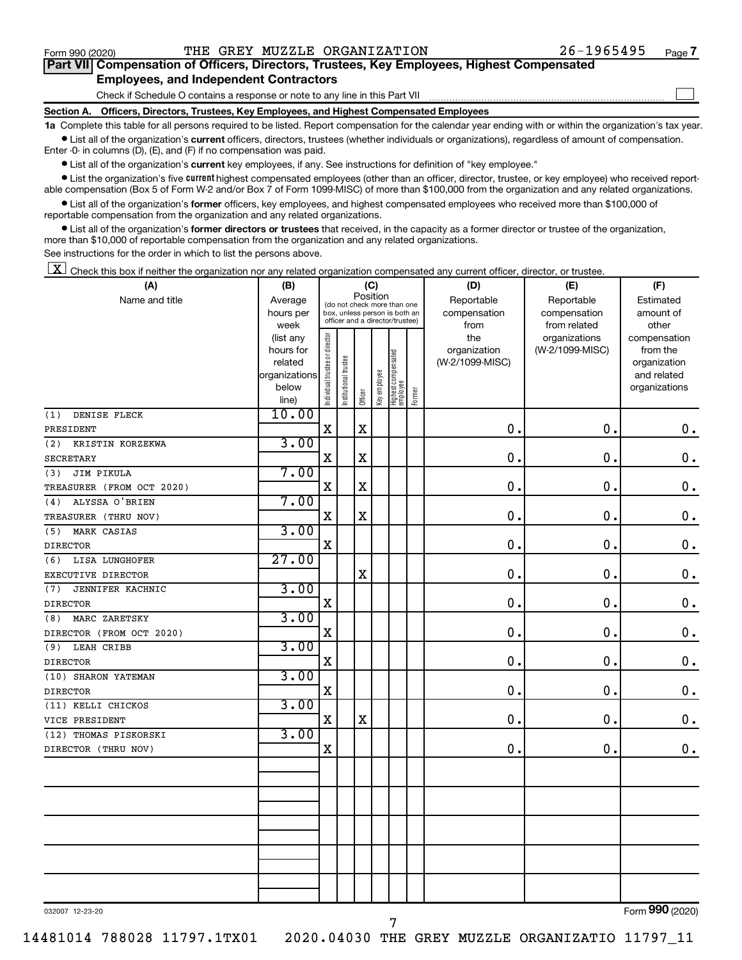$\Box$ 

| Part VII Compensation of Officers, Directors, Trustees, Key Employees, Highest Compensated |  |  |
|--------------------------------------------------------------------------------------------|--|--|
| <b>Employees, and Independent Contractors</b>                                              |  |  |

Check if Schedule O contains a response or note to any line in this Part VII

**Section A. Officers, Directors, Trustees, Key Employees, and Highest Compensated Employees**

**1a**  Complete this table for all persons required to be listed. Report compensation for the calendar year ending with or within the organization's tax year.  $\bullet$  List all of the organization's current officers, directors, trustees (whether individuals or organizations), regardless of amount of compensation.

Enter -0- in columns (D), (E), and (F) if no compensation was paid.

**•** List all of the organization's current key employees, if any. See instructions for definition of "key employee."

• List the organization's five *current* highest compensated employees (other than an officer, director, trustee, or key employee) who received reportable compensation (Box 5 of Form W-2 and/or Box 7 of Form 1099-MISC) of more than \$100,000 from the organization and any related organizations.

 $\bullet$  List all of the organization's former officers, key employees, and highest compensated employees who received more than \$100,000 of reportable compensation from the organization and any related organizations.

**•** List all of the organization's former directors or trustees that received, in the capacity as a former director or trustee of the organization, more than \$10,000 of reportable compensation from the organization and any related organizations.

See instructions for the order in which to list the persons above.

 $\boxed{\textbf{X}}$  Check this box if neither the organization nor any related organization compensated any current officer, director, or trustee.

| (A)                       | (B)                  |                                |                                                              |             | (C)          |                                 |        | (D)                        | (E)                        | (F)                      |
|---------------------------|----------------------|--------------------------------|--------------------------------------------------------------|-------------|--------------|---------------------------------|--------|----------------------------|----------------------------|--------------------------|
| Name and title            | Average<br>hours per |                                | (do not check more than one<br>box, unless person is both an | Position    |              |                                 |        | Reportable<br>compensation | Reportable<br>compensation | Estimated<br>amount of   |
|                           | week                 |                                | officer and a director/trustee)                              |             |              |                                 |        | from                       | from related               | other                    |
|                           | (list any            |                                |                                                              |             |              |                                 |        | the                        | organizations              | compensation             |
|                           | hours for            |                                |                                                              |             |              |                                 |        | organization               | (W-2/1099-MISC)            | from the                 |
|                           | related              |                                |                                                              |             |              |                                 |        | (W-2/1099-MISC)            |                            | organization             |
|                           | organizations        |                                |                                                              |             |              |                                 |        |                            |                            | and related              |
|                           | below                | Individual trustee or director | Institutional trustee                                        | Officer     | Key employee | Highest compensated<br>employee | Former |                            |                            | organizations            |
| DENISE FLECK<br>(1)       | line)<br>10.00       |                                |                                                              |             |              |                                 |        |                            |                            |                          |
| PRESIDENT                 |                      | $\mathbf X$                    |                                                              | $\mathbf X$ |              |                                 |        | $\mathbf 0$ .              | 0.                         | $\mathbf 0$ .            |
| (2)<br>KRISTIN KORZEKWA   | 3.00                 |                                |                                                              |             |              |                                 |        |                            |                            |                          |
| <b>SECRETARY</b>          |                      | $\mathbf X$                    |                                                              | $\mathbf X$ |              |                                 |        | $\mathbf 0$                | $\mathbf 0$ .              | 0.                       |
| JIM PIKULA<br>(3)         | 7.00                 |                                |                                                              |             |              |                                 |        |                            |                            |                          |
| TREASURER (FROM OCT 2020) |                      | X                              |                                                              | $\mathbf X$ |              |                                 |        | $\mathbf 0$                | $\mathbf 0$ .              | 0.                       |
| ALYSSA O'BRIEN<br>(4)     | 7.00                 |                                |                                                              |             |              |                                 |        |                            |                            |                          |
| TREASURER (THRU NOV)      |                      | $\mathbf X$                    |                                                              | $\mathbf X$ |              |                                 |        | 0.                         | $\mathbf 0$ .              | $\mathbf 0$ .            |
| MARK CASIAS<br>(5)        | 3.00                 |                                |                                                              |             |              |                                 |        |                            |                            |                          |
| <b>DIRECTOR</b>           |                      | $\mathbf X$                    |                                                              |             |              |                                 |        | $\mathbf 0$                | $\mathbf 0$ .              | $\mathbf 0$ .            |
| LISA LUNGHOFER<br>(6)     | 27.00                |                                |                                                              |             |              |                                 |        |                            |                            |                          |
| EXECUTIVE DIRECTOR        |                      |                                |                                                              | $\mathbf X$ |              |                                 |        | $\mathbf 0$                | $\mathbf 0$ .              | 0.                       |
| JENNIFER KACHNIC<br>(7)   | 3.00                 |                                |                                                              |             |              |                                 |        |                            |                            |                          |
| <b>DIRECTOR</b>           |                      | X                              |                                                              |             |              |                                 |        | $\mathbf 0$                | $\mathbf 0$ .              | $\mathbf 0$ .            |
| MARC ZARETSKY<br>(8)      | 3.00                 |                                |                                                              |             |              |                                 |        |                            |                            |                          |
| DIRECTOR (FROM OCT 2020)  |                      | $\mathbf X$                    |                                                              |             |              |                                 |        | 0.                         | $\mathbf 0$ .              | $0$ .                    |
| (9)<br>LEAH CRIBB         | 3.00                 |                                |                                                              |             |              |                                 |        |                            |                            |                          |
| <b>DIRECTOR</b>           |                      | $\mathbf X$                    |                                                              |             |              |                                 |        | $\mathbf 0$                | $\mathbf 0$ .              | $\mathbf 0$ .            |
| (10) SHARON YATEMAN       | 3.00                 |                                |                                                              |             |              |                                 |        |                            |                            |                          |
| <b>DIRECTOR</b>           |                      | $\mathbf X$                    |                                                              |             |              |                                 |        | $\mathbf{0}$               | $\mathbf 0$ .              | $\mathbf 0$ .            |
| (11) KELLI CHICKOS        | 3.00                 |                                |                                                              |             |              |                                 |        |                            |                            |                          |
| VICE PRESIDENT            |                      | X                              |                                                              | $\mathbf X$ |              |                                 |        | 0.                         | $\mathbf 0$ .              | $0$ .                    |
| (12) THOMAS PISKORSKI     | 3.00                 |                                |                                                              |             |              |                                 |        |                            |                            |                          |
| DIRECTOR (THRU NOV)       |                      | $\mathbf X$                    |                                                              |             |              |                                 |        | $\mathbf 0$ .              | 0.                         | $\mathbf 0$ .            |
|                           |                      |                                |                                                              |             |              |                                 |        |                            |                            |                          |
|                           |                      |                                |                                                              |             |              |                                 |        |                            |                            |                          |
|                           |                      |                                |                                                              |             |              |                                 |        |                            |                            |                          |
|                           |                      |                                |                                                              |             |              |                                 |        |                            |                            |                          |
|                           |                      |                                |                                                              |             |              |                                 |        |                            |                            |                          |
|                           |                      |                                |                                                              |             |              |                                 |        |                            |                            |                          |
|                           |                      |                                |                                                              |             |              |                                 |        |                            |                            |                          |
|                           |                      |                                |                                                              |             |              |                                 |        |                            |                            |                          |
|                           |                      |                                |                                                              |             |              |                                 |        |                            |                            |                          |
|                           |                      |                                |                                                              |             |              |                                 |        |                            |                            | $\overline{\phantom{a}}$ |

032007 12-23-20

14481014 788028 11797.1TX01 2020.04030 THE GREY MUZZLE ORGANIZATIO 11797\_11

7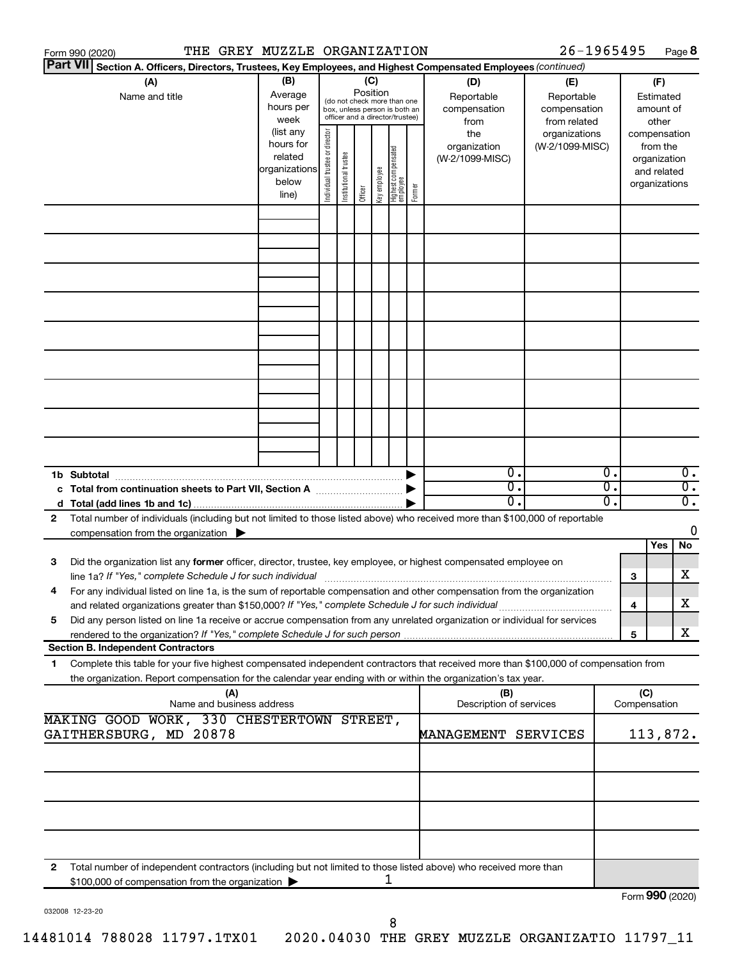| Form 990 (2020) | THE GREY MUZZLE ORGANIZATION                                                                                                                                                                                                                           |                                                                      |                                                                                                                    |                       |         |              |                                   |        |                                           | 26-1965495                                        |          |                     |                                                                          | Page 8                               |
|-----------------|--------------------------------------------------------------------------------------------------------------------------------------------------------------------------------------------------------------------------------------------------------|----------------------------------------------------------------------|--------------------------------------------------------------------------------------------------------------------|-----------------------|---------|--------------|-----------------------------------|--------|-------------------------------------------|---------------------------------------------------|----------|---------------------|--------------------------------------------------------------------------|--------------------------------------|
| <b>Part VII</b> | Section A. Officers, Directors, Trustees, Key Employees, and Highest Compensated Employees (continued)                                                                                                                                                 |                                                                      |                                                                                                                    |                       |         |              |                                   |        |                                           |                                                   |          |                     |                                                                          |                                      |
|                 | (A)<br>Name and title                                                                                                                                                                                                                                  | (B)<br>Average<br>hours per<br>week                                  | (C)<br>Position<br>(do not check more than one<br>box, unless person is both an<br>officer and a director/trustee) |                       |         |              |                                   |        | (D)<br>Reportable<br>compensation<br>from | (E)<br>Reportable<br>compensation<br>from related |          |                     | (F)<br>Estimated<br>amount of<br>other                                   |                                      |
|                 |                                                                                                                                                                                                                                                        | (list any<br>hours for<br>related<br>organizations<br>below<br>line) | Individual trustee or director                                                                                     | Institutional trustee | Officer | Key employee | Highest compensated<br>  employee | Former | the<br>organization<br>(W-2/1099-MISC)    | organizations<br>(W-2/1099-MISC)                  |          |                     | compensation<br>from the<br>organization<br>and related<br>organizations |                                      |
|                 |                                                                                                                                                                                                                                                        |                                                                      |                                                                                                                    |                       |         |              |                                   |        |                                           |                                                   |          |                     |                                                                          |                                      |
|                 |                                                                                                                                                                                                                                                        |                                                                      |                                                                                                                    |                       |         |              |                                   |        |                                           |                                                   |          |                     |                                                                          |                                      |
|                 |                                                                                                                                                                                                                                                        |                                                                      |                                                                                                                    |                       |         |              |                                   |        |                                           |                                                   |          |                     |                                                                          |                                      |
|                 |                                                                                                                                                                                                                                                        |                                                                      |                                                                                                                    |                       |         |              |                                   |        |                                           |                                                   |          |                     |                                                                          |                                      |
|                 |                                                                                                                                                                                                                                                        |                                                                      |                                                                                                                    |                       |         |              |                                   |        |                                           |                                                   |          |                     |                                                                          |                                      |
|                 |                                                                                                                                                                                                                                                        |                                                                      |                                                                                                                    |                       |         |              |                                   |        |                                           |                                                   |          |                     |                                                                          |                                      |
|                 |                                                                                                                                                                                                                                                        |                                                                      |                                                                                                                    |                       |         |              |                                   |        |                                           |                                                   |          |                     |                                                                          |                                      |
|                 |                                                                                                                                                                                                                                                        |                                                                      |                                                                                                                    |                       |         |              |                                   |        |                                           |                                                   |          |                     |                                                                          |                                      |
| 1b Subtotal     | c Total from continuation sheets to Part VII, Section A manufactured by                                                                                                                                                                                |                                                                      |                                                                                                                    |                       |         |              |                                   |        | $0$ .<br>$\overline{0}$ .                 |                                                   | 0.<br>σ. |                     |                                                                          | $\overline{0}$ .<br>$\overline{0}$ . |
|                 |                                                                                                                                                                                                                                                        |                                                                      |                                                                                                                    |                       |         |              |                                   |        | $0$ .                                     |                                                   | О.       |                     |                                                                          | $\overline{0}$ .                     |
| 2               | Total number of individuals (including but not limited to those listed above) who received more than \$100,000 of reportable<br>compensation from the organization $\blacktriangleright$                                                               |                                                                      |                                                                                                                    |                       |         |              |                                   |        |                                           |                                                   |          |                     |                                                                          | 0                                    |
| 3               | Did the organization list any former officer, director, trustee, key employee, or highest compensated employee on                                                                                                                                      |                                                                      |                                                                                                                    |                       |         |              |                                   |        |                                           |                                                   |          |                     | Yes                                                                      | No                                   |
|                 | line 1a? If "Yes," complete Schedule J for such individual manufactured content to the set of the set of the s<br>For any individual listed on line 1a, is the sum of reportable compensation and other compensation from the organization             |                                                                      |                                                                                                                    |                       |         |              |                                   |        |                                           |                                                   |          | 3                   |                                                                          | х                                    |
| 5               | and related organizations greater than \$150,000? If "Yes," complete Schedule J for such individual<br>Did any person listed on line 1a receive or accrue compensation from any unrelated organization or individual for services                      |                                                                      |                                                                                                                    |                       |         |              |                                   |        |                                           |                                                   |          | 4<br>5              |                                                                          | х<br>х                               |
|                 | <b>Section B. Independent Contractors</b>                                                                                                                                                                                                              |                                                                      |                                                                                                                    |                       |         |              |                                   |        |                                           |                                                   |          |                     |                                                                          |                                      |
| 1.              | Complete this table for your five highest compensated independent contractors that received more than \$100,000 of compensation from<br>the organization. Report compensation for the calendar year ending with or within the organization's tax year. |                                                                      |                                                                                                                    |                       |         |              |                                   |        |                                           |                                                   |          |                     |                                                                          |                                      |
|                 | (A)<br>Name and business address                                                                                                                                                                                                                       |                                                                      |                                                                                                                    |                       |         |              |                                   |        | (B)<br>Description of services            |                                                   |          | (C)<br>Compensation |                                                                          |                                      |
|                 | MAKING GOOD WORK, 330 CHESTERTOWN STREET,<br>GAITHERSBURG, MD 20878                                                                                                                                                                                    |                                                                      |                                                                                                                    |                       |         |              |                                   |        | MANAGEMENT SERVICES                       |                                                   |          |                     | 113,872.                                                                 |                                      |
|                 |                                                                                                                                                                                                                                                        |                                                                      |                                                                                                                    |                       |         |              |                                   |        |                                           |                                                   |          |                     |                                                                          |                                      |
|                 |                                                                                                                                                                                                                                                        |                                                                      |                                                                                                                    |                       |         |              |                                   |        |                                           |                                                   |          |                     |                                                                          |                                      |
|                 |                                                                                                                                                                                                                                                        |                                                                      |                                                                                                                    |                       |         |              |                                   |        |                                           |                                                   |          |                     |                                                                          |                                      |
| 2               | Total number of independent contractors (including but not limited to those listed above) who received more than                                                                                                                                       |                                                                      |                                                                                                                    |                       |         |              |                                   |        |                                           |                                                   |          |                     |                                                                          |                                      |
|                 | \$100,000 of compensation from the organization                                                                                                                                                                                                        |                                                                      |                                                                                                                    |                       |         |              | 1                                 |        |                                           |                                                   |          | Form 990 (2020)     |                                                                          |                                      |

032008 12-23-20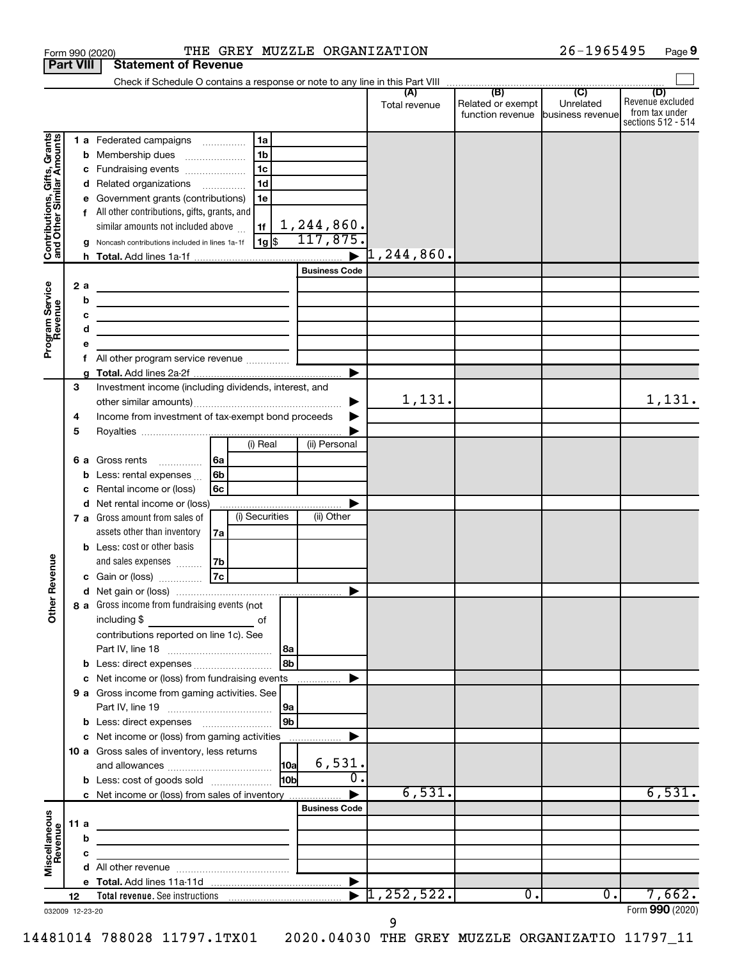|                                                           |                  |         | Form 990 (2020)                                                                                                                                                                                                                      |    |                |                 | THE GREY MUZZLE ORGANIZATION |                     |                                                         | 26-1965495 | Page 9                                                          |
|-----------------------------------------------------------|------------------|---------|--------------------------------------------------------------------------------------------------------------------------------------------------------------------------------------------------------------------------------------|----|----------------|-----------------|------------------------------|---------------------|---------------------------------------------------------|------------|-----------------------------------------------------------------|
|                                                           | <b>Part VIII</b> |         | <b>Statement of Revenue</b>                                                                                                                                                                                                          |    |                |                 |                              |                     |                                                         |            |                                                                 |
|                                                           |                  |         |                                                                                                                                                                                                                                      |    |                |                 |                              |                     |                                                         |            |                                                                 |
|                                                           |                  |         |                                                                                                                                                                                                                                      |    |                |                 |                              | Total revenue       | Related or exempt<br>function revenue business revenuel | Unrelated  | (D)<br>Revenue excluded<br>from tax under<br>sections 512 - 514 |
|                                                           |                  |         | 1 a Federated campaigns                                                                                                                                                                                                              |    | 1a             |                 |                              |                     |                                                         |            |                                                                 |
| Contributions, Gifts, Grants<br>and Other Similar Amounts |                  | b       | Membership dues<br>$\ldots \ldots \ldots \ldots \ldots$                                                                                                                                                                              |    | 1 <sub>b</sub> |                 |                              |                     |                                                         |            |                                                                 |
|                                                           |                  | с       | Fundraising events                                                                                                                                                                                                                   |    | l 1c           |                 |                              |                     |                                                         |            |                                                                 |
|                                                           |                  |         | d Related organizations                                                                                                                                                                                                              | .  | 1 <sub>d</sub> |                 |                              |                     |                                                         |            |                                                                 |
|                                                           |                  |         | Government grants (contributions)                                                                                                                                                                                                    |    | 1e             |                 |                              |                     |                                                         |            |                                                                 |
|                                                           |                  |         | All other contributions, gifts, grants, and                                                                                                                                                                                          |    |                |                 |                              |                     |                                                         |            |                                                                 |
|                                                           |                  |         | similar amounts not included above                                                                                                                                                                                                   |    | 1f             |                 | 1,244,860.                   |                     |                                                         |            |                                                                 |
|                                                           |                  |         | Noncash contributions included in lines 1a-1f                                                                                                                                                                                        |    | 1g   \$        |                 | 117,875.                     |                     |                                                         |            |                                                                 |
|                                                           |                  |         |                                                                                                                                                                                                                                      |    |                |                 | <b>Business Code</b>         | $\rceil$ 1,244,860. |                                                         |            |                                                                 |
|                                                           |                  |         |                                                                                                                                                                                                                                      |    |                |                 |                              |                     |                                                         |            |                                                                 |
|                                                           |                  | 2a<br>b | <u> 1980 - Johann Barbara, martin a bhann an t-Alban an t-Alban an t-Alban an t-Alban an t-Alban an t-Alban an t-Alban an t-Alban an t-Alban an t-Alban an t-Alban an t-Alban an t-Alban an t-Alban an t-Alban an t-Alban an t-A</u> |    |                |                 |                              |                     |                                                         |            |                                                                 |
|                                                           |                  |         | the control of the control of the control of the control of the control of<br>the control of the control of the control of the control of the control of                                                                             |    |                |                 |                              |                     |                                                         |            |                                                                 |
|                                                           |                  | d       | the contract of the contract of the contract of                                                                                                                                                                                      |    |                |                 |                              |                     |                                                         |            |                                                                 |
| Program Service<br>Revenue                                |                  |         |                                                                                                                                                                                                                                      |    |                |                 |                              |                     |                                                         |            |                                                                 |
|                                                           |                  | f       | All other program service revenue <i>mimimini</i>                                                                                                                                                                                    |    |                |                 |                              |                     |                                                         |            |                                                                 |
|                                                           |                  |         |                                                                                                                                                                                                                                      |    |                |                 |                              |                     |                                                         |            |                                                                 |
|                                                           | 3                |         | Investment income (including dividends, interest, and                                                                                                                                                                                |    |                |                 |                              |                     |                                                         |            |                                                                 |
|                                                           |                  |         |                                                                                                                                                                                                                                      |    |                |                 |                              | 1,131.              |                                                         |            | 1,131.                                                          |
|                                                           | 4                |         | Income from investment of tax-exempt bond proceeds                                                                                                                                                                                   |    |                |                 |                              |                     |                                                         |            |                                                                 |
|                                                           | 5                |         |                                                                                                                                                                                                                                      |    | (i) Real       |                 | (ii) Personal                |                     |                                                         |            |                                                                 |
|                                                           |                  |         | 6 a Gross rents                                                                                                                                                                                                                      | 6a |                |                 |                              |                     |                                                         |            |                                                                 |
|                                                           |                  | b       | .<br>Less: rental expenses                                                                                                                                                                                                           | 6b |                |                 |                              |                     |                                                         |            |                                                                 |
|                                                           |                  |         | Rental income or (loss)                                                                                                                                                                                                              | 6с |                |                 |                              |                     |                                                         |            |                                                                 |
|                                                           |                  |         | d Net rental income or (loss)                                                                                                                                                                                                        |    |                |                 |                              |                     |                                                         |            |                                                                 |
|                                                           |                  |         | 7 a Gross amount from sales of                                                                                                                                                                                                       |    | (i) Securities |                 | (ii) Other                   |                     |                                                         |            |                                                                 |
|                                                           |                  |         | assets other than inventory                                                                                                                                                                                                          | 7а |                |                 |                              |                     |                                                         |            |                                                                 |
|                                                           |                  |         | <b>b</b> Less: cost or other basis                                                                                                                                                                                                   |    |                |                 |                              |                     |                                                         |            |                                                                 |
| evenue                                                    |                  |         | and sales expenses                                                                                                                                                                                                                   | 7b |                |                 |                              |                     |                                                         |            |                                                                 |
|                                                           |                  |         | c Gain or (loss)                                                                                                                                                                                                                     | 7c |                |                 |                              |                     |                                                         |            |                                                                 |
| Œ                                                         |                  |         |                                                                                                                                                                                                                                      |    |                |                 |                              |                     |                                                         |            |                                                                 |
| Other                                                     |                  |         | 8 a Gross income from fundraising events (not<br>including \$                                                                                                                                                                        |    | of             |                 |                              |                     |                                                         |            |                                                                 |
|                                                           |                  |         | contributions reported on line 1c). See                                                                                                                                                                                              |    |                |                 |                              |                     |                                                         |            |                                                                 |
|                                                           |                  |         |                                                                                                                                                                                                                                      |    |                | 8a              |                              |                     |                                                         |            |                                                                 |
|                                                           |                  |         | <b>b</b> Less: direct expenses                                                                                                                                                                                                       |    |                | 8b              |                              |                     |                                                         |            |                                                                 |
|                                                           |                  |         | c Net income or (loss) from fundraising events                                                                                                                                                                                       |    |                |                 | .                            |                     |                                                         |            |                                                                 |
|                                                           |                  |         | 9 a Gross income from gaming activities. See                                                                                                                                                                                         |    |                |                 |                              |                     |                                                         |            |                                                                 |
|                                                           |                  |         |                                                                                                                                                                                                                                      |    |                | 9a              |                              |                     |                                                         |            |                                                                 |
|                                                           |                  |         |                                                                                                                                                                                                                                      |    |                | 9b              |                              |                     |                                                         |            |                                                                 |
|                                                           |                  |         |                                                                                                                                                                                                                                      |    |                |                 |                              |                     |                                                         |            |                                                                 |
|                                                           |                  |         | 10 a Gross sales of inventory, less returns                                                                                                                                                                                          |    |                |                 | 6,531.                       |                     |                                                         |            |                                                                 |
|                                                           |                  |         | <b>b</b> Less: cost of goods sold                                                                                                                                                                                                    |    |                | H <sub>0b</sub> | 0.                           |                     |                                                         |            |                                                                 |
|                                                           |                  |         | c Net income or (loss) from sales of inventory                                                                                                                                                                                       |    |                |                 |                              | 6,531.              |                                                         |            | 6,531.                                                          |
|                                                           |                  |         |                                                                                                                                                                                                                                      |    |                |                 | <b>Business Code</b>         |                     |                                                         |            |                                                                 |
| Miscellaneous                                             | 11a              |         | the control of the control of the control of the control of the control of                                                                                                                                                           |    |                |                 |                              |                     |                                                         |            |                                                                 |
| Revenue                                                   |                  | b       | <u> 1989 - Johann Barn, amerikansk politiker (</u>                                                                                                                                                                                   |    |                |                 |                              |                     |                                                         |            |                                                                 |
|                                                           |                  | с       | the control of the control of the control of the control of                                                                                                                                                                          |    |                |                 |                              |                     |                                                         |            |                                                                 |
|                                                           |                  |         |                                                                                                                                                                                                                                      |    |                |                 |                              |                     |                                                         |            |                                                                 |
|                                                           |                  |         |                                                                                                                                                                                                                                      |    |                |                 |                              |                     |                                                         |            |                                                                 |
|                                                           | 12               |         |                                                                                                                                                                                                                                      |    |                |                 | $\blacktriangleright$        | 1, 252, 522.        | $\overline{0}$ .                                        | 0.         | 7,662.                                                          |
| 032009 12-23-20                                           |                  |         |                                                                                                                                                                                                                                      |    |                |                 |                              |                     |                                                         |            | Form 990 (2020)                                                 |

26-1965495 Page 9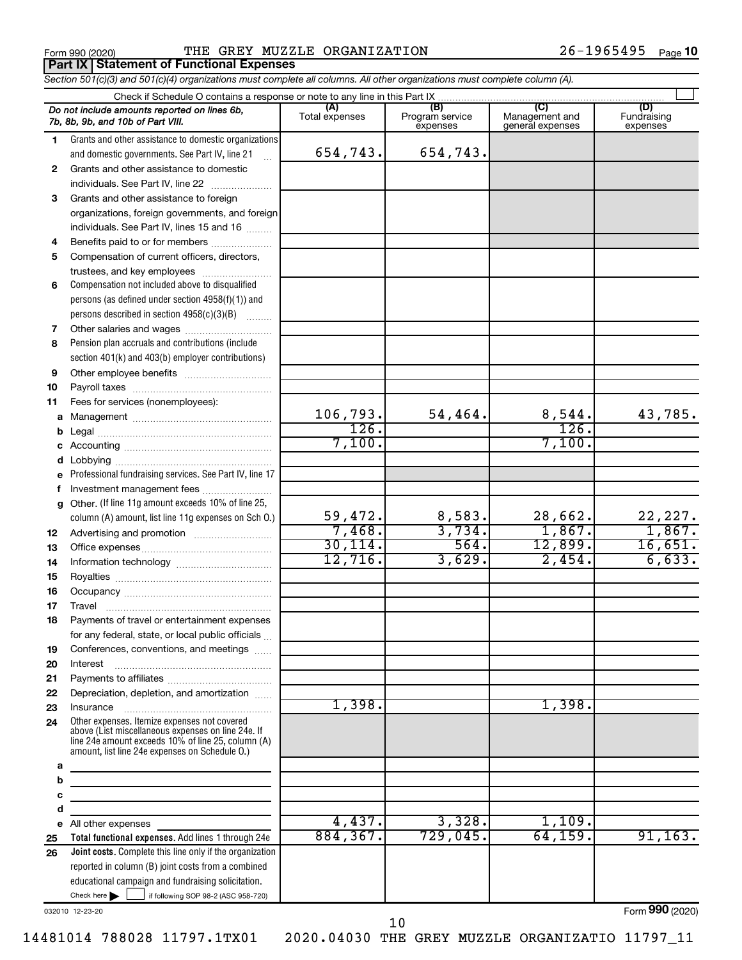**Part IX Statement of Functional Expenses**

Form 990 (2020) **PHE GREY MUZZLE ORGANIZATION**  $26-1965495$  Page

*Section 501(c)(3) and 501(c)(4) organizations must complete all columns. All other organizations must complete column (A).*

|          | Do not include amounts reported on lines 6b,                                                                          | (A)            | (B)                         | (C)                                | (D)                     |
|----------|-----------------------------------------------------------------------------------------------------------------------|----------------|-----------------------------|------------------------------------|-------------------------|
|          | 7b, 8b, 9b, and 10b of Part VIII.                                                                                     | Total expenses | Program service<br>expenses | Management and<br>general expenses | Fundraising<br>expenses |
| 1.       | Grants and other assistance to domestic organizations                                                                 |                |                             |                                    |                         |
|          | and domestic governments. See Part IV, line 21                                                                        | 654,743.       | 654,743.                    |                                    |                         |
| 2        | Grants and other assistance to domestic                                                                               |                |                             |                                    |                         |
|          | individuals. See Part IV, line 22                                                                                     |                |                             |                                    |                         |
| 3        | Grants and other assistance to foreign                                                                                |                |                             |                                    |                         |
|          | organizations, foreign governments, and foreign                                                                       |                |                             |                                    |                         |
|          | individuals. See Part IV, lines 15 and 16                                                                             |                |                             |                                    |                         |
| 4        | Benefits paid to or for members                                                                                       |                |                             |                                    |                         |
| 5        | Compensation of current officers, directors,                                                                          |                |                             |                                    |                         |
|          | trustees, and key employees                                                                                           |                |                             |                                    |                         |
| 6        | Compensation not included above to disqualified                                                                       |                |                             |                                    |                         |
|          | persons (as defined under section 4958(f)(1)) and                                                                     |                |                             |                                    |                         |
|          | persons described in section 4958(c)(3)(B)                                                                            |                |                             |                                    |                         |
| 7        |                                                                                                                       |                |                             |                                    |                         |
| 8        | Pension plan accruals and contributions (include                                                                      |                |                             |                                    |                         |
|          | section 401(k) and 403(b) employer contributions)                                                                     |                |                             |                                    |                         |
| 9        |                                                                                                                       |                |                             |                                    |                         |
| 10       |                                                                                                                       |                |                             |                                    |                         |
| 11       | Fees for services (nonemployees):                                                                                     |                |                             |                                    |                         |
|          |                                                                                                                       | 106, 793.      | 54,464.                     |                                    | 43,785.                 |
|          |                                                                                                                       | 126.           |                             | $\frac{8,544.}{126.}$              |                         |
| b        |                                                                                                                       | 7,100.         |                             | 7,100.                             |                         |
| c        |                                                                                                                       |                |                             |                                    |                         |
| d<br>е   | Professional fundraising services. See Part IV, line 17                                                               |                |                             |                                    |                         |
| f        | Investment management fees                                                                                            |                |                             |                                    |                         |
| g        | Other. (If line 11g amount exceeds 10% of line 25,                                                                    |                |                             |                                    |                         |
|          | column (A) amount, list line 11g expenses on Sch O.)                                                                  | 59,472.        | 8,583.                      | 28,662.                            | 22,227.                 |
| 12       |                                                                                                                       | 7,468.         | 3,734.                      | 1,867.                             | 1,867.                  |
|          |                                                                                                                       | 30, 114.       | 564.                        | 12,899.                            | 16,651.                 |
| 13<br>14 |                                                                                                                       | 12,716.        | 3,629.                      | 2,454.                             | 6,633.                  |
| 15       |                                                                                                                       |                |                             |                                    |                         |
| 16       |                                                                                                                       |                |                             |                                    |                         |
|          | Travel                                                                                                                |                |                             |                                    |                         |
| 17       |                                                                                                                       |                |                             |                                    |                         |
| 18       | Payments of travel or entertainment expenses<br>for any federal, state, or local public officials                     |                |                             |                                    |                         |
|          | Conferences, conventions, and meetings                                                                                |                |                             |                                    |                         |
| 19<br>20 | Interest                                                                                                              |                |                             |                                    |                         |
| 21       |                                                                                                                       |                |                             |                                    |                         |
| 22       | Depreciation, depletion, and amortization                                                                             |                |                             |                                    |                         |
| 23       | Insurance                                                                                                             | 1,398.         |                             | 1,398.                             |                         |
| 24       | Other expenses. Itemize expenses not covered                                                                          |                |                             |                                    |                         |
|          | above (List miscellaneous expenses on line 24e. If                                                                    |                |                             |                                    |                         |
|          | line 24e amount exceeds 10% of line 25, column (A)<br>amount, list line 24e expenses on Schedule O.)                  |                |                             |                                    |                         |
| а        |                                                                                                                       |                |                             |                                    |                         |
| b        |                                                                                                                       |                |                             |                                    |                         |
| с        | the control of the control of the control of the control of the control of                                            |                |                             |                                    |                         |
| d        | <u> 1980 - Johann Barbara, martin amerikan basar dan berasal dalam basar dalam basar dalam basar dalam basar dala</u> |                |                             |                                    |                         |
| е        | All other expenses                                                                                                    | 4,437.         | 3,328.                      | 1,109.                             |                         |
| 25       | Total functional expenses. Add lines 1 through 24e                                                                    | 884, 367.      | 729,045.                    | 64, 159.                           | 91, 163.                |
| 26       | Joint costs. Complete this line only if the organization                                                              |                |                             |                                    |                         |
|          | reported in column (B) joint costs from a combined                                                                    |                |                             |                                    |                         |
|          | educational campaign and fundraising solicitation.                                                                    |                |                             |                                    |                         |
|          | Check here<br>if following SOP 98-2 (ASC 958-720)                                                                     |                |                             |                                    |                         |

032010 12-23-20

Form (2020) **990**

10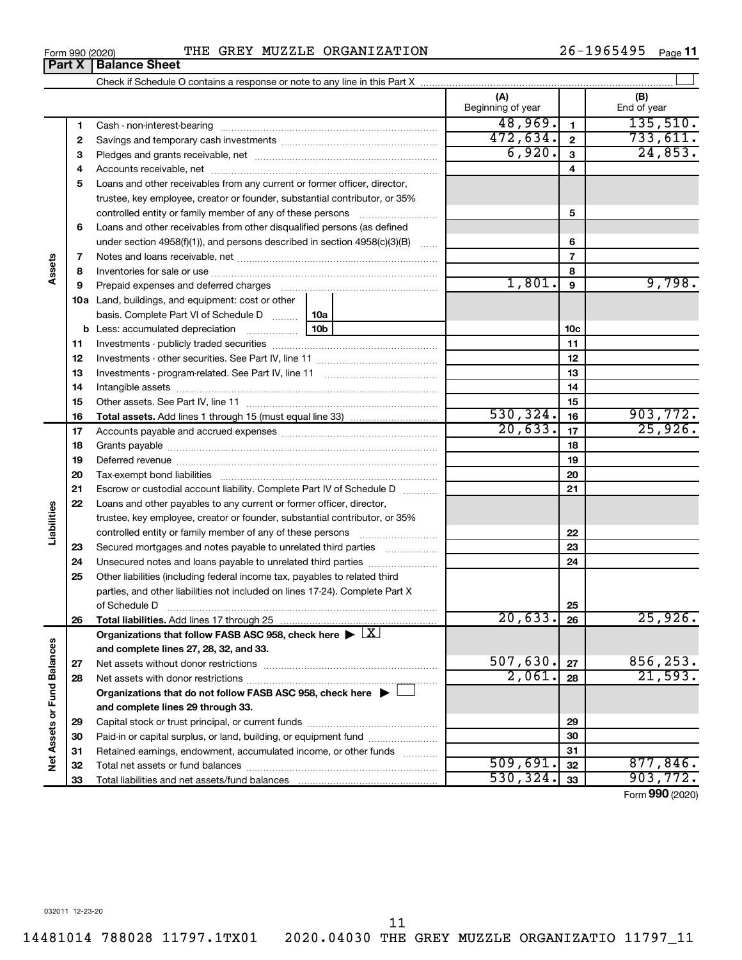**27 28**

**Net Assets or Fund Balances**

Net Assets or Fund Balances

14481014 788028 11797.1TX01 2020.04030 THE GREY MUZZLE ORGANIZATIO 11797\_11

Organizations that follow FASB ASC 958, check here  $\blacktriangleright \boxed{\text{X}}$ 

**Organizations that do not follow FASB ASC 958, check here** | †

Net assets without donor restrictions ~~~~~~~~~~~~~~~~~~~~ Net assets with donor restrictions ~~~~~~~~~~~~~~~~~~~~~~

Capital stock or trust principal, or current funds ~~~~~~~~~~~~~~~ Paid-in or capital surplus, or land, building, or equipment fund ....................... Retained earnings, endowment, accumulated income, or other funds ............ Total net assets or fund balances ~~~~~~~~~~~~~~~~~~~~~~

**and complete lines 27, 28, 32, and 33.**

**and complete lines 29 through 33.**

Total liabilities and net assets/fund balances

## Form 990 (2020) **PHE GREY MUZZLE ORGANIZATION**  $26-1965495$  Page

Check if Schedule O contains a response or note to any line in this Part X

**(A) (B) 1 2 3** Pledges and grants receivable, net ~~~~~~~~~~~~~~~~~~~~~ **4** Accounts receivable, net ~~~~~~~~~~~~~~~~~~~~~~~~~~ **5** Loans and other receivables from any current or former officer, director, **6 7 8 9 10 a** Land, buildings, and equipment: cost or other **11 12** Investments - other securities. See Part IV, line 11 ~~~~~~~~~~~~~~ **13** Investments - program-related. See Part IV, line 11 ~~~~~~~~~~~~~ **14** Intangible assets ~~~~~~~~~~~~~~~~~~~~~~~~~~~~~~ **15 16 17 18 19 20 21 22 23 24 25 26 1 2 3 4 5 6 7 8 9 10c 11 12 13 14 15 16 17 18 19 20 21 22 23 24 25 26 b** Less: accumulated depreciation  $\ldots$  [10b basis. Complete Part VI of Schedule D  $\frac{1}{10}$  10a **Total assets.**  Add lines 1 through 15 (must equal line 33) **Total liabilities.**  Add lines 17 through 25 Beginning of year | | End of year Cash - non-interest-bearing ~~~~~~~~~~~~~~~~~~~~~~~~~ Savings and temporary cash investments ~~~~~~~~~~~~~~~~~~ trustee, key employee, creator or founder, substantial contributor, or 35% controlled entity or family member of any of these persons  $\ldots$ ........................ Loans and other receivables from other disqualified persons (as defined under section 4958(f)(1)), and persons described in section  $4958(c)(3)(B)$  ...... Notes and loans receivable, net ~~~~~~~~~~~~~~~~~~~~~~~ Inventories for sale or use ~~~~~~~~~~~~~~~~~~~~~~~~~~ Prepaid expenses and deferred charges ~~~~~~~~~~~~~~~~~~ Investments - publicly traded securities ~~~~~~~~~~~~~~~~~~~ Other assets. See Part IV, line 11 ~~~~~~~~~~~~~~~~~~~~~~ Accounts payable and accrued expenses ~~~~~~~~~~~~~~~~~~ Grants payable ~~~~~~~~~~~~~~~~~~~~~~~~~~~~~~~ Deferred revenue ~~~~~~~~~~~~~~~~~~~~~~~~~~~~~~ Tax-exempt bond liabilities ~~~~~~~~~~~~~~~~~~~~~~~~~ Escrow or custodial account liability. Complete Part IV of Schedule D ........... Loans and other payables to any current or former officer, director, trustee, key employee, creator or founder, substantial contributor, or 35% controlled entity or family member of any of these persons ~~~~~~~~~ Secured mortgages and notes payable to unrelated third parties  $\ldots$ ................. Unsecured notes and loans payable to unrelated third parties Other liabilities (including federal income tax, payables to related third parties, and other liabilities not included on lines 17-24). Complete Part X of Schedule D ~~~~~~~~~~~~~~~~~~~~~~~~~~~~~~~  $48,969$ .  $1$   $135,510$ .  $472,634. |2| 733,611.$  $6,920.$  3 24,853. 1,801. 9,798.  $530,324.$   $16$  903, 772.  $20,633$ .  $17$   $25,926$ . 20,633. 25,926.

Form (2020) **990**

**27 28**

 $507,630. |z_7|$  856,253.  $2,061$ .  $|28|$  21,593.

 $\overline{509,691.}$  32 | 877,846.  $530,324.$   $33$  903, 772.

 $\perp$ 

11

**Part X** | **Balance Sheet** 

**Assets**

**Liabilities**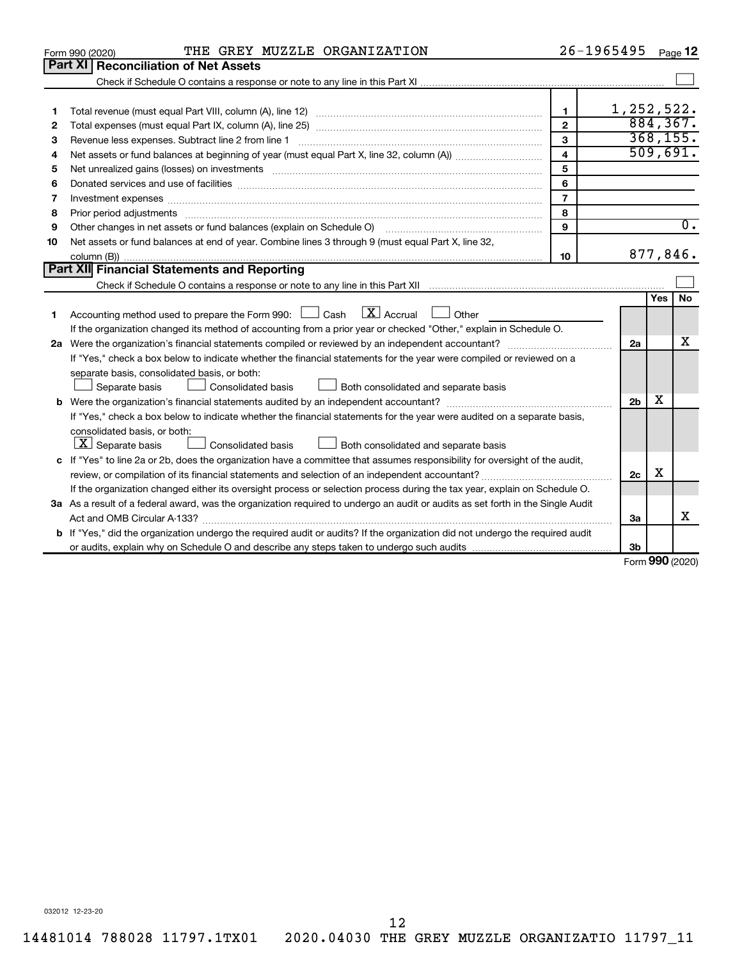|    | THE GREY MUZZLE ORGANIZATION<br>Form 990 (2020)                                                                                                                                                                                |                         | 26-1965495     |                 | Page 12          |
|----|--------------------------------------------------------------------------------------------------------------------------------------------------------------------------------------------------------------------------------|-------------------------|----------------|-----------------|------------------|
|    | <b>Part XI Reconciliation of Net Assets</b>                                                                                                                                                                                    |                         |                |                 |                  |
|    |                                                                                                                                                                                                                                |                         |                |                 |                  |
|    |                                                                                                                                                                                                                                |                         |                |                 |                  |
| 1  |                                                                                                                                                                                                                                | $\mathbf{1}$            | 1,252,522.     |                 |                  |
| 2  |                                                                                                                                                                                                                                | $\overline{2}$          |                |                 | 884, 367.        |
| З  | Revenue less expenses. Subtract line 2 from line 1                                                                                                                                                                             | 3                       |                |                 | 368, 155.        |
| 4  |                                                                                                                                                                                                                                | $\overline{\mathbf{4}}$ |                |                 | 509,691.         |
| 5  | Net unrealized gains (losses) on investments [11] matter than the control of the state of the state of the state of the state of the state of the state of the state of the state of the state of the state of the state of th | 5                       |                |                 |                  |
| 6  | Donated services and use of facilities [[111] matter contracts and all the services and use of facilities [[11                                                                                                                 | 6                       |                |                 |                  |
| 7  |                                                                                                                                                                                                                                | $\overline{7}$          |                |                 |                  |
| 8  |                                                                                                                                                                                                                                | 8                       |                |                 |                  |
| 9  | Other changes in net assets or fund balances (explain on Schedule O)                                                                                                                                                           | $\mathbf{9}$            |                |                 | $\overline{0}$ . |
| 10 | Net assets or fund balances at end of year. Combine lines 3 through 9 (must equal Part X, line 32,                                                                                                                             |                         |                |                 |                  |
|    |                                                                                                                                                                                                                                | 10                      |                |                 | 877,846.         |
|    | Part XII Financial Statements and Reporting                                                                                                                                                                                    |                         |                |                 |                  |
|    |                                                                                                                                                                                                                                |                         |                |                 |                  |
|    |                                                                                                                                                                                                                                |                         |                | Yes             | <b>No</b>        |
| 1  | Accounting method used to prepare the Form 990: $\Box$ Cash $\Box$ Accrual $\Box$ Other                                                                                                                                        |                         |                |                 |                  |
|    | If the organization changed its method of accounting from a prior year or checked "Other," explain in Schedule O.                                                                                                              |                         |                |                 |                  |
|    |                                                                                                                                                                                                                                |                         | 2a             |                 | x                |
|    | If "Yes," check a box below to indicate whether the financial statements for the year were compiled or reviewed on a                                                                                                           |                         |                |                 |                  |
|    | separate basis, consolidated basis, or both:                                                                                                                                                                                   |                         |                |                 |                  |
|    | Consolidated basis<br>Both consolidated and separate basis<br>Separate basis                                                                                                                                                   |                         |                |                 |                  |
|    |                                                                                                                                                                                                                                |                         | 2 <sub>b</sub> | x               |                  |
|    | If "Yes," check a box below to indicate whether the financial statements for the year were audited on a separate basis,                                                                                                        |                         |                |                 |                  |
|    | consolidated basis, or both:                                                                                                                                                                                                   |                         |                |                 |                  |
|    | $ \mathbf{X} $ Separate basis<br>Consolidated basis<br>Both consolidated and separate basis                                                                                                                                    |                         |                |                 |                  |
|    | c If "Yes" to line 2a or 2b, does the organization have a committee that assumes responsibility for oversight of the audit,                                                                                                    |                         |                |                 |                  |
|    |                                                                                                                                                                                                                                |                         | 2c             | х               |                  |
|    | If the organization changed either its oversight process or selection process during the tax year, explain on Schedule O.                                                                                                      |                         |                |                 |                  |
|    | 3a As a result of a federal award, was the organization required to undergo an audit or audits as set forth in the Single Audit                                                                                                |                         |                |                 |                  |
|    |                                                                                                                                                                                                                                |                         | За             |                 | x                |
|    | <b>b</b> If "Yes," did the organization undergo the required audit or audits? If the organization did not undergo the required audit                                                                                           |                         |                |                 |                  |
|    |                                                                                                                                                                                                                                |                         | 3b             | $000 \times 20$ |                  |
|    |                                                                                                                                                                                                                                |                         |                |                 |                  |

Form (2020) **990**

032012 12-23-20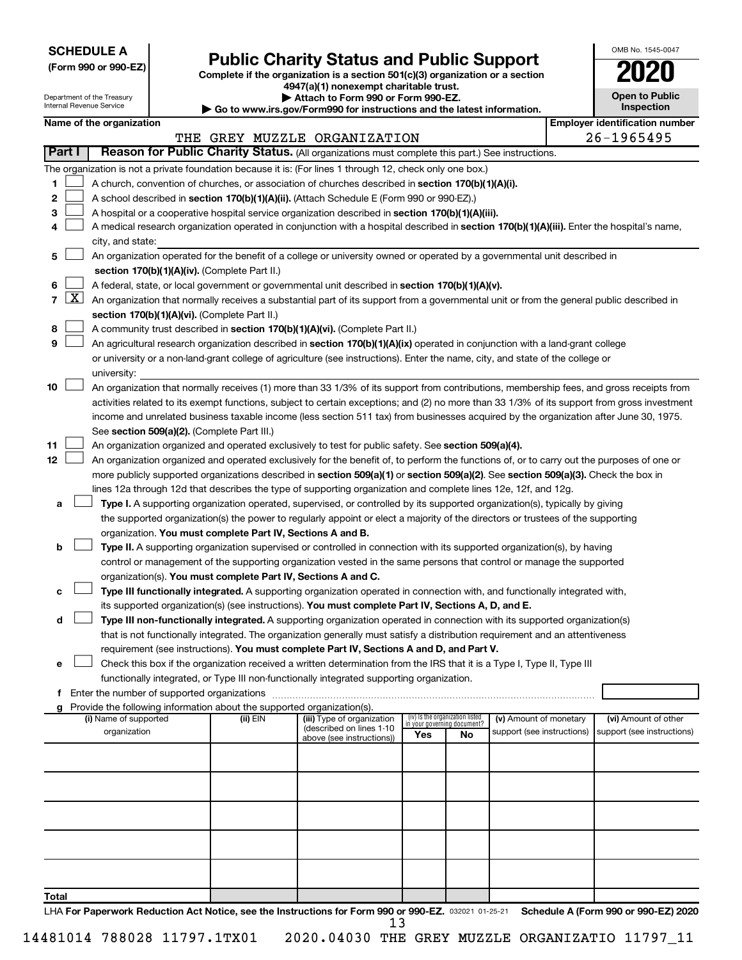| <b>SCHEDULE A</b> |  |
|-------------------|--|
|-------------------|--|

I

| (Form 990 or 990-EZ) |  |  |  |
|----------------------|--|--|--|
|----------------------|--|--|--|

# **Public Charity Status and Public Support**<br> **Addition is a section 501(c)(3) organization or a section**<br>  $4947(a)(1)$  nonexempt charitable trust.

**(Form 990 or 990-EZ) Complete if the organization is a section 501(c)(3) organization or a section**

| OMB No. 1545-0047                   |
|-------------------------------------|
| 020                                 |
| <b>Open to Public</b><br>Inspection |
|                                     |

| 4947 (a) Trionexempt charitable trust.<br><b>Open to Public</b><br>Department of the Treasury<br>▶ Attach to Form 990 or Form 990-EZ.<br><b>Internal Revenue Service</b><br>Inspection<br>► Go to www.irs.gov/Form990 for instructions and the latest information. |                     |                          |  |                                                                          |                                                                                                                                              |     |                                                                |                            |                                       |  |
|--------------------------------------------------------------------------------------------------------------------------------------------------------------------------------------------------------------------------------------------------------------------|---------------------|--------------------------|--|--------------------------------------------------------------------------|----------------------------------------------------------------------------------------------------------------------------------------------|-----|----------------------------------------------------------------|----------------------------|---------------------------------------|--|
|                                                                                                                                                                                                                                                                    |                     | Name of the organization |  |                                                                          |                                                                                                                                              |     |                                                                |                            | <b>Employer identification number</b> |  |
|                                                                                                                                                                                                                                                                    |                     |                          |  |                                                                          | THE GREY MUZZLE ORGANIZATION                                                                                                                 |     |                                                                |                            | 26-1965495                            |  |
|                                                                                                                                                                                                                                                                    | Part I              |                          |  |                                                                          | Reason for Public Charity Status. (All organizations must complete this part.) See instructions.                                             |     |                                                                |                            |                                       |  |
|                                                                                                                                                                                                                                                                    |                     |                          |  |                                                                          |                                                                                                                                              |     |                                                                |                            |                                       |  |
|                                                                                                                                                                                                                                                                    |                     |                          |  |                                                                          | The organization is not a private foundation because it is: (For lines 1 through 12, check only one box.)                                    |     |                                                                |                            |                                       |  |
| 1                                                                                                                                                                                                                                                                  |                     |                          |  |                                                                          | A church, convention of churches, or association of churches described in section 170(b)(1)(A)(i).                                           |     |                                                                |                            |                                       |  |
| 2                                                                                                                                                                                                                                                                  |                     |                          |  |                                                                          | A school described in section 170(b)(1)(A)(ii). (Attach Schedule E (Form 990 or 990-EZ).)                                                    |     |                                                                |                            |                                       |  |
| 3                                                                                                                                                                                                                                                                  |                     |                          |  |                                                                          | A hospital or a cooperative hospital service organization described in section 170(b)(1)(A)(iii).                                            |     |                                                                |                            |                                       |  |
|                                                                                                                                                                                                                                                                    |                     |                          |  |                                                                          | A medical research organization operated in conjunction with a hospital described in section 170(b)(1)(A)(iii). Enter the hospital's name,   |     |                                                                |                            |                                       |  |
|                                                                                                                                                                                                                                                                    |                     | city, and state:         |  |                                                                          |                                                                                                                                              |     |                                                                |                            |                                       |  |
| 5                                                                                                                                                                                                                                                                  |                     |                          |  |                                                                          | An organization operated for the benefit of a college or university owned or operated by a governmental unit described in                    |     |                                                                |                            |                                       |  |
|                                                                                                                                                                                                                                                                    |                     |                          |  | section 170(b)(1)(A)(iv). (Complete Part II.)                            |                                                                                                                                              |     |                                                                |                            |                                       |  |
|                                                                                                                                                                                                                                                                    |                     |                          |  |                                                                          | A federal, state, or local government or governmental unit described in section 170(b)(1)(A)(v).                                             |     |                                                                |                            |                                       |  |
| $\overline{7}$                                                                                                                                                                                                                                                     | $\lfloor x \rfloor$ |                          |  |                                                                          | An organization that normally receives a substantial part of its support from a governmental unit or from the general public described in    |     |                                                                |                            |                                       |  |
|                                                                                                                                                                                                                                                                    |                     |                          |  | section 170(b)(1)(A)(vi). (Complete Part II.)                            |                                                                                                                                              |     |                                                                |                            |                                       |  |
| 8                                                                                                                                                                                                                                                                  |                     |                          |  |                                                                          | A community trust described in section 170(b)(1)(A)(vi). (Complete Part II.)                                                                 |     |                                                                |                            |                                       |  |
| 9                                                                                                                                                                                                                                                                  |                     |                          |  |                                                                          | An agricultural research organization described in section 170(b)(1)(A)(ix) operated in conjunction with a land-grant college                |     |                                                                |                            |                                       |  |
|                                                                                                                                                                                                                                                                    |                     |                          |  |                                                                          | or university or a non-land-grant college of agriculture (see instructions). Enter the name, city, and state of the college or               |     |                                                                |                            |                                       |  |
|                                                                                                                                                                                                                                                                    |                     | university:              |  |                                                                          |                                                                                                                                              |     |                                                                |                            |                                       |  |
| 10                                                                                                                                                                                                                                                                 |                     |                          |  |                                                                          | An organization that normally receives (1) more than 33 1/3% of its support from contributions, membership fees, and gross receipts from     |     |                                                                |                            |                                       |  |
|                                                                                                                                                                                                                                                                    |                     |                          |  |                                                                          | activities related to its exempt functions, subject to certain exceptions; and (2) no more than 33 1/3% of its support from gross investment |     |                                                                |                            |                                       |  |
|                                                                                                                                                                                                                                                                    |                     |                          |  |                                                                          | income and unrelated business taxable income (less section 511 tax) from businesses acquired by the organization after June 30, 1975.        |     |                                                                |                            |                                       |  |
|                                                                                                                                                                                                                                                                    |                     |                          |  | See section 509(a)(2). (Complete Part III.)                              |                                                                                                                                              |     |                                                                |                            |                                       |  |
| 11                                                                                                                                                                                                                                                                 |                     |                          |  |                                                                          | An organization organized and operated exclusively to test for public safety. See section 509(a)(4).                                         |     |                                                                |                            |                                       |  |
| 12                                                                                                                                                                                                                                                                 |                     |                          |  |                                                                          | An organization organized and operated exclusively for the benefit of, to perform the functions of, or to carry out the purposes of one or   |     |                                                                |                            |                                       |  |
|                                                                                                                                                                                                                                                                    |                     |                          |  |                                                                          | more publicly supported organizations described in section 509(a)(1) or section 509(a)(2). See section 509(a)(3). Check the box in           |     |                                                                |                            |                                       |  |
|                                                                                                                                                                                                                                                                    |                     |                          |  |                                                                          | lines 12a through 12d that describes the type of supporting organization and complete lines 12e, 12f, and 12g.                               |     |                                                                |                            |                                       |  |
| а                                                                                                                                                                                                                                                                  |                     |                          |  |                                                                          | Type I. A supporting organization operated, supervised, or controlled by its supported organization(s), typically by giving                  |     |                                                                |                            |                                       |  |
|                                                                                                                                                                                                                                                                    |                     |                          |  |                                                                          | the supported organization(s) the power to regularly appoint or elect a majority of the directors or trustees of the supporting              |     |                                                                |                            |                                       |  |
|                                                                                                                                                                                                                                                                    |                     |                          |  | organization. You must complete Part IV, Sections A and B.               |                                                                                                                                              |     |                                                                |                            |                                       |  |
| b                                                                                                                                                                                                                                                                  |                     |                          |  |                                                                          | Type II. A supporting organization supervised or controlled in connection with its supported organization(s), by having                      |     |                                                                |                            |                                       |  |
|                                                                                                                                                                                                                                                                    |                     |                          |  |                                                                          | control or management of the supporting organization vested in the same persons that control or manage the supported                         |     |                                                                |                            |                                       |  |
|                                                                                                                                                                                                                                                                    |                     |                          |  | organization(s). You must complete Part IV, Sections A and C.            |                                                                                                                                              |     |                                                                |                            |                                       |  |
| с                                                                                                                                                                                                                                                                  |                     |                          |  |                                                                          | Type III functionally integrated. A supporting organization operated in connection with, and functionally integrated with,                   |     |                                                                |                            |                                       |  |
|                                                                                                                                                                                                                                                                    |                     |                          |  |                                                                          | its supported organization(s) (see instructions). You must complete Part IV, Sections A, D, and E.                                           |     |                                                                |                            |                                       |  |
| d                                                                                                                                                                                                                                                                  |                     |                          |  |                                                                          | Type III non-functionally integrated. A supporting organization operated in connection with its supported organization(s)                    |     |                                                                |                            |                                       |  |
|                                                                                                                                                                                                                                                                    |                     |                          |  |                                                                          | that is not functionally integrated. The organization generally must satisfy a distribution requirement and an attentiveness                 |     |                                                                |                            |                                       |  |
|                                                                                                                                                                                                                                                                    |                     |                          |  |                                                                          | requirement (see instructions). You must complete Part IV, Sections A and D, and Part V.                                                     |     |                                                                |                            |                                       |  |
| е                                                                                                                                                                                                                                                                  |                     |                          |  |                                                                          | Check this box if the organization received a written determination from the IRS that it is a Type I, Type II, Type III                      |     |                                                                |                            |                                       |  |
|                                                                                                                                                                                                                                                                    |                     |                          |  |                                                                          | functionally integrated, or Type III non-functionally integrated supporting organization.                                                    |     |                                                                |                            |                                       |  |
|                                                                                                                                                                                                                                                                    |                     |                          |  |                                                                          |                                                                                                                                              |     |                                                                |                            |                                       |  |
|                                                                                                                                                                                                                                                                    |                     |                          |  | g Provide the following information about the supported organization(s). |                                                                                                                                              |     |                                                                |                            |                                       |  |
|                                                                                                                                                                                                                                                                    |                     | (i) Name of supported    |  | (ii) EIN                                                                 | (iii) Type of organization<br>(described on lines 1-10                                                                                       |     | (iv) Is the organization listed<br>in your governing document? | (v) Amount of monetary     | (vi) Amount of other                  |  |
|                                                                                                                                                                                                                                                                    |                     | organization             |  |                                                                          | above (see instructions))                                                                                                                    | Yes | No                                                             | support (see instructions) | support (see instructions)            |  |
|                                                                                                                                                                                                                                                                    |                     |                          |  |                                                                          |                                                                                                                                              |     |                                                                |                            |                                       |  |
|                                                                                                                                                                                                                                                                    |                     |                          |  |                                                                          |                                                                                                                                              |     |                                                                |                            |                                       |  |
|                                                                                                                                                                                                                                                                    |                     |                          |  |                                                                          |                                                                                                                                              |     |                                                                |                            |                                       |  |
|                                                                                                                                                                                                                                                                    |                     |                          |  |                                                                          |                                                                                                                                              |     |                                                                |                            |                                       |  |
|                                                                                                                                                                                                                                                                    |                     |                          |  |                                                                          |                                                                                                                                              |     |                                                                |                            |                                       |  |
|                                                                                                                                                                                                                                                                    |                     |                          |  |                                                                          |                                                                                                                                              |     |                                                                |                            |                                       |  |
|                                                                                                                                                                                                                                                                    |                     |                          |  |                                                                          |                                                                                                                                              |     |                                                                |                            |                                       |  |
|                                                                                                                                                                                                                                                                    |                     |                          |  |                                                                          |                                                                                                                                              |     |                                                                |                            |                                       |  |
|                                                                                                                                                                                                                                                                    |                     |                          |  |                                                                          |                                                                                                                                              |     |                                                                |                            |                                       |  |
|                                                                                                                                                                                                                                                                    |                     |                          |  |                                                                          |                                                                                                                                              |     |                                                                |                            |                                       |  |
| Total                                                                                                                                                                                                                                                              |                     |                          |  |                                                                          |                                                                                                                                              |     |                                                                |                            |                                       |  |

LHA For Paperwork Reduction Act Notice, see the Instructions for Form 990 or 990-EZ. 032021 01-25-21 Schedule A (Form 990 or 990-EZ) 2020 13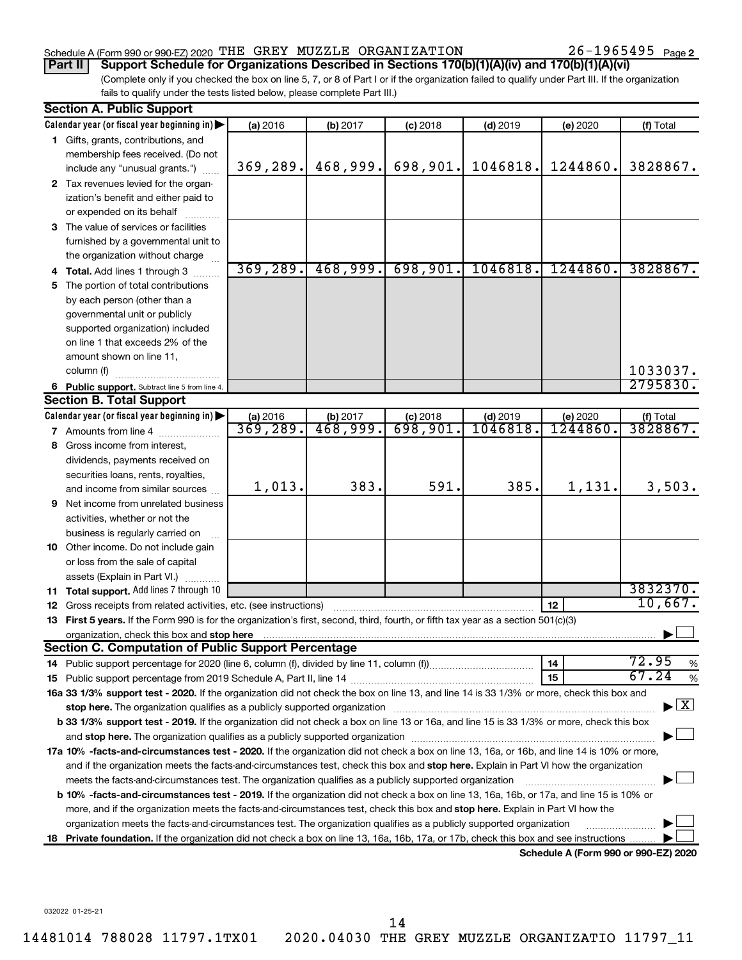## Schedule A (Form 990 or 990-EZ) 2020 Page THE GREY MUZZLE ORGANIZATION 26-1965495

26-1965495 Page 2

## **Part II Support Schedule for Organizations Described in Sections 170(b)(1)(A)(iv) and 170(b)(1)(A)(vi)**

(Complete only if you checked the box on line 5, 7, or 8 of Part I or if the organization failed to qualify under Part III. If the organization fails to qualify under the tests listed below, please complete Part III.)

|    | <b>Section A. Public Support</b>                                                                                                           |           |                        |            |            |                                      |                                          |
|----|--------------------------------------------------------------------------------------------------------------------------------------------|-----------|------------------------|------------|------------|--------------------------------------|------------------------------------------|
|    | Calendar year (or fiscal year beginning in)                                                                                                | (a) 2016  | (b) 2017               | $(c)$ 2018 | $(d)$ 2019 | (e) 2020                             | (f) Total                                |
|    | 1 Gifts, grants, contributions, and                                                                                                        |           |                        |            |            |                                      |                                          |
|    | membership fees received. (Do not                                                                                                          |           |                        |            |            |                                      |                                          |
|    | include any "unusual grants.")                                                                                                             | 369,289.  | 468,999.               | 698,901.   | 1046818.   | 1244860.                             | 3828867.                                 |
|    | 2 Tax revenues levied for the organ-                                                                                                       |           |                        |            |            |                                      |                                          |
|    | ization's benefit and either paid to                                                                                                       |           |                        |            |            |                                      |                                          |
|    | or expended on its behalf                                                                                                                  |           |                        |            |            |                                      |                                          |
|    | 3 The value of services or facilities                                                                                                      |           |                        |            |            |                                      |                                          |
|    | furnished by a governmental unit to                                                                                                        |           |                        |            |            |                                      |                                          |
|    | the organization without charge                                                                                                            |           |                        |            |            |                                      |                                          |
|    | 4 Total. Add lines 1 through 3                                                                                                             | 369, 289. | 468,999.               | 698,901.   | 1046818.   | 1244860.                             | 3828867.                                 |
| 5. | The portion of total contributions                                                                                                         |           |                        |            |            |                                      |                                          |
|    | by each person (other than a                                                                                                               |           |                        |            |            |                                      |                                          |
|    | governmental unit or publicly                                                                                                              |           |                        |            |            |                                      |                                          |
|    | supported organization) included                                                                                                           |           |                        |            |            |                                      |                                          |
|    | on line 1 that exceeds 2% of the                                                                                                           |           |                        |            |            |                                      |                                          |
|    | amount shown on line 11,                                                                                                                   |           |                        |            |            |                                      |                                          |
|    | column (f)                                                                                                                                 |           |                        |            |            |                                      | 1033037.                                 |
|    | 6 Public support. Subtract line 5 from line 4.                                                                                             |           |                        |            |            |                                      | 2795830.                                 |
|    | <b>Section B. Total Support</b>                                                                                                            |           |                        |            |            |                                      |                                          |
|    | Calendar year (or fiscal year beginning in)                                                                                                | (a) 2016  | (b) 2017               | $(c)$ 2018 | $(d)$ 2019 | (e) 2020                             | (f) Total                                |
|    | <b>7</b> Amounts from line 4                                                                                                               | 369,289.  | $\overline{468,999}$ . | 698,901.   | 1046818    | 1244860.                             | 3828867.                                 |
|    | 8 Gross income from interest,                                                                                                              |           |                        |            |            |                                      |                                          |
|    | dividends, payments received on                                                                                                            |           |                        |            |            |                                      |                                          |
|    | securities loans, rents, royalties,                                                                                                        |           |                        |            |            |                                      |                                          |
|    | and income from similar sources                                                                                                            | 1,013.    | 383.                   | 591.       | 385.       | 1,131.                               | 3,503.                                   |
|    | <b>9</b> Net income from unrelated business                                                                                                |           |                        |            |            |                                      |                                          |
|    | activities, whether or not the                                                                                                             |           |                        |            |            |                                      |                                          |
|    | business is regularly carried on                                                                                                           |           |                        |            |            |                                      |                                          |
|    | 10 Other income. Do not include gain                                                                                                       |           |                        |            |            |                                      |                                          |
|    | or loss from the sale of capital                                                                                                           |           |                        |            |            |                                      |                                          |
|    | assets (Explain in Part VI.)                                                                                                               |           |                        |            |            |                                      |                                          |
|    | 11 Total support. Add lines 7 through 10                                                                                                   |           |                        |            |            |                                      | 3832370.                                 |
|    | <b>12</b> Gross receipts from related activities, etc. (see instructions)                                                                  |           |                        |            |            | 12                                   | 10,667.                                  |
|    | 13 First 5 years. If the Form 990 is for the organization's first, second, third, fourth, or fifth tax year as a section 501(c)(3)         |           |                        |            |            |                                      |                                          |
|    | organization, check this box and stop here<br><b>Section C. Computation of Public Support Percentage</b>                                   |           |                        |            |            |                                      |                                          |
|    |                                                                                                                                            |           |                        |            |            | 14                                   | 72.95                                    |
|    |                                                                                                                                            |           |                        |            |            | 15                                   | %<br>67.24<br>%                          |
|    | 16a 33 1/3% support test - 2020. If the organization did not check the box on line 13, and line 14 is 33 1/3% or more, check this box and  |           |                        |            |            |                                      |                                          |
|    | stop here. The organization qualifies as a publicly supported organization                                                                 |           |                        |            |            |                                      | $\blacktriangleright$ $\boxed{\text{X}}$ |
|    | b 33 1/3% support test - 2019. If the organization did not check a box on line 13 or 16a, and line 15 is 33 1/3% or more, check this box   |           |                        |            |            |                                      |                                          |
|    |                                                                                                                                            |           |                        |            |            |                                      |                                          |
|    | 17a 10% -facts-and-circumstances test - 2020. If the organization did not check a box on line 13, 16a, or 16b, and line 14 is 10% or more, |           |                        |            |            |                                      |                                          |
|    | and if the organization meets the facts-and-circumstances test, check this box and stop here. Explain in Part VI how the organization      |           |                        |            |            |                                      |                                          |
|    | meets the facts-and-circumstances test. The organization qualifies as a publicly supported organization                                    |           |                        |            |            |                                      |                                          |
|    | b 10% -facts-and-circumstances test - 2019. If the organization did not check a box on line 13, 16a, 16b, or 17a, and line 15 is 10% or    |           |                        |            |            |                                      |                                          |
|    | more, and if the organization meets the facts-and-circumstances test, check this box and stop here. Explain in Part VI how the             |           |                        |            |            |                                      |                                          |
|    | organization meets the facts-and-circumstances test. The organization qualifies as a publicly supported organization                       |           |                        |            |            |                                      |                                          |
|    | 18 Private foundation. If the organization did not check a box on line 13, 16a, 16b, 17a, or 17b, check this box and see instructions      |           |                        |            |            |                                      |                                          |
|    |                                                                                                                                            |           |                        |            |            | Schedule A (Form 990 or 990-EZ) 2020 |                                          |

032022 01-25-21

14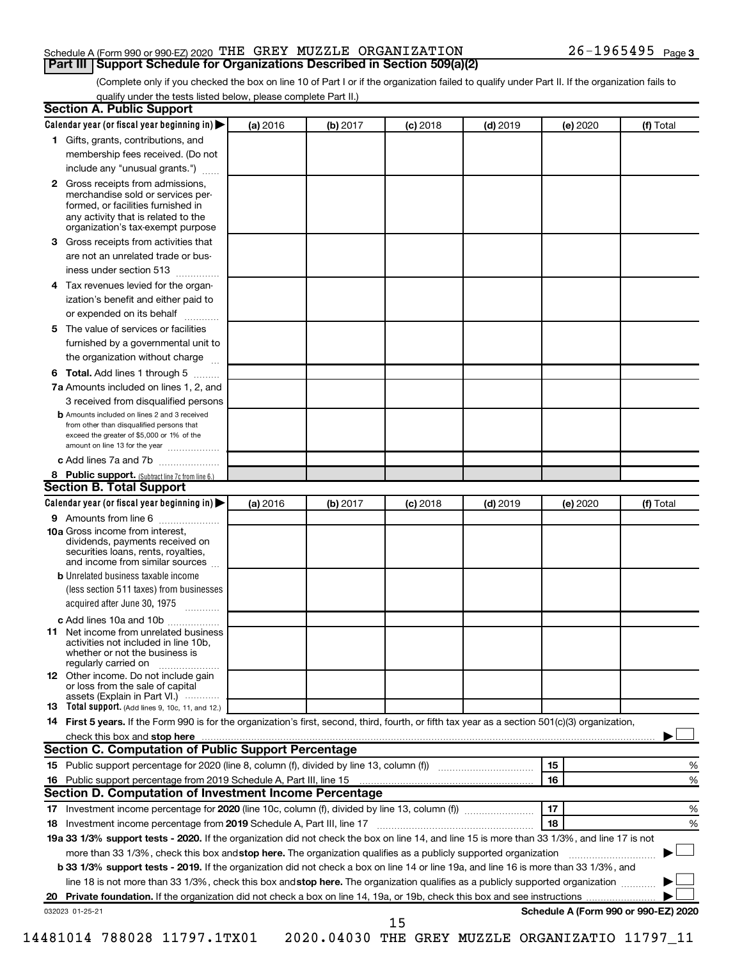#### Schedule A (Form 990 or 990-EZ) 2020 Page THE GREY MUZZLE ORGANIZATION 26-1965495 **Part III Support Schedule for Organizations Described in Section 509(a)(2)**

(Complete only if you checked the box on line 10 of Part I or if the organization failed to qualify under Part II. If the organization fails to qualify under the tests listed below, please complete Part II.)

| <b>Section A. Public Support</b>                                                                                                                                                                                               |          |          |            |            |          |                                      |
|--------------------------------------------------------------------------------------------------------------------------------------------------------------------------------------------------------------------------------|----------|----------|------------|------------|----------|--------------------------------------|
| Calendar year (or fiscal year beginning in)                                                                                                                                                                                    | (a) 2016 | (b) 2017 | $(c)$ 2018 | $(d)$ 2019 | (e) 2020 | (f) Total                            |
| 1 Gifts, grants, contributions, and                                                                                                                                                                                            |          |          |            |            |          |                                      |
| membership fees received. (Do not                                                                                                                                                                                              |          |          |            |            |          |                                      |
| include any "unusual grants.")                                                                                                                                                                                                 |          |          |            |            |          |                                      |
| 2 Gross receipts from admissions,<br>merchandise sold or services per-<br>formed, or facilities furnished in<br>any activity that is related to the<br>organization's tax-exempt purpose                                       |          |          |            |            |          |                                      |
| 3 Gross receipts from activities that                                                                                                                                                                                          |          |          |            |            |          |                                      |
| are not an unrelated trade or bus-<br>iness under section 513                                                                                                                                                                  |          |          |            |            |          |                                      |
| 4 Tax revenues levied for the organ-                                                                                                                                                                                           |          |          |            |            |          |                                      |
| ization's benefit and either paid to<br>or expended on its behalf                                                                                                                                                              |          |          |            |            |          |                                      |
| 5 The value of services or facilities                                                                                                                                                                                          |          |          |            |            |          |                                      |
| furnished by a governmental unit to                                                                                                                                                                                            |          |          |            |            |          |                                      |
| the organization without charge                                                                                                                                                                                                |          |          |            |            |          |                                      |
| <b>6 Total.</b> Add lines 1 through 5                                                                                                                                                                                          |          |          |            |            |          |                                      |
| 7a Amounts included on lines 1, 2, and                                                                                                                                                                                         |          |          |            |            |          |                                      |
| 3 received from disqualified persons                                                                                                                                                                                           |          |          |            |            |          |                                      |
| <b>b</b> Amounts included on lines 2 and 3 received<br>from other than disqualified persons that<br>exceed the greater of \$5,000 or 1% of the<br>amount on line 13 for the year                                               |          |          |            |            |          |                                      |
| c Add lines 7a and 7b                                                                                                                                                                                                          |          |          |            |            |          |                                      |
| 8 Public support. (Subtract line 7c from line 6.)                                                                                                                                                                              |          |          |            |            |          |                                      |
| <b>Section B. Total Support</b>                                                                                                                                                                                                |          |          |            |            |          |                                      |
| Calendar year (or fiscal year beginning in)                                                                                                                                                                                    | (a) 2016 | (b) 2017 | (c) 2018   | $(d)$ 2019 | (e) 2020 | (f) Total                            |
| 9 Amounts from line 6                                                                                                                                                                                                          |          |          |            |            |          |                                      |
| <b>10a</b> Gross income from interest,<br>dividends, payments received on<br>securities loans, rents, royalties,<br>and income from similar sources                                                                            |          |          |            |            |          |                                      |
| <b>b</b> Unrelated business taxable income<br>(less section 511 taxes) from businesses                                                                                                                                         |          |          |            |            |          |                                      |
| acquired after June 30, 1975<br>$\frac{1}{2}$                                                                                                                                                                                  |          |          |            |            |          |                                      |
| c Add lines 10a and 10b                                                                                                                                                                                                        |          |          |            |            |          |                                      |
| 11 Net income from unrelated business<br>activities not included in line 10b.<br>whether or not the business is<br>regularly carried on                                                                                        |          |          |            |            |          |                                      |
| <b>12</b> Other income. Do not include gain<br>or loss from the sale of capital<br>assets (Explain in Part VI.)                                                                                                                |          |          |            |            |          |                                      |
| <b>13</b> Total support. (Add lines 9, 10c, 11, and 12.)                                                                                                                                                                       |          |          |            |            |          |                                      |
| 14 First 5 years. If the Form 990 is for the organization's first, second, third, fourth, or fifth tax year as a section 501(c)(3) organization,                                                                               |          |          |            |            |          |                                      |
| check this box and stop here manufactured and stop here and stop here are manufactured and stop here and stop here and stop here and stop here and stop here and stop here and stop here are all the stop of the stop of the s |          |          |            |            |          |                                      |
| Section C. Computation of Public Support Percentage                                                                                                                                                                            |          |          |            |            |          |                                      |
|                                                                                                                                                                                                                                |          |          |            |            | 15       | %                                    |
| 16 Public support percentage from 2019 Schedule A, Part III, line 15                                                                                                                                                           |          |          |            |            | 16       | %                                    |
| Section D. Computation of Investment Income Percentage                                                                                                                                                                         |          |          |            |            |          |                                      |
|                                                                                                                                                                                                                                |          |          |            |            | 17       | %                                    |
| 18 Investment income percentage from 2019 Schedule A, Part III, line 17                                                                                                                                                        |          |          |            |            | 18       | %                                    |
| 19a 33 1/3% support tests - 2020. If the organization did not check the box on line 14, and line 15 is more than 33 1/3%, and line 17 is not                                                                                   |          |          |            |            |          |                                      |
| more than 33 1/3%, check this box and stop here. The organization qualifies as a publicly supported organization                                                                                                               |          |          |            |            |          |                                      |
| b 33 1/3% support tests - 2019. If the organization did not check a box on line 14 or line 19a, and line 16 is more than 33 1/3%, and                                                                                          |          |          |            |            |          |                                      |
| line 18 is not more than 33 1/3%, check this box and stop here. The organization qualifies as a publicly supported organization                                                                                                |          |          |            |            |          |                                      |
|                                                                                                                                                                                                                                |          |          |            |            |          |                                      |
| 032023 01-25-21                                                                                                                                                                                                                |          |          |            |            |          | Schedule A (Form 990 or 990-EZ) 2020 |
|                                                                                                                                                                                                                                |          |          | 15         |            |          |                                      |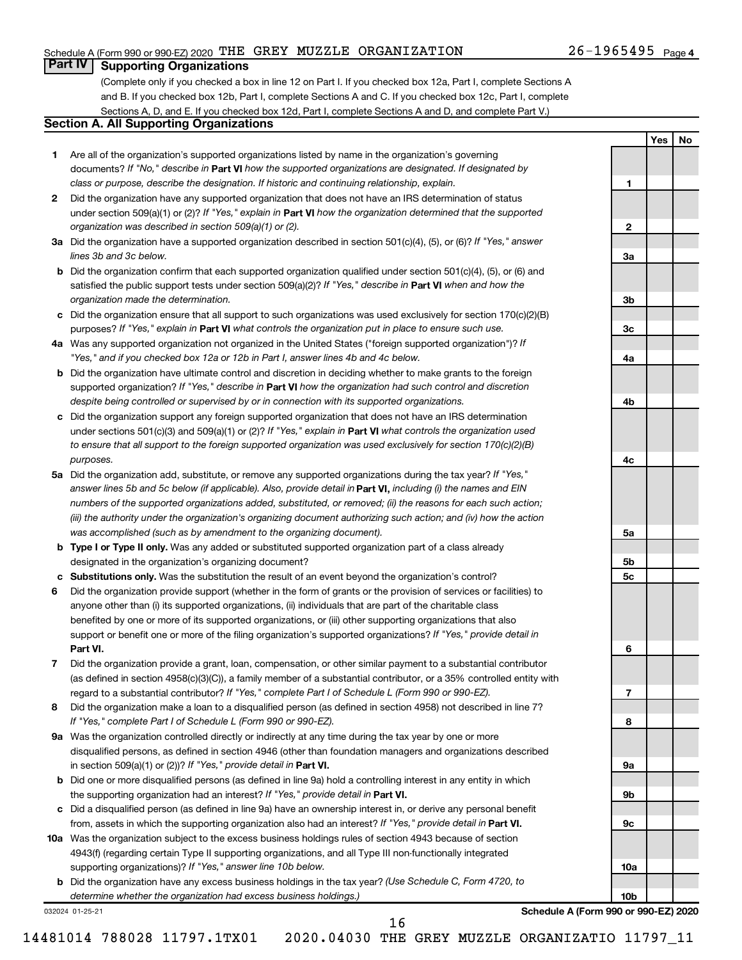**1**

**2**

**3a**

**3b**

**3c**

**4a**

**4b**

**4c**

**5a**

**5b 5c**

**6**

**7**

**8**

**9a**

**9b**

**9c**

**10a**

**10b**

**Yes No**

## **Part IV Supporting Organizations**

(Complete only if you checked a box in line 12 on Part I. If you checked box 12a, Part I, complete Sections A and B. If you checked box 12b, Part I, complete Sections A and C. If you checked box 12c, Part I, complete Sections A, D, and E. If you checked box 12d, Part I, complete Sections A and D, and complete Part V.)

## **Section A. All Supporting Organizations**

- **1** Are all of the organization's supported organizations listed by name in the organization's governing documents? If "No," describe in Part VI how the supported organizations are designated. If designated by *class or purpose, describe the designation. If historic and continuing relationship, explain.*
- **2** Did the organization have any supported organization that does not have an IRS determination of status under section 509(a)(1) or (2)? If "Yes," explain in Part **VI** how the organization determined that the supported *organization was described in section 509(a)(1) or (2).*
- **3a** Did the organization have a supported organization described in section 501(c)(4), (5), or (6)? If "Yes," answer *lines 3b and 3c below.*
- **b** Did the organization confirm that each supported organization qualified under section 501(c)(4), (5), or (6) and satisfied the public support tests under section 509(a)(2)? If "Yes," describe in Part VI when and how the *organization made the determination.*
- **c** Did the organization ensure that all support to such organizations was used exclusively for section 170(c)(2)(B) purposes? If "Yes," explain in Part VI what controls the organization put in place to ensure such use.
- **4 a** *If* Was any supported organization not organized in the United States ("foreign supported organization")? *"Yes," and if you checked box 12a or 12b in Part I, answer lines 4b and 4c below.*
- **b** Did the organization have ultimate control and discretion in deciding whether to make grants to the foreign supported organization? If "Yes," describe in Part VI how the organization had such control and discretion *despite being controlled or supervised by or in connection with its supported organizations.*
- **c** Did the organization support any foreign supported organization that does not have an IRS determination under sections 501(c)(3) and 509(a)(1) or (2)? If "Yes," explain in Part VI what controls the organization used *to ensure that all support to the foreign supported organization was used exclusively for section 170(c)(2)(B) purposes.*
- **5a** Did the organization add, substitute, or remove any supported organizations during the tax year? If "Yes," answer lines 5b and 5c below (if applicable). Also, provide detail in **Part VI,** including (i) the names and EIN *numbers of the supported organizations added, substituted, or removed; (ii) the reasons for each such action; (iii) the authority under the organization's organizing document authorizing such action; and (iv) how the action was accomplished (such as by amendment to the organizing document).*
- **b Type I or Type II only.** Was any added or substituted supported organization part of a class already designated in the organization's organizing document?
- **c Substitutions only.**  Was the substitution the result of an event beyond the organization's control?
- **6** Did the organization provide support (whether in the form of grants or the provision of services or facilities) to **Part VI.** support or benefit one or more of the filing organization's supported organizations? If "Yes," provide detail in anyone other than (i) its supported organizations, (ii) individuals that are part of the charitable class benefited by one or more of its supported organizations, or (iii) other supporting organizations that also
- **7** Did the organization provide a grant, loan, compensation, or other similar payment to a substantial contributor regard to a substantial contributor? If "Yes," complete Part I of Schedule L (Form 990 or 990-EZ). (as defined in section 4958(c)(3)(C)), a family member of a substantial contributor, or a 35% controlled entity with
- **8** Did the organization make a loan to a disqualified person (as defined in section 4958) not described in line 7? *If "Yes," complete Part I of Schedule L (Form 990 or 990-EZ).*
- **9 a** Was the organization controlled directly or indirectly at any time during the tax year by one or more in section 509(a)(1) or (2))? If "Yes," provide detail in **Part VI.** disqualified persons, as defined in section 4946 (other than foundation managers and organizations described
- **b** Did one or more disqualified persons (as defined in line 9a) hold a controlling interest in any entity in which the supporting organization had an interest? If "Yes," provide detail in Part VI.
- **c** Did a disqualified person (as defined in line 9a) have an ownership interest in, or derive any personal benefit from, assets in which the supporting organization also had an interest? If "Yes," provide detail in Part VI.
- **10 a** Was the organization subject to the excess business holdings rules of section 4943 because of section supporting organizations)? If "Yes," answer line 10b below. 4943(f) (regarding certain Type II supporting organizations, and all Type III non-functionally integrated
	- **b** Did the organization have any excess business holdings in the tax year? (Use Schedule C, Form 4720, to *determine whether the organization had excess business holdings.)*

032024 01-25-21

**Schedule A (Form 990 or 990-EZ) 2020**

16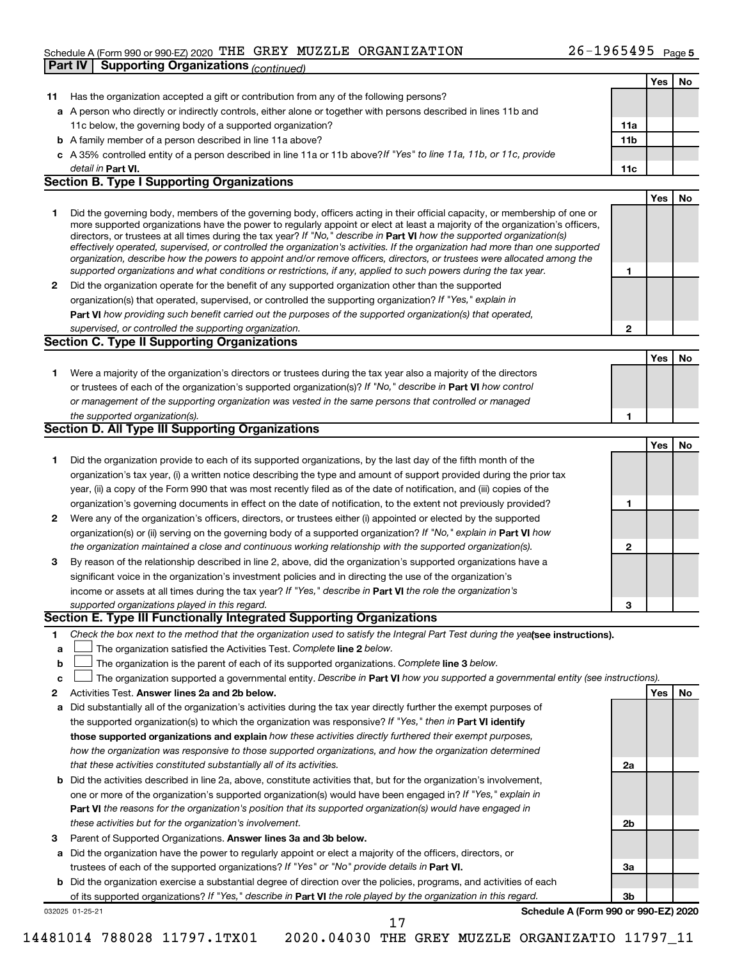## Schedule A (Form 990 or 990-EZ) 2020 Page THE GREY MUZZLE ORGANIZATION 26-1965495 **Part IV | Supporting Organizations** *(continued)*

|              |                                                                                                                                   |     | Yes | No |
|--------------|-----------------------------------------------------------------------------------------------------------------------------------|-----|-----|----|
| 11           | Has the organization accepted a gift or contribution from any of the following persons?                                           |     |     |    |
|              | a A person who directly or indirectly controls, either alone or together with persons described in lines 11b and                  |     |     |    |
|              | 11c below, the governing body of a supported organization?                                                                        | 11a |     |    |
|              | <b>b</b> A family member of a person described in line 11a above?                                                                 | 11b |     |    |
|              | c A 35% controlled entity of a person described in line 11a or 11b above?If "Yes" to line 11a, 11b, or 11c, provide               |     |     |    |
|              | detail in Part VI.                                                                                                                | 11c |     |    |
|              | <b>Section B. Type I Supporting Organizations</b>                                                                                 |     |     |    |
|              |                                                                                                                                   |     | Yes | No |
| 1.           | Did the governing body, members of the governing body, officers acting in their official capacity, or membership of one or        |     |     |    |
|              | more supported organizations have the power to regularly appoint or elect at least a majority of the organization's officers,     |     |     |    |
|              | directors, or trustees at all times during the tax year? If "No," describe in Part VI how the supported organization(s)           |     |     |    |
|              | effectively operated, supervised, or controlled the organization's activities. If the organization had more than one supported    |     |     |    |
|              | organization, describe how the powers to appoint and/or remove officers, directors, or trustees were allocated among the          |     |     |    |
|              | supported organizations and what conditions or restrictions, if any, applied to such powers during the tax year.                  | 1   |     |    |
| $\mathbf{2}$ | Did the organization operate for the benefit of any supported organization other than the supported                               |     |     |    |
|              | organization(s) that operated, supervised, or controlled the supporting organization? If "Yes," explain in                        |     |     |    |
|              | Part VI how providing such benefit carried out the purposes of the supported organization(s) that operated,                       |     |     |    |
|              | supervised, or controlled the supporting organization.                                                                            | 2   |     |    |
|              | <b>Section C. Type II Supporting Organizations</b>                                                                                |     |     |    |
|              |                                                                                                                                   |     | Yes | No |
| 1.           | Were a majority of the organization's directors or trustees during the tax year also a majority of the directors                  |     |     |    |
|              | or trustees of each of the organization's supported organization(s)? If "No," describe in Part VI how control                     |     |     |    |
|              | or management of the supporting organization was vested in the same persons that controlled or managed                            |     |     |    |
|              | the supported organization(s).                                                                                                    | 1   |     |    |
|              | Section D. All Type III Supporting Organizations                                                                                  |     |     |    |
|              |                                                                                                                                   |     | Yes | No |
| 1.           | Did the organization provide to each of its supported organizations, by the last day of the fifth month of the                    |     |     |    |
|              | organization's tax year, (i) a written notice describing the type and amount of support provided during the prior tax             |     |     |    |
|              | year, (ii) a copy of the Form 990 that was most recently filed as of the date of notification, and (iii) copies of the            |     |     |    |
|              | organization's governing documents in effect on the date of notification, to the extent not previously provided?                  | 1   |     |    |
| 2            | Were any of the organization's officers, directors, or trustees either (i) appointed or elected by the supported                  |     |     |    |
|              | organization(s) or (ii) serving on the governing body of a supported organization? If "No," explain in Part VI how                |     |     |    |
|              | the organization maintained a close and continuous working relationship with the supported organization(s).                       | 2   |     |    |
| 3            | By reason of the relationship described in line 2, above, did the organization's supported organizations have a                   |     |     |    |
|              | significant voice in the organization's investment policies and in directing the use of the organization's                        |     |     |    |
|              | income or assets at all times during the tax year? If "Yes," describe in Part VI the role the organization's                      |     |     |    |
|              | supported organizations played in this regard.                                                                                    | 3   |     |    |
|              | Section E. Type III Functionally Integrated Supporting Organizations                                                              |     |     |    |
| 1.           | Check the box next to the method that the organization used to satisfy the Integral Part Test during the yealsee instructions).   |     |     |    |
| a            | The organization satisfied the Activities Test. Complete line 2 below.                                                            |     |     |    |
| b            | The organization is the parent of each of its supported organizations. Complete line 3 below.                                     |     |     |    |
| c            | The organization supported a governmental entity. Describe in Part VI how you supported a governmental entity (see instructions). |     |     |    |
| 2            | Activities Test. Answer lines 2a and 2b below.                                                                                    |     | Yes | No |
| а            | Did substantially all of the organization's activities during the tax year directly further the exempt purposes of                |     |     |    |
|              | the supported organization(s) to which the organization was responsive? If "Yes," then in Part VI identify                        |     |     |    |
|              | those supported organizations and explain how these activities directly furthered their exempt purposes,                          |     |     |    |
|              | how the organization was responsive to those supported organizations, and how the organization determined                         |     |     |    |
|              | that these activities constituted substantially all of its activities.                                                            | 2a  |     |    |
| b            | Did the activities described in line 2a, above, constitute activities that, but for the organization's involvement,               |     |     |    |
|              | one or more of the organization's supported organization(s) would have been engaged in? If "Yes," explain in                      |     |     |    |
|              | Part VI the reasons for the organization's position that its supported organization(s) would have engaged in                      |     |     |    |
|              | these activities but for the organization's involvement.                                                                          | 2b  |     |    |
| 3            | Parent of Supported Organizations. Answer lines 3a and 3b below.                                                                  |     |     |    |
| а            | Did the organization have the power to regularly appoint or elect a majority of the officers, directors, or                       |     |     |    |
|              | trustees of each of the supported organizations? If "Yes" or "No" provide details in Part VI.                                     | За  |     |    |
|              | <b>b</b> Did the organization exercise a substantial degree of direction over the policies, programs, and activities of each      |     |     |    |
|              | of its supported organizations? If "Yes," describe in Part VI the role played by the organization in this regard.                 | 3b  |     |    |
|              | Schedule A (Form 990 or 990-EZ) 2020<br>032025 01-25-21                                                                           |     |     |    |
|              | 17                                                                                                                                |     |     |    |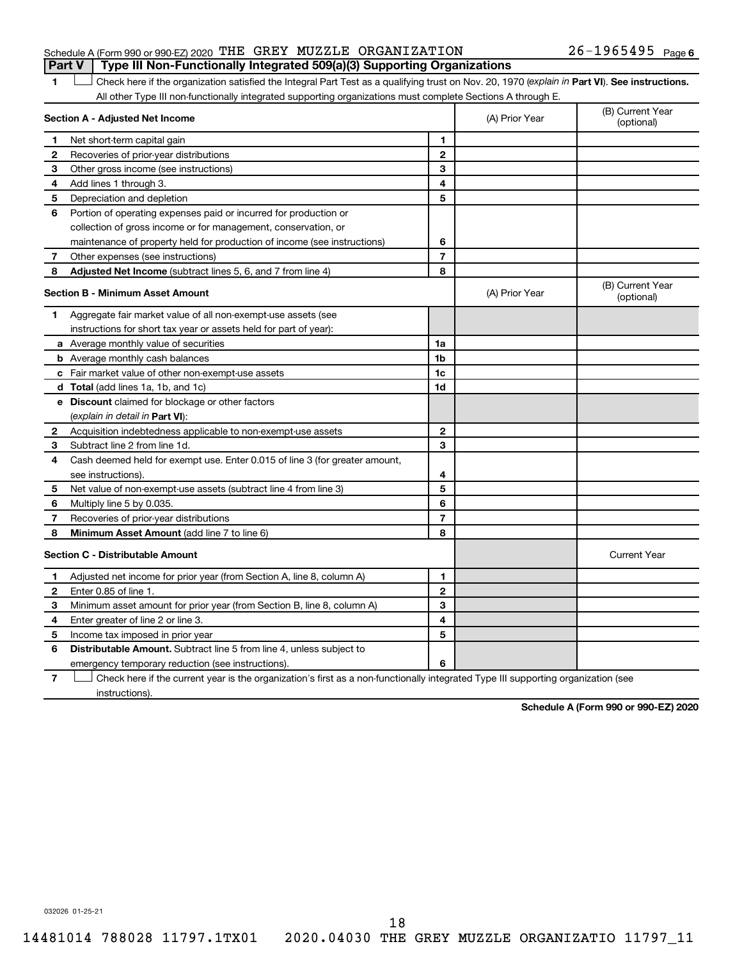#### Schedule A (Form 990 or 990-EZ) 2020 Page THE GREY MUZZLE ORGANIZATION 26-1965495 **Part V Type III Non-Functionally Integrated 509(a)(3) Supporting Organizations**

## 1 **Letter See instructions.** Check here if the organization satisfied the Integral Part Test as a qualifying trust on Nov. 20, 1970 (*explain in* Part **VI**). See instructions. All other Type III non-functionally integrated supporting organizations must complete Sections A through E.

| Section A - Adjusted Net Income |                                                                                                                                   | (A) Prior Year | (B) Current Year<br>(optional) |                                |
|---------------------------------|-----------------------------------------------------------------------------------------------------------------------------------|----------------|--------------------------------|--------------------------------|
| 1                               | Net short-term capital gain                                                                                                       | 1              |                                |                                |
| $\mathbf{2}$                    | Recoveries of prior-year distributions                                                                                            | $\mathbf{2}$   |                                |                                |
| З                               | Other gross income (see instructions)                                                                                             | 3              |                                |                                |
| 4                               | Add lines 1 through 3.                                                                                                            | 4              |                                |                                |
| 5                               | Depreciation and depletion                                                                                                        | 5              |                                |                                |
| 6                               | Portion of operating expenses paid or incurred for production or                                                                  |                |                                |                                |
|                                 | collection of gross income or for management, conservation, or                                                                    |                |                                |                                |
|                                 | maintenance of property held for production of income (see instructions)                                                          | 6              |                                |                                |
| 7                               | Other expenses (see instructions)                                                                                                 | $\overline{7}$ |                                |                                |
| 8                               | Adjusted Net Income (subtract lines 5, 6, and 7 from line 4)                                                                      | 8              |                                |                                |
|                                 | <b>Section B - Minimum Asset Amount</b>                                                                                           |                | (A) Prior Year                 | (B) Current Year<br>(optional) |
| 1                               | Aggregate fair market value of all non-exempt-use assets (see                                                                     |                |                                |                                |
|                                 | instructions for short tax year or assets held for part of year):                                                                 |                |                                |                                |
|                                 | a Average monthly value of securities                                                                                             | 1a             |                                |                                |
|                                 | <b>b</b> Average monthly cash balances                                                                                            | 1 <sub>b</sub> |                                |                                |
|                                 | c Fair market value of other non-exempt-use assets                                                                                | 1c             |                                |                                |
|                                 | d Total (add lines 1a, 1b, and 1c)                                                                                                | 1d             |                                |                                |
|                                 | e Discount claimed for blockage or other factors                                                                                  |                |                                |                                |
|                                 | (explain in detail in <b>Part VI</b> ):                                                                                           |                |                                |                                |
| 2                               | Acquisition indebtedness applicable to non-exempt-use assets                                                                      | $\mathbf{2}$   |                                |                                |
| 3                               | Subtract line 2 from line 1d.                                                                                                     | 3              |                                |                                |
| 4                               | Cash deemed held for exempt use. Enter 0.015 of line 3 (for greater amount,                                                       |                |                                |                                |
|                                 | see instructions).                                                                                                                | 4              |                                |                                |
| 5                               | Net value of non-exempt-use assets (subtract line 4 from line 3)                                                                  | 5              |                                |                                |
| 6                               | Multiply line 5 by 0.035.                                                                                                         | 6              |                                |                                |
| 7                               | Recoveries of prior-year distributions                                                                                            | $\overline{7}$ |                                |                                |
| 8                               | Minimum Asset Amount (add line 7 to line 6)                                                                                       | 8              |                                |                                |
|                                 | <b>Section C - Distributable Amount</b>                                                                                           |                |                                | <b>Current Year</b>            |
| 1                               | Adjusted net income for prior year (from Section A, line 8, column A)                                                             | 1              |                                |                                |
| 2                               | Enter 0.85 of line 1.                                                                                                             | $\overline{2}$ |                                |                                |
| 3                               | Minimum asset amount for prior year (from Section B, line 8, column A)                                                            | 3              |                                |                                |
| 4                               | Enter greater of line 2 or line 3.                                                                                                | 4              |                                |                                |
| 5                               | Income tax imposed in prior year                                                                                                  | 5              |                                |                                |
| 6                               | <b>Distributable Amount.</b> Subtract line 5 from line 4, unless subject to                                                       |                |                                |                                |
|                                 | emergency temporary reduction (see instructions).                                                                                 | 6              |                                |                                |
| 7                               | Check here if the current year is the organization's first as a non-functionally integrated Type III supporting organization (see |                |                                |                                |

**7** instructions).

**Schedule A (Form 990 or 990-EZ) 2020**

032026 01-25-21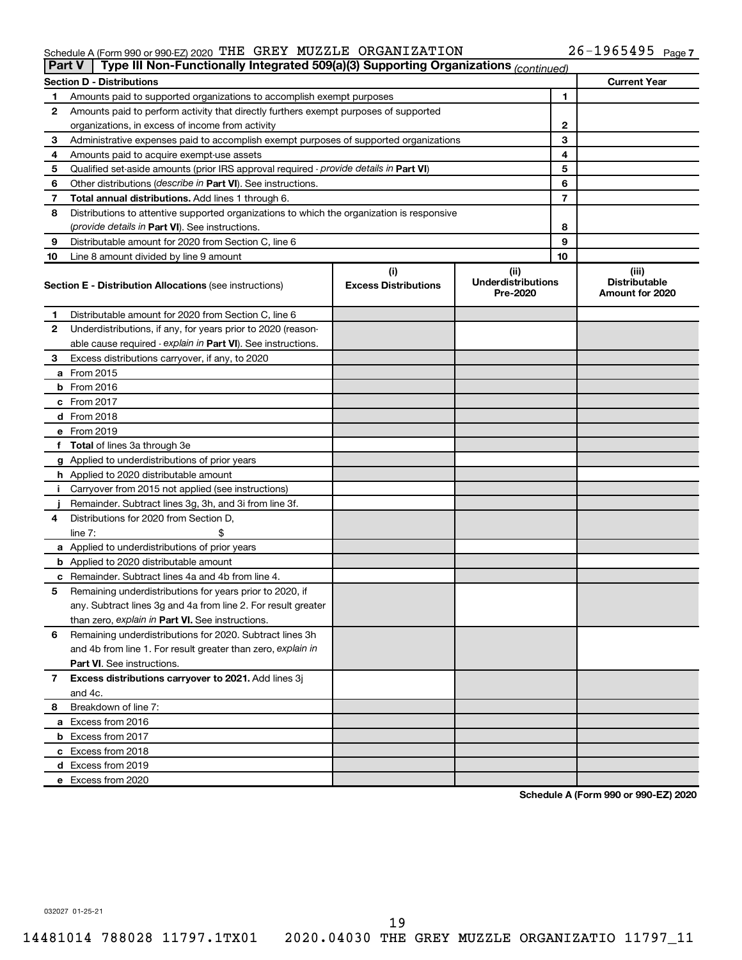#### Schedule A (Form 990 or 990-EZ) 2020 'I'HE' GREY MUZZLE' ORGANIZATION Z6-1965495 Page THE GREY MUZZLE ORGANIZATION 26-1965495

| Part V | Type III Non-Functionally Integrated 509(a)(3) Supporting Organizations (continued)        |                                    |                                               |    |                                                  |
|--------|--------------------------------------------------------------------------------------------|------------------------------------|-----------------------------------------------|----|--------------------------------------------------|
|        | <b>Section D - Distributions</b>                                                           |                                    |                                               |    | <b>Current Year</b>                              |
| 1      | Amounts paid to supported organizations to accomplish exempt purposes                      |                                    |                                               | 1  |                                                  |
| 2      | Amounts paid to perform activity that directly furthers exempt purposes of supported       |                                    |                                               |    |                                                  |
|        | organizations, in excess of income from activity                                           |                                    |                                               | 2  |                                                  |
| 3      | Administrative expenses paid to accomplish exempt purposes of supported organizations      |                                    | 3                                             |    |                                                  |
| 4      | Amounts paid to acquire exempt-use assets                                                  |                                    |                                               | 4  |                                                  |
| 5      | Qualified set-aside amounts (prior IRS approval required - provide details in Part VI)     |                                    |                                               | 5  |                                                  |
| 6      | Other distributions (describe in Part VI). See instructions.                               |                                    |                                               | 6  |                                                  |
| 7      | Total annual distributions. Add lines 1 through 6.                                         |                                    |                                               | 7  |                                                  |
| 8      | Distributions to attentive supported organizations to which the organization is responsive |                                    |                                               |    |                                                  |
|        | ( <i>provide details in Part VI</i> ). See instructions.                                   |                                    | 8                                             |    |                                                  |
| 9      | Distributable amount for 2020 from Section C, line 6                                       |                                    |                                               | 9  |                                                  |
| 10     | Line 8 amount divided by line 9 amount                                                     |                                    |                                               | 10 |                                                  |
|        | <b>Section E - Distribution Allocations (see instructions)</b>                             | (i)<br><b>Excess Distributions</b> | (ii)<br><b>Underdistributions</b><br>Pre-2020 |    | (iii)<br><b>Distributable</b><br>Amount for 2020 |
| 1      | Distributable amount for 2020 from Section C, line 6                                       |                                    |                                               |    |                                                  |
| 2      | Underdistributions, if any, for years prior to 2020 (reason-                               |                                    |                                               |    |                                                  |
|        | able cause required - explain in Part VI). See instructions.                               |                                    |                                               |    |                                                  |
| З      | Excess distributions carryover, if any, to 2020                                            |                                    |                                               |    |                                                  |
|        | a From 2015                                                                                |                                    |                                               |    |                                                  |
|        | $b$ From 2016                                                                              |                                    |                                               |    |                                                  |
|        | c From 2017                                                                                |                                    |                                               |    |                                                  |
|        | <b>d</b> From 2018                                                                         |                                    |                                               |    |                                                  |
|        | e From 2019                                                                                |                                    |                                               |    |                                                  |
|        | f Total of lines 3a through 3e                                                             |                                    |                                               |    |                                                  |
|        | g Applied to underdistributions of prior years                                             |                                    |                                               |    |                                                  |
|        | <b>h</b> Applied to 2020 distributable amount                                              |                                    |                                               |    |                                                  |
| Ť.     | Carryover from 2015 not applied (see instructions)                                         |                                    |                                               |    |                                                  |
|        | Remainder. Subtract lines 3g, 3h, and 3i from line 3f.                                     |                                    |                                               |    |                                                  |
| 4      | Distributions for 2020 from Section D,                                                     |                                    |                                               |    |                                                  |
|        | line 7:                                                                                    |                                    |                                               |    |                                                  |
|        | a Applied to underdistributions of prior years                                             |                                    |                                               |    |                                                  |
|        | <b>b</b> Applied to 2020 distributable amount                                              |                                    |                                               |    |                                                  |
|        | c Remainder. Subtract lines 4a and 4b from line 4.                                         |                                    |                                               |    |                                                  |
| 5      | Remaining underdistributions for years prior to 2020, if                                   |                                    |                                               |    |                                                  |
|        | any. Subtract lines 3g and 4a from line 2. For result greater                              |                                    |                                               |    |                                                  |
|        | than zero, explain in Part VI. See instructions.                                           |                                    |                                               |    |                                                  |
| 6      | Remaining underdistributions for 2020. Subtract lines 3h                                   |                                    |                                               |    |                                                  |
|        | and 4b from line 1. For result greater than zero, explain in                               |                                    |                                               |    |                                                  |
|        | <b>Part VI.</b> See instructions.                                                          |                                    |                                               |    |                                                  |
| 7      | Excess distributions carryover to 2021. Add lines 3j                                       |                                    |                                               |    |                                                  |
|        | and 4c.                                                                                    |                                    |                                               |    |                                                  |
| 8      | Breakdown of line 7:                                                                       |                                    |                                               |    |                                                  |
|        | a Excess from 2016                                                                         |                                    |                                               |    |                                                  |
|        | <b>b</b> Excess from 2017                                                                  |                                    |                                               |    |                                                  |
|        | c Excess from 2018                                                                         |                                    |                                               |    |                                                  |
|        | d Excess from 2019                                                                         |                                    |                                               |    |                                                  |
|        | e Excess from 2020                                                                         |                                    |                                               |    |                                                  |

**Schedule A (Form 990 or 990-EZ) 2020**

032027 01-25-21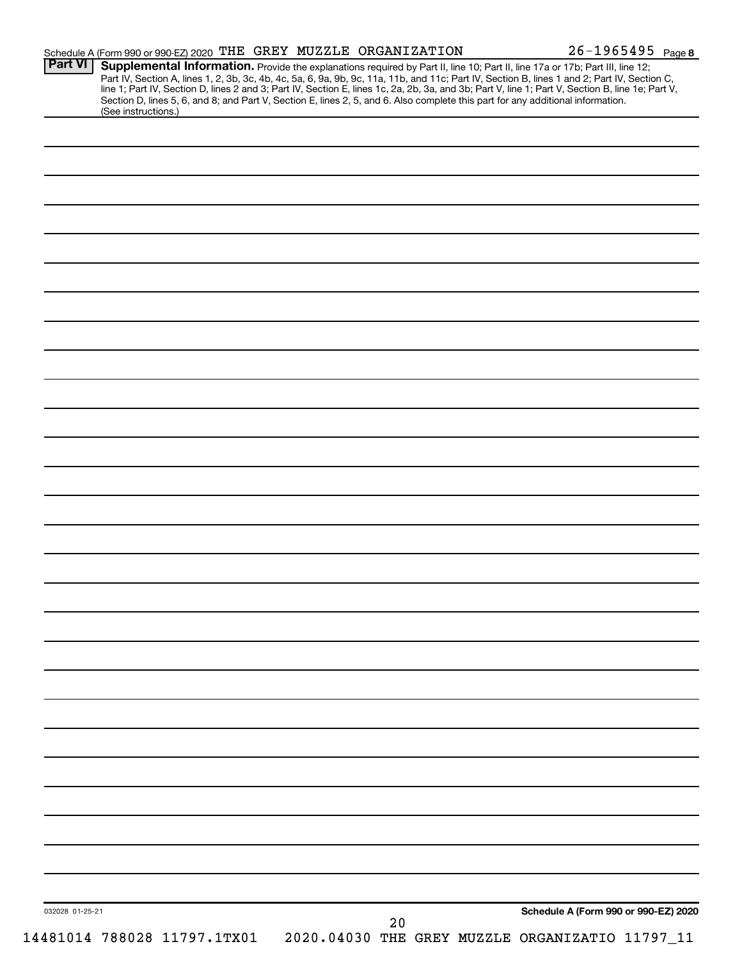| <b>Part VI</b>  | Schedule A (Form 990 or 990-EZ) 2020 THE GREY MUZZLE ORGANIZATION<br>Supplemental Information. Provide the explanations required by Part II, line 10; Part II, line 17a or 17b; Part III, line 12;                                                                                               |    | $26 - 1965495$ Page 8                           |
|-----------------|--------------------------------------------------------------------------------------------------------------------------------------------------------------------------------------------------------------------------------------------------------------------------------------------------|----|-------------------------------------------------|
|                 | Part IV, Section A, lines 1, 2, 3b, 3c, 4b, 4c, 5a, 6, 9a, 9b, 9c, 11a, 11b, and 11c; Part IV, Section B, lines 1 and 2; Part IV, Section C,<br>line 1; Part IV, Section D, lines 2 and 3; Part IV, Section E, lines 1c, 2a, 2b, 3a, and 3b; Part V, line 1; Part V, Section B, line 1e; Part V, |    |                                                 |
|                 | Section D, lines 5, 6, and 8; and Part V, Section E, lines 2, 5, and 6. Also complete this part for any additional information.                                                                                                                                                                  |    |                                                 |
|                 | (See instructions.)                                                                                                                                                                                                                                                                              |    |                                                 |
|                 |                                                                                                                                                                                                                                                                                                  |    |                                                 |
|                 |                                                                                                                                                                                                                                                                                                  |    |                                                 |
|                 |                                                                                                                                                                                                                                                                                                  |    |                                                 |
|                 |                                                                                                                                                                                                                                                                                                  |    |                                                 |
|                 |                                                                                                                                                                                                                                                                                                  |    |                                                 |
|                 |                                                                                                                                                                                                                                                                                                  |    |                                                 |
|                 |                                                                                                                                                                                                                                                                                                  |    |                                                 |
|                 |                                                                                                                                                                                                                                                                                                  |    |                                                 |
|                 |                                                                                                                                                                                                                                                                                                  |    |                                                 |
|                 |                                                                                                                                                                                                                                                                                                  |    |                                                 |
|                 |                                                                                                                                                                                                                                                                                                  |    |                                                 |
|                 |                                                                                                                                                                                                                                                                                                  |    |                                                 |
|                 |                                                                                                                                                                                                                                                                                                  |    |                                                 |
|                 |                                                                                                                                                                                                                                                                                                  |    |                                                 |
|                 |                                                                                                                                                                                                                                                                                                  |    |                                                 |
|                 |                                                                                                                                                                                                                                                                                                  |    |                                                 |
|                 |                                                                                                                                                                                                                                                                                                  |    |                                                 |
|                 |                                                                                                                                                                                                                                                                                                  |    |                                                 |
|                 |                                                                                                                                                                                                                                                                                                  |    |                                                 |
|                 |                                                                                                                                                                                                                                                                                                  |    |                                                 |
|                 |                                                                                                                                                                                                                                                                                                  |    |                                                 |
|                 |                                                                                                                                                                                                                                                                                                  |    |                                                 |
|                 |                                                                                                                                                                                                                                                                                                  |    |                                                 |
|                 |                                                                                                                                                                                                                                                                                                  |    |                                                 |
|                 |                                                                                                                                                                                                                                                                                                  |    |                                                 |
|                 |                                                                                                                                                                                                                                                                                                  |    |                                                 |
|                 |                                                                                                                                                                                                                                                                                                  |    |                                                 |
|                 |                                                                                                                                                                                                                                                                                                  |    |                                                 |
|                 |                                                                                                                                                                                                                                                                                                  |    |                                                 |
|                 |                                                                                                                                                                                                                                                                                                  |    |                                                 |
|                 |                                                                                                                                                                                                                                                                                                  |    |                                                 |
|                 |                                                                                                                                                                                                                                                                                                  |    |                                                 |
|                 |                                                                                                                                                                                                                                                                                                  |    |                                                 |
|                 |                                                                                                                                                                                                                                                                                                  |    |                                                 |
|                 |                                                                                                                                                                                                                                                                                                  |    |                                                 |
|                 |                                                                                                                                                                                                                                                                                                  |    |                                                 |
|                 |                                                                                                                                                                                                                                                                                                  |    |                                                 |
|                 |                                                                                                                                                                                                                                                                                                  |    |                                                 |
| 032028 01-25-21 |                                                                                                                                                                                                                                                                                                  | 20 | Schedule A (Form 990 or 990-EZ) 2020            |
|                 | 14481014 788028 11797.1TX01                                                                                                                                                                                                                                                                      |    | 2020.04030 THE GREY MUZZLE ORGANIZATIO 11797_11 |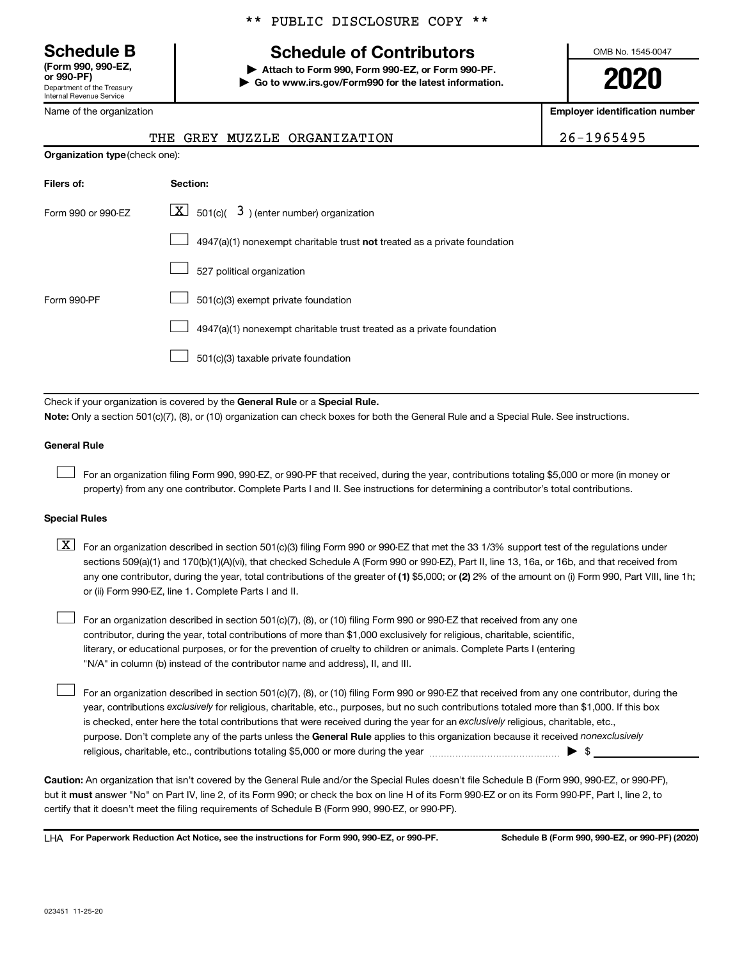Department of the Treasury Internal Revenue Service **(Form 990, 990-EZ,**

Name of the organization

## \*\* PUBLIC DISCLOSURE COPY \*\*

## **Schedule B Schedule of Contributors**

**or 990-PF) | Attach to Form 990, Form 990-EZ, or Form 990-PF. | Go to www.irs.gov/Form990 for the latest information.** OMB No. 1545-0047

**2020**

**Employer identification number**

|  | 6-1965495 |  |
|--|-----------|--|
|  |           |  |

| <b>Organization type (check one):</b>                                            |                                                                             |  |  |  |  |
|----------------------------------------------------------------------------------|-----------------------------------------------------------------------------|--|--|--|--|
| Filers of:                                                                       | Section:                                                                    |  |  |  |  |
| $\lfloor x \rfloor$ 501(c)( 3) (enter number) organization<br>Form 990 or 990-FZ |                                                                             |  |  |  |  |
|                                                                                  | $4947(a)(1)$ nonexempt charitable trust not treated as a private foundation |  |  |  |  |
|                                                                                  | 527 political organization                                                  |  |  |  |  |
| Form 990-PF                                                                      | 501(c)(3) exempt private foundation                                         |  |  |  |  |

THE GREY MUZZLE ORGANIZATION

4947(a)(1) nonexempt charitable trust treated as a private foundation  $\Box$ 

501(c)(3) taxable private foundation  $\Box$ 

Check if your organization is covered by the General Rule or a Special Rule.

**Note:**  Only a section 501(c)(7), (8), or (10) organization can check boxes for both the General Rule and a Special Rule. See instructions.

#### **General Rule**

 $\Box$ 

 $\Box$ 

For an organization filing Form 990, 990-EZ, or 990-PF that received, during the year, contributions totaling \$5,000 or more (in money or property) from any one contributor. Complete Parts I and II. See instructions for determining a contributor's total contributions.

#### **Special Rules**

any one contributor, during the year, total contributions of the greater of (1) \$5,000; or (2) 2% of the amount on (i) Form 990, Part VIII, line 1h;  $\boxed{\text{X}}$  For an organization described in section 501(c)(3) filing Form 990 or 990-EZ that met the 33 1/3% support test of the regulations under sections 509(a)(1) and 170(b)(1)(A)(vi), that checked Schedule A (Form 990 or 990-EZ), Part II, line 13, 16a, or 16b, and that received from or (ii) Form 990-EZ, line 1. Complete Parts I and II.

For an organization described in section 501(c)(7), (8), or (10) filing Form 990 or 990-EZ that received from any one contributor, during the year, total contributions of more than \$1,000 exclusively for religious, charitable, scientific, literary, or educational purposes, or for the prevention of cruelty to children or animals. Complete Parts I (entering "N/A" in column (b) instead of the contributor name and address), II, and III.  $\Box$ 

purpose. Don't complete any of the parts unless the General Rule applies to this organization because it received nonexclusively year, contributions exclusively for religious, charitable, etc., purposes, but no such contributions totaled more than \$1,000. If this box is checked, enter here the total contributions that were received during the year for an exclusively religious, charitable, etc., For an organization described in section 501(c)(7), (8), or (10) filing Form 990 or 990-EZ that received from any one contributor, during the religious, charitable, etc., contributions totaling \$5,000 or more during the year  $\ldots$  $\ldots$  $\ldots$  $\ldots$  $\ldots$  $\ldots$ 

**Caution:**  An organization that isn't covered by the General Rule and/or the Special Rules doesn't file Schedule B (Form 990, 990-EZ, or 990-PF),  **must** but it answer "No" on Part IV, line 2, of its Form 990; or check the box on line H of its Form 990-EZ or on its Form 990-PF, Part I, line 2, to certify that it doesn't meet the filing requirements of Schedule B (Form 990, 990-EZ, or 990-PF).

**For Paperwork Reduction Act Notice, see the instructions for Form 990, 990-EZ, or 990-PF. Schedule B (Form 990, 990-EZ, or 990-PF) (2020)** LHA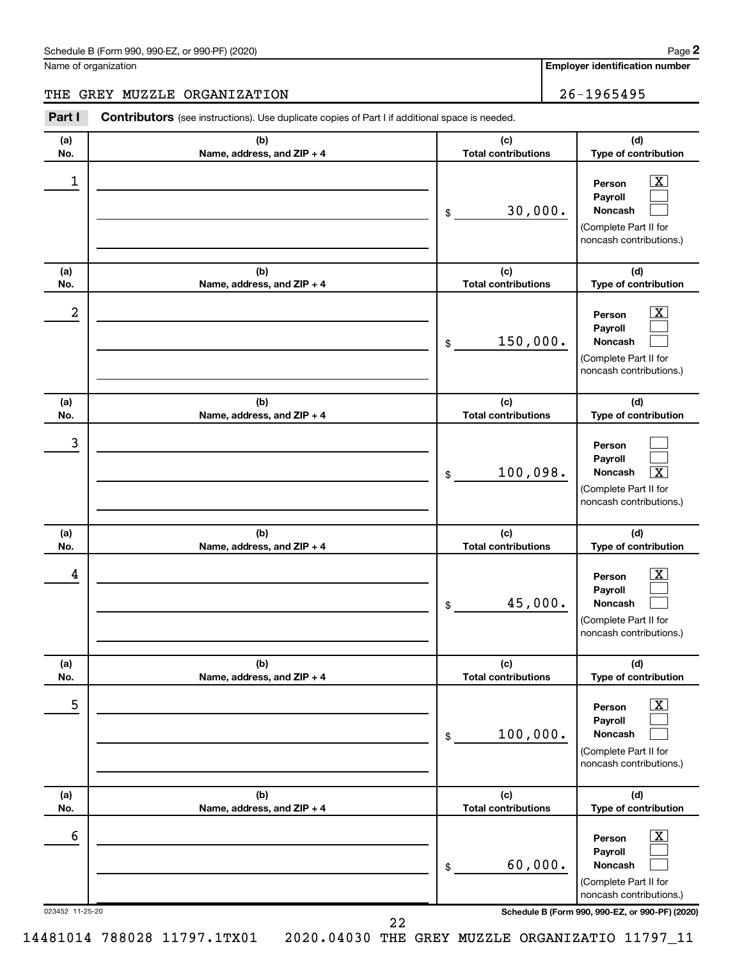#### Schedule B (Form 990, 990-EZ, or 990-PF) (2020)

Name of organization

**Employer identification number**

### THE GREY MUZZLE ORGANIZATION 26-1965495

023452 11-25-20 **Schedule B (Form 990, 990-EZ, or 990-PF) (2020) (a) No. (b) Name, address, and ZIP + 4 (c) Total contributions (d) Type of contribution Person Payroll Noncash (a) No. (b) Name, address, and ZIP + 4 (c) Total contributions (d) Type of contribution Person Payroll Noncash (a) No. (b) Name, address, and ZIP + 4 (c) Total contributions (d) Type of contribution Person Payroll Noncash (a) No. (b) Name, address, and ZIP + 4 (c) Total contributions (d) Type of contribution Person Payroll Noncash (a) No. (b) Name, address, and ZIP + 4 (c) Total contributions (d) Type of contribution Person Payroll Noncash (a) No. (b) Name, address, and ZIP + 4 (c) Total contributions (d) Type of contribution Person Payroll Noncash Part I** Contributors (see instructions). Use duplicate copies of Part I if additional space is needed. \$ (Complete Part II for noncash contributions.) \$ (Complete Part II for noncash contributions.) \$ (Complete Part II for noncash contributions.) \$ (Complete Part II for noncash contributions.) \$ (Complete Part II for noncash contributions.) \$ (Complete Part II for noncash contributions.)  $\lfloor x \rfloor$  $\Box$  $\Box$  $\overline{\mathbf{X}}$  $\Box$  $\Box$  $\Box$  $\Box$  $\boxed{\textbf{X}}$  $\boxed{\textbf{X}}$  $\Box$  $\Box$  $\boxed{\text{X}}$  $\Box$  $\Box$  $\boxed{\text{X}}$  $\Box$  $\Box$  $\begin{array}{|c|c|c|c|c|}\hline \ \text{1} & \text{Person} & \text{X} \ \hline \end{array}$ 30,000.  $2$  Person  $\overline{\text{X}}$ 150,000. 3  $100,098.$  $\begin{array}{|c|c|c|c|c|}\hline \text{4} & \text{Person} & \text{\textbf{X}}\ \hline \end{array}$ 45,000. 5 X 100,000.  $\overline{6}$  Person  $\overline{X}$ 60,000.

14481014 788028 11797.1TX01 2020.04030 THE GREY MUZZLE ORGANIZATIO 11797\_11

22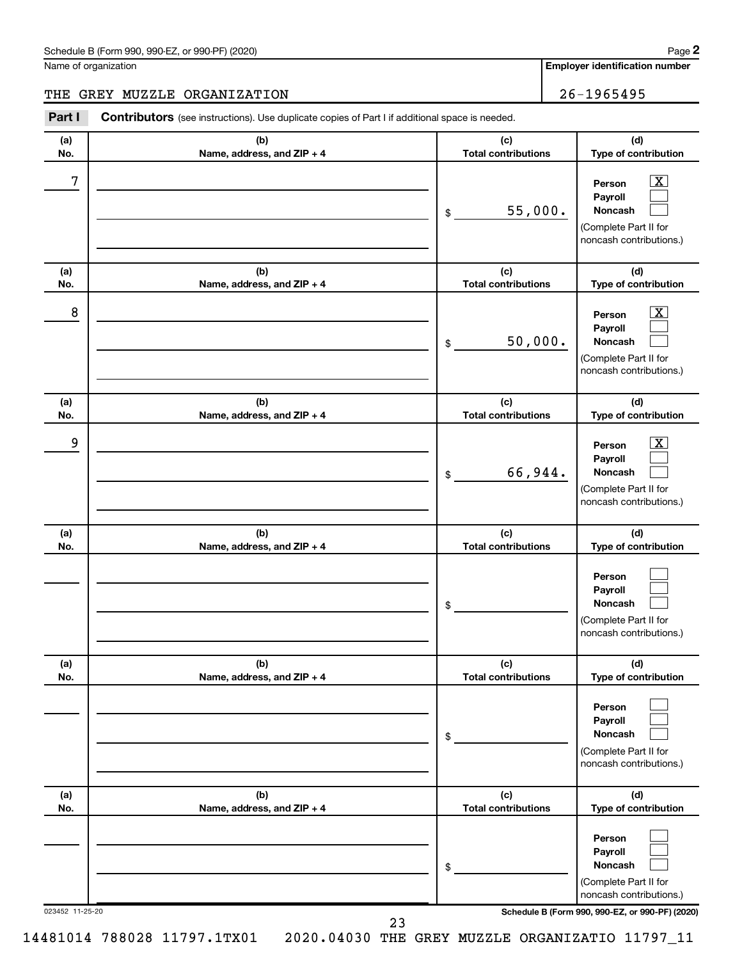#### Schedule B (Form 990, 990-EZ, or 990-PF) (2020)

Name of organization

**Employer identification number 2**

## THE GREY MUZZLE ORGANIZATION | 26-1965495

023452 11-25-20 **Schedule B (Form 990, 990-EZ, or 990-PF) (2020) (a) No. (b) Name, address, and ZIP + 4 (c) Total contributions (d) Type of contribution Person Payroll Noncash (a) No. (b) Name, address, and ZIP + 4 (c) Total contributions (d) Type of contribution Person Payroll Noncash (a) No. (b) Name, address, and ZIP + 4 (c) Total contributions (d) Type of contribution Person Payroll Noncash (a) No. (b) Name, address, and ZIP + 4 (c) Total contributions (d) Type of contribution Person Payroll Noncash (a) No. (b) Name, address, and ZIP + 4 (c) Total contributions (d) Type of contribution Person Payroll Noncash (a) No. (b) Name, address, and ZIP + 4 (c) Total contributions (d) Type of contribution Person Payroll Noncash Part I** Contributors (see instructions). Use duplicate copies of Part I if additional space is needed. \$ (Complete Part II for noncash contributions.) \$ (Complete Part II for noncash contributions.) \$ (Complete Part II for noncash contributions.) \$ (Complete Part II for noncash contributions.) \$ (Complete Part II for noncash contributions.) \$ (Complete Part II for noncash contributions.)  $\lfloor x \rfloor$  $\Box$  $\Box$  $\overline{\mathbf{X}}$  $\Box$  $\Box$  $\boxed{\textbf{X}}$  $\Box$  $\Box$  $\Box$  $\Box$  $\Box$  $\Box$  $\Box$  $\Box$  $\Box$  $\Box$  $\Box$  $7$   $|$  Person  $\overline{\text{X}}$ 55,000.  $8$  Person  $\overline{\text{X}}$ 50,000. 9 X 66,944.

14481014 788028 11797.1TX01 2020.04030 THE GREY MUZZLE ORGANIZATIO 11797\_11

23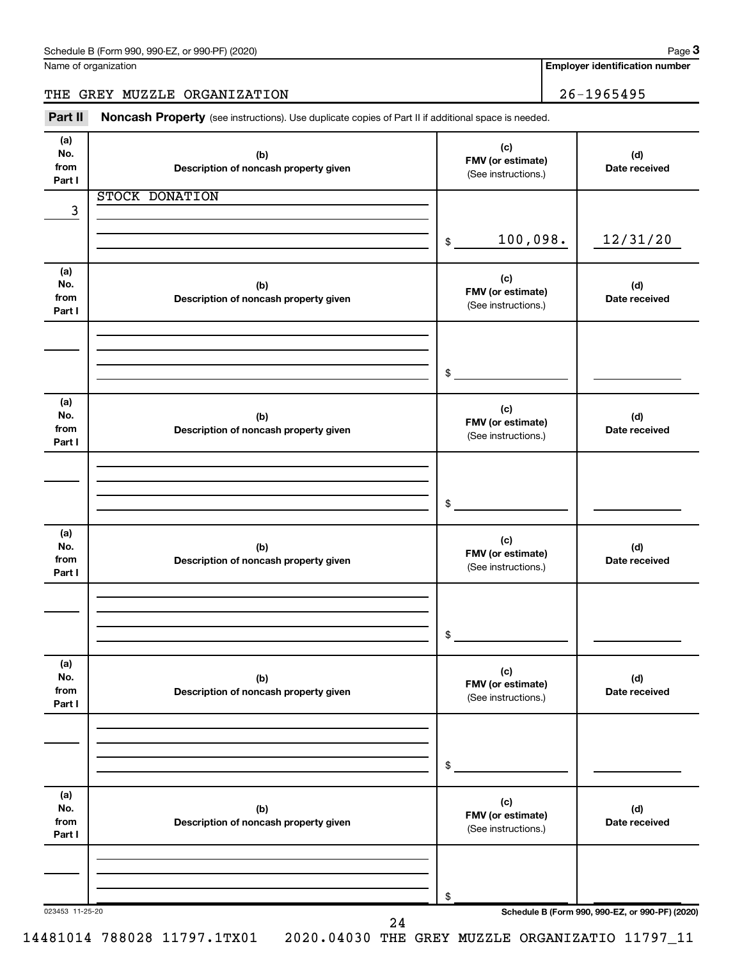| Schedule B (Form 990, 990-EZ, or 990-PF) (2020) | Page |
|-------------------------------------------------|------|
|-------------------------------------------------|------|

Name of organization

**Employer identification number**

THE GREY MUZZLE ORGANIZATION | 26-1965495

Part II Noncash Property (see instructions). Use duplicate copies of Part II if additional space is needed.

| (a)<br>No.<br>from<br>Part I | (b)<br>Description of noncash property given | (c)<br>FMV (or estimate)<br>(See instructions.) | (d)<br>Date received                            |
|------------------------------|----------------------------------------------|-------------------------------------------------|-------------------------------------------------|
|                              | <b>STOCK DONATION</b>                        |                                                 |                                                 |
| 3                            |                                              |                                                 |                                                 |
|                              |                                              | 100,098.<br>$\$\$                               | 12/31/20                                        |
| (a)<br>No.<br>from<br>Part I | (b)<br>Description of noncash property given | (c)<br>FMV (or estimate)<br>(See instructions.) | (d)<br>Date received                            |
|                              |                                              |                                                 |                                                 |
|                              |                                              | \$                                              |                                                 |
| (a)<br>No.<br>from<br>Part I | (b)<br>Description of noncash property given | (c)<br>FMV (or estimate)<br>(See instructions.) | (d)<br>Date received                            |
|                              |                                              |                                                 |                                                 |
|                              |                                              | \$                                              |                                                 |
| (a)<br>No.<br>from<br>Part I | (b)<br>Description of noncash property given | (c)<br>FMV (or estimate)<br>(See instructions.) | (d)<br>Date received                            |
|                              |                                              |                                                 |                                                 |
|                              |                                              | \$                                              |                                                 |
| (a)<br>No.<br>from<br>Part I | (b)<br>Description of noncash property given | (c)<br>FMV (or estimate)<br>(See instructions.) | (d)<br>Date received                            |
|                              |                                              |                                                 |                                                 |
|                              |                                              | \$                                              |                                                 |
| (a)<br>No.<br>from<br>Part I | (b)<br>Description of noncash property given | (c)<br>FMV (or estimate)<br>(See instructions.) | (d)<br>Date received                            |
|                              |                                              |                                                 |                                                 |
|                              |                                              | \$                                              |                                                 |
| 023453 11-25-20              | 24                                           |                                                 | Schedule B (Form 990, 990-EZ, or 990-PF) (2020) |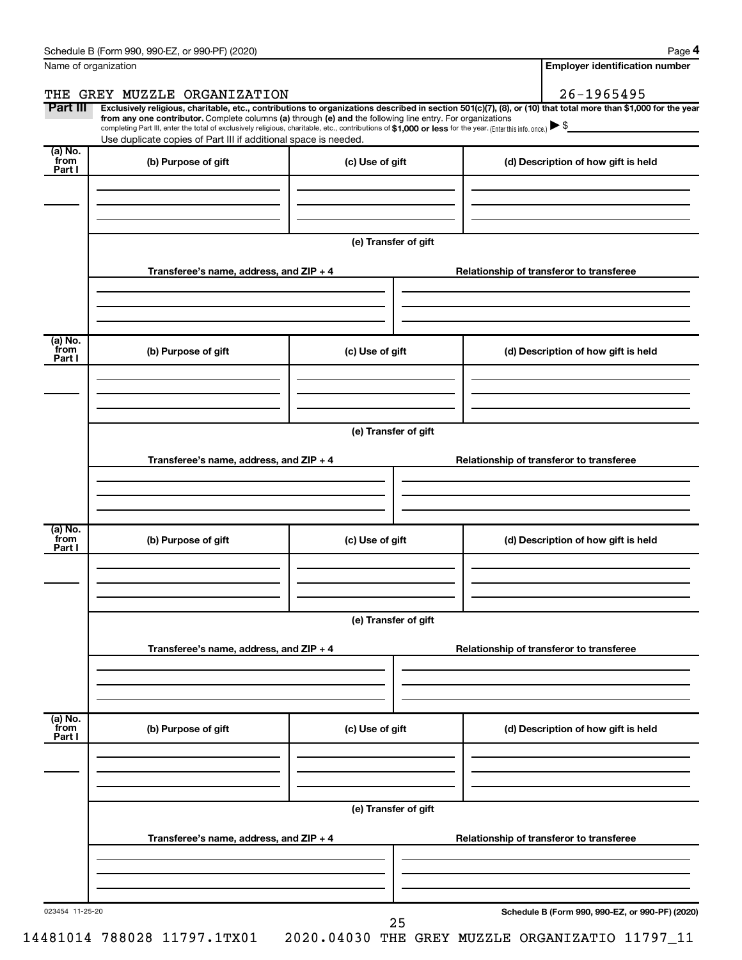|                           | Name of organization                                                                                                                                                                                                                                                                                                                                               |                      | <b>Employer identification number</b>                                                                                                                          |
|---------------------------|--------------------------------------------------------------------------------------------------------------------------------------------------------------------------------------------------------------------------------------------------------------------------------------------------------------------------------------------------------------------|----------------------|----------------------------------------------------------------------------------------------------------------------------------------------------------------|
|                           | THE GREY MUZZLE ORGANIZATION                                                                                                                                                                                                                                                                                                                                       |                      | $26 - 1965495$                                                                                                                                                 |
| Part III                  | from any one contributor. Complete columns (a) through (e) and the following line entry. For organizations<br>completing Part III, enter the total of exclusively religious, charitable, etc., contributions of \$1,000 or less for the year. (Enter this info. once.) $\blacktriangleright$ \$<br>Use duplicate copies of Part III if additional space is needed. |                      | Exclusively religious, charitable, etc., contributions to organizations described in section 501(c)(7), (8), or (10) that total more than \$1,000 for the year |
| (a) No.<br>from<br>Part I | (b) Purpose of gift                                                                                                                                                                                                                                                                                                                                                | (c) Use of gift      | (d) Description of how gift is held                                                                                                                            |
|                           |                                                                                                                                                                                                                                                                                                                                                                    |                      |                                                                                                                                                                |
|                           |                                                                                                                                                                                                                                                                                                                                                                    | (e) Transfer of gift |                                                                                                                                                                |
|                           | Transferee's name, address, and $ZIP + 4$                                                                                                                                                                                                                                                                                                                          |                      | Relationship of transferor to transferee                                                                                                                       |
|                           |                                                                                                                                                                                                                                                                                                                                                                    |                      |                                                                                                                                                                |
| (a) No.<br>from<br>Part I | (b) Purpose of gift                                                                                                                                                                                                                                                                                                                                                | (c) Use of gift      | (d) Description of how gift is held                                                                                                                            |
|                           |                                                                                                                                                                                                                                                                                                                                                                    |                      |                                                                                                                                                                |
|                           |                                                                                                                                                                                                                                                                                                                                                                    | (e) Transfer of gift |                                                                                                                                                                |
|                           | Transferee's name, address, and $ZIP + 4$                                                                                                                                                                                                                                                                                                                          |                      | Relationship of transferor to transferee                                                                                                                       |
|                           |                                                                                                                                                                                                                                                                                                                                                                    |                      |                                                                                                                                                                |
| (a) No.<br>from<br>Part I | (b) Purpose of gift                                                                                                                                                                                                                                                                                                                                                | (c) Use of gift      | (d) Description of how gift is held                                                                                                                            |
|                           |                                                                                                                                                                                                                                                                                                                                                                    |                      |                                                                                                                                                                |
|                           |                                                                                                                                                                                                                                                                                                                                                                    | (e) Transfer of gift |                                                                                                                                                                |
|                           | Transferee's name, address, and ZIP + 4                                                                                                                                                                                                                                                                                                                            |                      | Relationship of transferor to transferee                                                                                                                       |
|                           |                                                                                                                                                                                                                                                                                                                                                                    |                      |                                                                                                                                                                |
| (a) No.<br>from<br>Part I | (b) Purpose of gift                                                                                                                                                                                                                                                                                                                                                | (c) Use of gift      | (d) Description of how gift is held                                                                                                                            |
|                           |                                                                                                                                                                                                                                                                                                                                                                    |                      |                                                                                                                                                                |
|                           |                                                                                                                                                                                                                                                                                                                                                                    | (e) Transfer of gift |                                                                                                                                                                |
|                           | Transferee's name, address, and ZIP + 4                                                                                                                                                                                                                                                                                                                            |                      | Relationship of transferor to transferee                                                                                                                       |
|                           |                                                                                                                                                                                                                                                                                                                                                                    |                      |                                                                                                                                                                |
| 023454 11-25-20           |                                                                                                                                                                                                                                                                                                                                                                    | 25                   | Schedule B (Form 990, 990-EZ, or 990-PF) (2020)                                                                                                                |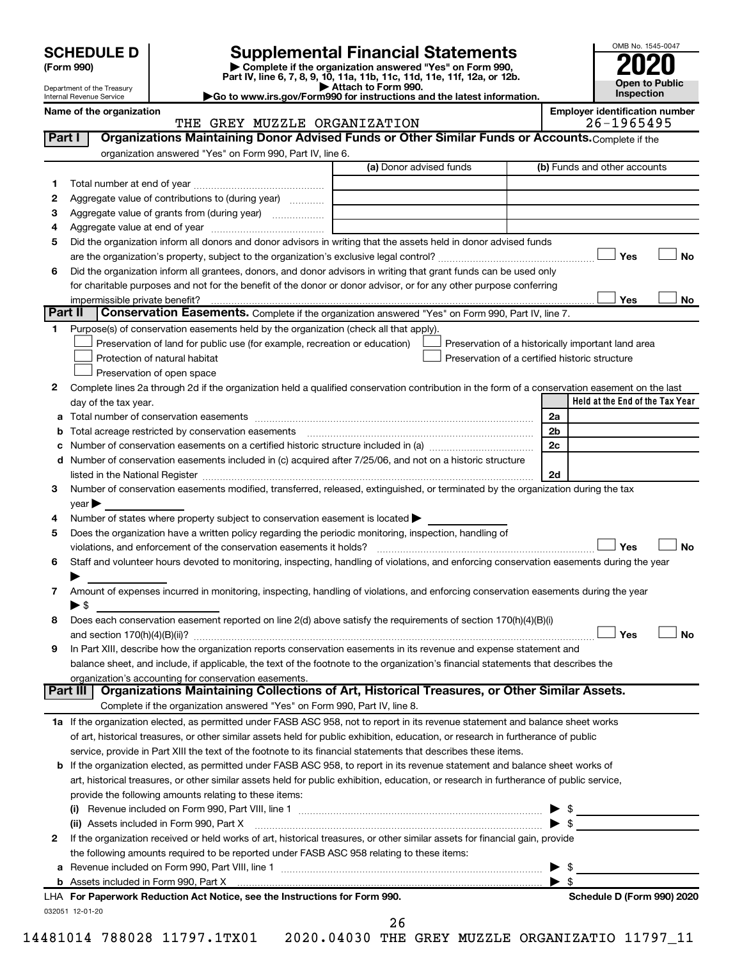| <b>SCHEDULE D</b> |
|-------------------|
|-------------------|

Department of the Treasury Internal Revenue Service

| (Form 990) |
|------------|
|            |

## **Supplemental Financial Statements**

**(Form 990) | Complete if the organization answered "Yes" on Form 990, Part IV, line 6, 7, 8, 9, 10, 11a, 11b, 11c, 11d, 11e, 11f, 12a, or 12b.**<br>■ Attach to Form 990.

**| Attach to Form 990. |Go to www.irs.gov/Form990 for instructions and the latest information.**



**Name of the organization Employer identification number**

#### THE GREY MUZZLE ORGANIZATION 26-1965495

032051 12-01-20 **Held at the End of the Tax Year** (a) Donor advised funds **1 2 3 4 5 6 Yes No** † † **Yes No 1 2** Complete lines 2a through 2d if the organization held a qualified conservation contribution in the form of a conservation easement on the last **3 4 5** Does the organization have a written policy regarding the periodic monitoring, inspection, handling of **6 7 8 9 a** Total number of conservation easements ~~~~~~~~~~~~~~~~~~~~~~~~~~~~~~~~ **b** Total acreage restricted by conservation easements ~~~~~~~~~~~~~~~~~~~~~~~~~~ **c** Number of conservation easements on a certified historic structure included in (a)  $\ldots$  $\ldots$  $\ldots$  $\ldots$  $\ldots$  $\ldots$ **d** Number of conservation easements included in (c) acquired after 7/25/06, and not on a historic structure **2a 2b 2c 2d Yes No Yes No** † † **1 a** If the organization elected, as permitted under FASB ASC 958, not to report in its revenue statement and balance sheet works **2** If the organization received or held works of art, historical treasures, or other similar assets for financial gain, provide **b** If the organization elected, as permitted under FASB ASC 958, to report in its revenue statement and balance sheet works of **(i)** Revenue included on Form 990, Part VIII, line 1 ~~~~~~~~~~~~~~~~~~~~~~~~~~~~ | \$ **(ii)** Assets included in Form 990, Part X ~~~~~~~~~~~~~~~~~~~~~~~~~~~~~~~~~ | \$ **a** Revenue included on Form 990, Part VIII, line 1 ~~~~~~~~~~~~~~~~~~~~~~~~~~~~~~ | \$ **b For Paperwork Reduction Act Notice, see the Instructions for Form 990. Schedule D (Form 990) 2020** LHA **Part I** | Organizations Maintaining Donor Advised Funds or Other Similar Funds or Accounts. Complete if the organization answered "Yes" on Form 990, Part IV, line 6. (b) Funds and other accounts Total number at end of year ~~~~~~~~~~~~~~~ Aggregate value of contributions to (during year)  $\quad \quad \ldots \ldots \ldots$ Aggregate value of grants from (during year) will contain the Aggregate value of grants from (during year) Aggregate value at end of year ~~~~~~~~~~~~~ Did the organization inform all donors and donor advisors in writing that the assets held in donor advised funds are the organization's property, subject to the organization's exclusive legal control?~~~~~~~~~~~~~~~~~~ Did the organization inform all grantees, donors, and donor advisors in writing that grant funds can be used only for charitable purposes and not for the benefit of the donor or donor advisor, or for any other purpose conferring impermissible private benefit? **Part II** Conservation Easements. Complete if the organization answered "Yes" on Form 990, Part IV, line 7. Purpose(s) of conservation easements held by the organization (check all that apply). **Preservation of land for public use (for example, recreation or education) Protection of natural habitat Fig. 1.1 The state of the state of the state of the state of the state of the state of the state of the state of the state of the state of the state of the state of the state of the state o** Preservation of open space Preservation of a historically important land area Preservation of a certified historic structure day of the tax year. listed in the National Register ~~~~~~~~~~~~~~~~~~~~~~~~~~~~~~~~~~~~~~ Number of conservation easements modified, transferred, released, extinguished, or terminated by the organization during the tax  $year$ Number of states where property subject to conservation easement is located  $\blacktriangleright$ violations, and enforcement of the conservation easements it holds? ~~~~~~~~~~~~~~~~~~~~~~~~~ Staff and volunteer hours devoted to monitoring, inspecting, handling of violations, and enforcing conservation easements during the year  $\blacktriangleright$ Amount of expenses incurred in monitoring, inspecting, handling of violations, and enforcing conservation easements during the year  $\triangleright$  \$ Does each conservation easement reported on line 2(d) above satisfy the requirements of section 170(h)(4)(B)(i) and section 170(h)(4)(B)(ii)? ~~~~~~~~~~~~~~~~~~~~~~~~~~~~~~~~~~~~~~~~~~~~~~ In Part XIII, describe how the organization reports conservation easements in its revenue and expense statement and balance sheet, and include, if applicable, the text of the footnote to the organization's financial statements that describes the organization's accounting for conservation easements. Complete if the organization answered "Yes" on Form 990, Part IV, line 8. of art, historical treasures, or other similar assets held for public exhibition, education, or research in furtherance of public service, provide in Part XIII the text of the footnote to its financial statements that describes these items. art, historical treasures, or other similar assets held for public exhibition, education, or research in furtherance of public service, provide the following amounts relating to these items: the following amounts required to be reported under FASB ASC 958 relating to these items: Assets included in Form 990, Part X | \$ **Part III Organizations Maintaining Collections of Art, Historical Treasures, or Other Similar Assets.**  $\lfloor \ \ \rfloor$  Yes  $\lfloor \ \ \rfloor$  $\Box$  $|$  Yes 26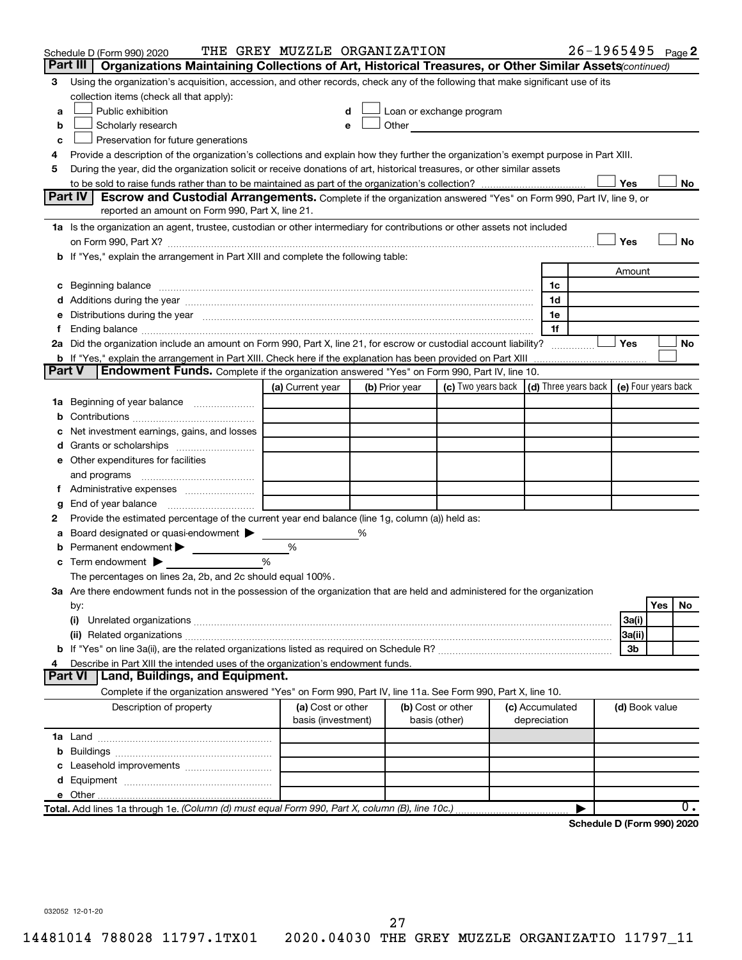|    | Schedule D (Form 990) 2020                                                                                                                                                                                                     | THE GREY MUZZLE ORGANIZATION |   |                |                                                                                                                                                                                                                               |                 |                                            | $26 - 1965495$ Page 2      |     |       |
|----|--------------------------------------------------------------------------------------------------------------------------------------------------------------------------------------------------------------------------------|------------------------------|---|----------------|-------------------------------------------------------------------------------------------------------------------------------------------------------------------------------------------------------------------------------|-----------------|--------------------------------------------|----------------------------|-----|-------|
|    | Part III<br>Organizations Maintaining Collections of Art, Historical Treasures, or Other Similar Assets (continued)                                                                                                            |                              |   |                |                                                                                                                                                                                                                               |                 |                                            |                            |     |       |
| З  | Using the organization's acquisition, accession, and other records, check any of the following that make significant use of its                                                                                                |                              |   |                |                                                                                                                                                                                                                               |                 |                                            |                            |     |       |
|    | collection items (check all that apply):                                                                                                                                                                                       |                              |   |                |                                                                                                                                                                                                                               |                 |                                            |                            |     |       |
| a  | Public exhibition                                                                                                                                                                                                              | d                            |   |                | Loan or exchange program                                                                                                                                                                                                      |                 |                                            |                            |     |       |
| b  | Scholarly research                                                                                                                                                                                                             | е                            |   |                | Other and the contract of the contract of the contract of the contract of the contract of the contract of the contract of the contract of the contract of the contract of the contract of the contract of the contract of the |                 |                                            |                            |     |       |
| с  | Preservation for future generations                                                                                                                                                                                            |                              |   |                |                                                                                                                                                                                                                               |                 |                                            |                            |     |       |
| 4  | Provide a description of the organization's collections and explain how they further the organization's exempt purpose in Part XIII.                                                                                           |                              |   |                |                                                                                                                                                                                                                               |                 |                                            |                            |     |       |
| 5  | During the year, did the organization solicit or receive donations of art, historical treasures, or other similar assets                                                                                                       |                              |   |                |                                                                                                                                                                                                                               |                 |                                            |                            |     |       |
|    |                                                                                                                                                                                                                                |                              |   |                |                                                                                                                                                                                                                               |                 |                                            | Yes                        |     | No    |
|    | Part IV<br><b>Escrow and Custodial Arrangements.</b> Complete if the organization answered "Yes" on Form 990, Part IV, line 9, or<br>reported an amount on Form 990, Part X, line 21.                                          |                              |   |                |                                                                                                                                                                                                                               |                 |                                            |                            |     |       |
|    |                                                                                                                                                                                                                                |                              |   |                |                                                                                                                                                                                                                               |                 |                                            |                            |     |       |
|    | 1a Is the organization an agent, trustee, custodian or other intermediary for contributions or other assets not included                                                                                                       |                              |   |                |                                                                                                                                                                                                                               |                 |                                            |                            |     |       |
|    | on Form 990, Part X? [11] matter contracts and contracts and contracts are contracted and contracts are contracted and contract of the set of the set of the set of the set of the set of the set of the set of the set of the |                              |   |                |                                                                                                                                                                                                                               |                 |                                            | Yes                        |     | No    |
|    | b If "Yes," explain the arrangement in Part XIII and complete the following table:                                                                                                                                             |                              |   |                |                                                                                                                                                                                                                               |                 |                                            |                            |     |       |
|    |                                                                                                                                                                                                                                |                              |   |                |                                                                                                                                                                                                                               |                 |                                            | Amount                     |     |       |
|    |                                                                                                                                                                                                                                |                              |   |                |                                                                                                                                                                                                                               | 1c<br>1d        |                                            |                            |     |       |
|    |                                                                                                                                                                                                                                |                              |   |                |                                                                                                                                                                                                                               | 1e              |                                            |                            |     |       |
| Ť. | e Distributions during the year manufactured and continuum control of the control of the control of the set of                                                                                                                 |                              |   |                |                                                                                                                                                                                                                               |                 | 1f                                         |                            |     |       |
|    | 2a Did the organization include an amount on Form 990, Part X, line 21, for escrow or custodial account liability?                                                                                                             |                              |   |                |                                                                                                                                                                                                                               |                 |                                            | Yes                        |     | No    |
|    |                                                                                                                                                                                                                                |                              |   |                |                                                                                                                                                                                                                               |                 |                                            |                            |     |       |
|    | <b>Part V</b><br><b>Endowment Funds.</b> Complete if the organization answered "Yes" on Form 990, Part IV, line 10.                                                                                                            |                              |   |                |                                                                                                                                                                                                                               |                 |                                            |                            |     |       |
|    |                                                                                                                                                                                                                                | (a) Current year             |   | (b) Prior year | (c) Two years back                                                                                                                                                                                                            |                 | (d) Three years back   (e) Four years back |                            |     |       |
|    | 1a Beginning of year balance                                                                                                                                                                                                   |                              |   |                |                                                                                                                                                                                                                               |                 |                                            |                            |     |       |
| b  |                                                                                                                                                                                                                                |                              |   |                |                                                                                                                                                                                                                               |                 |                                            |                            |     |       |
|    | Net investment earnings, gains, and losses                                                                                                                                                                                     |                              |   |                |                                                                                                                                                                                                                               |                 |                                            |                            |     |       |
|    | d Grants or scholarships                                                                                                                                                                                                       |                              |   |                |                                                                                                                                                                                                                               |                 |                                            |                            |     |       |
|    | e Other expenditures for facilities                                                                                                                                                                                            |                              |   |                |                                                                                                                                                                                                                               |                 |                                            |                            |     |       |
|    | and programs                                                                                                                                                                                                                   |                              |   |                |                                                                                                                                                                                                                               |                 |                                            |                            |     |       |
|    | f Administrative expenses                                                                                                                                                                                                      |                              |   |                |                                                                                                                                                                                                                               |                 |                                            |                            |     |       |
| g  |                                                                                                                                                                                                                                |                              |   |                |                                                                                                                                                                                                                               |                 |                                            |                            |     |       |
| 2  | Provide the estimated percentage of the current year end balance (line 1g, column (a)) held as:                                                                                                                                |                              |   |                |                                                                                                                                                                                                                               |                 |                                            |                            |     |       |
| а  | Board designated or quasi-endowment                                                                                                                                                                                            |                              | % |                |                                                                                                                                                                                                                               |                 |                                            |                            |     |       |
| b  | Permanent endowment >                                                                                                                                                                                                          | %                            |   |                |                                                                                                                                                                                                                               |                 |                                            |                            |     |       |
| с  | Term endowment $\blacktriangleright$                                                                                                                                                                                           | %                            |   |                |                                                                                                                                                                                                                               |                 |                                            |                            |     |       |
|    | The percentages on lines 2a, 2b, and 2c should equal 100%.                                                                                                                                                                     |                              |   |                |                                                                                                                                                                                                                               |                 |                                            |                            |     |       |
|    | 3a Are there endowment funds not in the possession of the organization that are held and administered for the organization                                                                                                     |                              |   |                |                                                                                                                                                                                                                               |                 |                                            |                            |     |       |
|    | by:                                                                                                                                                                                                                            |                              |   |                |                                                                                                                                                                                                                               |                 |                                            |                            | Yes | No    |
|    | (i)                                                                                                                                                                                                                            |                              |   |                |                                                                                                                                                                                                                               |                 |                                            | 3a(i)                      |     |       |
|    |                                                                                                                                                                                                                                |                              |   |                |                                                                                                                                                                                                                               |                 |                                            | 3a(ii)                     |     |       |
|    |                                                                                                                                                                                                                                |                              |   |                |                                                                                                                                                                                                                               |                 |                                            | 3b                         |     |       |
| 4  | Describe in Part XIII the intended uses of the organization's endowment funds.                                                                                                                                                 |                              |   |                |                                                                                                                                                                                                                               |                 |                                            |                            |     |       |
|    | Part VI   Land, Buildings, and Equipment.                                                                                                                                                                                      |                              |   |                |                                                                                                                                                                                                                               |                 |                                            |                            |     |       |
|    | Complete if the organization answered "Yes" on Form 990, Part IV, line 11a. See Form 990, Part X, line 10.                                                                                                                     |                              |   |                |                                                                                                                                                                                                                               |                 |                                            |                            |     |       |
|    | Description of property                                                                                                                                                                                                        | (a) Cost or other            |   |                | (b) Cost or other                                                                                                                                                                                                             | (c) Accumulated |                                            | (d) Book value             |     |       |
|    |                                                                                                                                                                                                                                | basis (investment)           |   |                | basis (other)                                                                                                                                                                                                                 | depreciation    |                                            |                            |     |       |
|    |                                                                                                                                                                                                                                |                              |   |                |                                                                                                                                                                                                                               |                 |                                            |                            |     |       |
| b  |                                                                                                                                                                                                                                |                              |   |                |                                                                                                                                                                                                                               |                 |                                            |                            |     |       |
| c  | Leasehold improvements                                                                                                                                                                                                         |                              |   |                |                                                                                                                                                                                                                               |                 |                                            |                            |     |       |
| d  |                                                                                                                                                                                                                                |                              |   |                |                                                                                                                                                                                                                               |                 |                                            |                            |     |       |
|    | Total. Add lines 1a through 1e. (Column (d) must equal Form 990, Part X, column (B), line 10c.)                                                                                                                                |                              |   |                |                                                                                                                                                                                                                               |                 |                                            |                            |     | $0$ . |
|    |                                                                                                                                                                                                                                |                              |   |                |                                                                                                                                                                                                                               |                 |                                            | Schedule D (Form 990) 2020 |     |       |

032052 12-01-20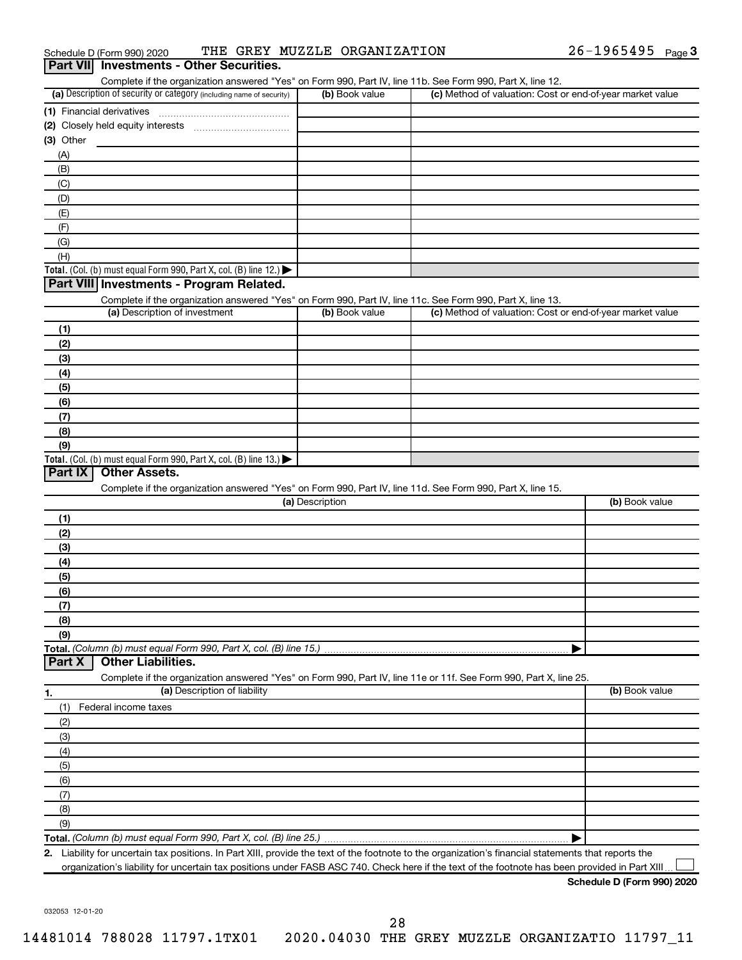| Schedule D (Form 990) 2020 |  |  | THE GREY MUZZLE ORGANIZATION | 26-1965495 | Page $\mathbf 3$ |
|----------------------------|--|--|------------------------------|------------|------------------|
|----------------------------|--|--|------------------------------|------------|------------------|

| Part VII Investments - Other Securities.                                                                                                                                           |                 |                                                           |                |
|------------------------------------------------------------------------------------------------------------------------------------------------------------------------------------|-----------------|-----------------------------------------------------------|----------------|
| Complete if the organization answered "Yes" on Form 990, Part IV, line 11b. See Form 990, Part X, line 12.<br>(a) Description of security or category (including name of security) | (b) Book value  | (c) Method of valuation: Cost or end-of-year market value |                |
|                                                                                                                                                                                    |                 |                                                           |                |
|                                                                                                                                                                                    |                 |                                                           |                |
| $(3)$ Other                                                                                                                                                                        |                 |                                                           |                |
| (A)                                                                                                                                                                                |                 |                                                           |                |
| (B)                                                                                                                                                                                |                 |                                                           |                |
| (C)                                                                                                                                                                                |                 |                                                           |                |
| (D)                                                                                                                                                                                |                 |                                                           |                |
| (E)                                                                                                                                                                                |                 |                                                           |                |
| (F)                                                                                                                                                                                |                 |                                                           |                |
| (G)                                                                                                                                                                                |                 |                                                           |                |
| (H)                                                                                                                                                                                |                 |                                                           |                |
| Total. (Col. (b) must equal Form 990, Part X, col. (B) line 12.)                                                                                                                   |                 |                                                           |                |
| Part VIII Investments - Program Related.                                                                                                                                           |                 |                                                           |                |
| Complete if the organization answered "Yes" on Form 990, Part IV, line 11c. See Form 990, Part X, line 13.<br>(a) Description of investment                                        | (b) Book value  | (c) Method of valuation: Cost or end-of-year market value |                |
|                                                                                                                                                                                    |                 |                                                           |                |
| (1)<br>(2)                                                                                                                                                                         |                 |                                                           |                |
| (3)                                                                                                                                                                                |                 |                                                           |                |
| (4)                                                                                                                                                                                |                 |                                                           |                |
| (5)                                                                                                                                                                                |                 |                                                           |                |
| (6)                                                                                                                                                                                |                 |                                                           |                |
| (7)                                                                                                                                                                                |                 |                                                           |                |
| (8)                                                                                                                                                                                |                 |                                                           |                |
| (9)                                                                                                                                                                                |                 |                                                           |                |
| Total. (Col. (b) must equal Form 990, Part X, col. (B) line 13.)                                                                                                                   |                 |                                                           |                |
| Part IX<br><b>Other Assets.</b>                                                                                                                                                    |                 |                                                           |                |
| Complete if the organization answered "Yes" on Form 990, Part IV, line 11d. See Form 990, Part X, line 15.                                                                         |                 |                                                           |                |
|                                                                                                                                                                                    | (a) Description |                                                           | (b) Book value |
| (1)                                                                                                                                                                                |                 |                                                           |                |
| (2)                                                                                                                                                                                |                 |                                                           |                |
| (3)                                                                                                                                                                                |                 |                                                           |                |
| (4)                                                                                                                                                                                |                 |                                                           |                |
|                                                                                                                                                                                    |                 |                                                           |                |
| (5)<br>(6)                                                                                                                                                                         |                 |                                                           |                |
| (7)                                                                                                                                                                                |                 |                                                           |                |
| (8)                                                                                                                                                                                |                 |                                                           |                |
| (9)                                                                                                                                                                                |                 |                                                           |                |
| Total. (Column (b) must equal Form 990, Part X, col. (B) line 15.)                                                                                                                 |                 |                                                           |                |
| <b>Other Liabilities.</b><br>Part X                                                                                                                                                |                 |                                                           |                |
| Complete if the organization answered "Yes" on Form 990, Part IV, line 11e or 11f. See Form 990, Part X, line 25.                                                                  |                 |                                                           |                |
| (a) Description of liability                                                                                                                                                       |                 |                                                           | (b) Book value |
| Federal income taxes<br>(1)                                                                                                                                                        |                 |                                                           |                |
|                                                                                                                                                                                    |                 |                                                           |                |
| (2)                                                                                                                                                                                |                 |                                                           |                |
| (3)                                                                                                                                                                                |                 |                                                           |                |
| (4)                                                                                                                                                                                |                 |                                                           |                |
| (5)                                                                                                                                                                                |                 |                                                           |                |
| (6)                                                                                                                                                                                |                 |                                                           |                |
| (7)                                                                                                                                                                                |                 |                                                           |                |
| (8)                                                                                                                                                                                |                 |                                                           |                |
| (9)                                                                                                                                                                                |                 |                                                           |                |
|                                                                                                                                                                                    |                 |                                                           |                |

organization's liability for uncertain tax positions under FASB ASC 740. Check here if the text of the footnote has been provided in Part XIII...

**Schedule D (Form 990) 2020**

032053 12-01-20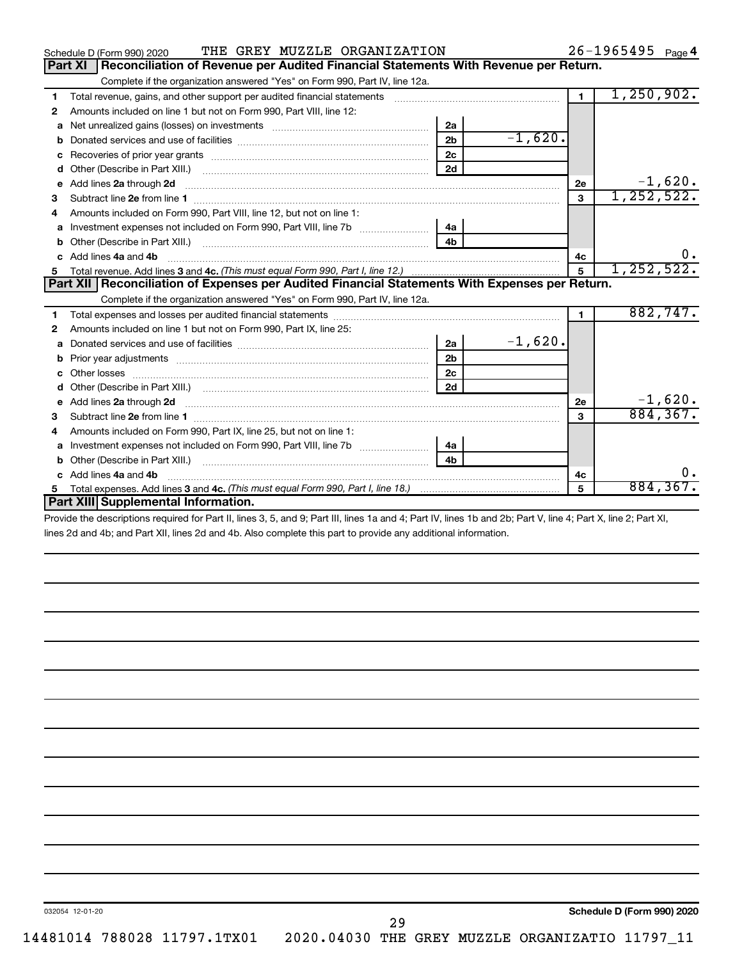|    | THE GREY MUZZLE ORGANIZATION<br>Schedule D (Form 990) 2020                                                                                                                                                                          |                |           |                | $26 - 1965495$ Page 4 |
|----|-------------------------------------------------------------------------------------------------------------------------------------------------------------------------------------------------------------------------------------|----------------|-----------|----------------|-----------------------|
|    | Part XI<br>Reconciliation of Revenue per Audited Financial Statements With Revenue per Return.                                                                                                                                      |                |           |                |                       |
|    | Complete if the organization answered "Yes" on Form 990, Part IV, line 12a.                                                                                                                                                         |                |           |                |                       |
| 1  | Total revenue, gains, and other support per audited financial statements                                                                                                                                                            |                |           | $\blacksquare$ | 1, 250, 902.          |
| 2  | Amounts included on line 1 but not on Form 990, Part VIII, line 12:                                                                                                                                                                 |                |           |                |                       |
| a  |                                                                                                                                                                                                                                     | 2a             |           |                |                       |
| b  |                                                                                                                                                                                                                                     | 2 <sub>b</sub> | $-1,620.$ |                |                       |
|    |                                                                                                                                                                                                                                     | 2 <sub>c</sub> |           |                |                       |
| d  |                                                                                                                                                                                                                                     | 2d             |           |                |                       |
| e  | Add lines 2a through 2d                                                                                                                                                                                                             |                |           | 2е             | $-1,620.$             |
| 3  | Subtract line 2e from line 1                                                                                                                                                                                                        |                |           | 3              | 1, 252, 522.          |
| 4  | Amounts included on Form 990, Part VIII, line 12, but not on line 1:                                                                                                                                                                |                |           |                |                       |
| a  | Investment expenses not included on Form 990, Part VIII, line 7b [11, 11, 11, 11, 11]                                                                                                                                               | 4a             |           |                |                       |
|    |                                                                                                                                                                                                                                     |                |           |                |                       |
|    | c Add lines 4a and 4b                                                                                                                                                                                                               |                |           | 4c             | $0$ .                 |
| 5. |                                                                                                                                                                                                                                     |                |           | $\overline{5}$ | 1, 252, 522.          |
|    | Part XII   Reconciliation of Expenses per Audited Financial Statements With Expenses per Return.                                                                                                                                    |                |           |                |                       |
|    | Complete if the organization answered "Yes" on Form 990, Part IV, line 12a.                                                                                                                                                         |                |           |                |                       |
| 1  |                                                                                                                                                                                                                                     |                |           | $\blacksquare$ | 882,747.              |
| 2  | Amounts included on line 1 but not on Form 990, Part IX, line 25:                                                                                                                                                                   |                |           |                |                       |
|    |                                                                                                                                                                                                                                     | 2a             | $-1,620.$ |                |                       |
| b  |                                                                                                                                                                                                                                     | 2 <sub>b</sub> |           |                |                       |
| c  |                                                                                                                                                                                                                                     | 2 <sub>c</sub> |           |                |                       |
|    |                                                                                                                                                                                                                                     | 2d             |           |                |                       |
| е  | Add lines 2a through 2d <b>contained a contained a contained a contained a</b> contained a contained a contained a contained a contained a contained a contained a contained a contained a contained a contained a contained a cont |                |           | 2е             | $-1,620.$             |
| 3  |                                                                                                                                                                                                                                     |                |           | 3              | 884, 367.             |
| 4  | Amounts included on Form 990, Part IX, line 25, but not on line 1:                                                                                                                                                                  |                |           |                |                       |
|    |                                                                                                                                                                                                                                     | 4a             |           |                |                       |
| b  |                                                                                                                                                                                                                                     | 4 <sub>b</sub> |           |                |                       |
|    | c Add lines 4a and 4b                                                                                                                                                                                                               |                |           | 4c             | 0.                    |
| 5. |                                                                                                                                                                                                                                     |                |           | 5              | 884, 367.             |
|    | Part XIII Supplemental Information.                                                                                                                                                                                                 |                |           |                |                       |
|    | Provide the descriptions required for Part II, lines 3, 5, and 0; Part III, lines 1a and 4; Part IV, lines 1b and 2b; Part V, line 4; Part Y, line 3; Part YI                                                                       |                |           |                |                       |

Provide the descriptions required for Part II, lines 3, 5, and 9; Part III, lines 1a and 4; Part IV, lines 1b and 2b; Part V, line 4; Part X, line 2; Part XI, lines 2d and 4b; and Part XII, lines 2d and 4b. Also complete this part to provide any additional information.

**Schedule D (Form 990) 2020**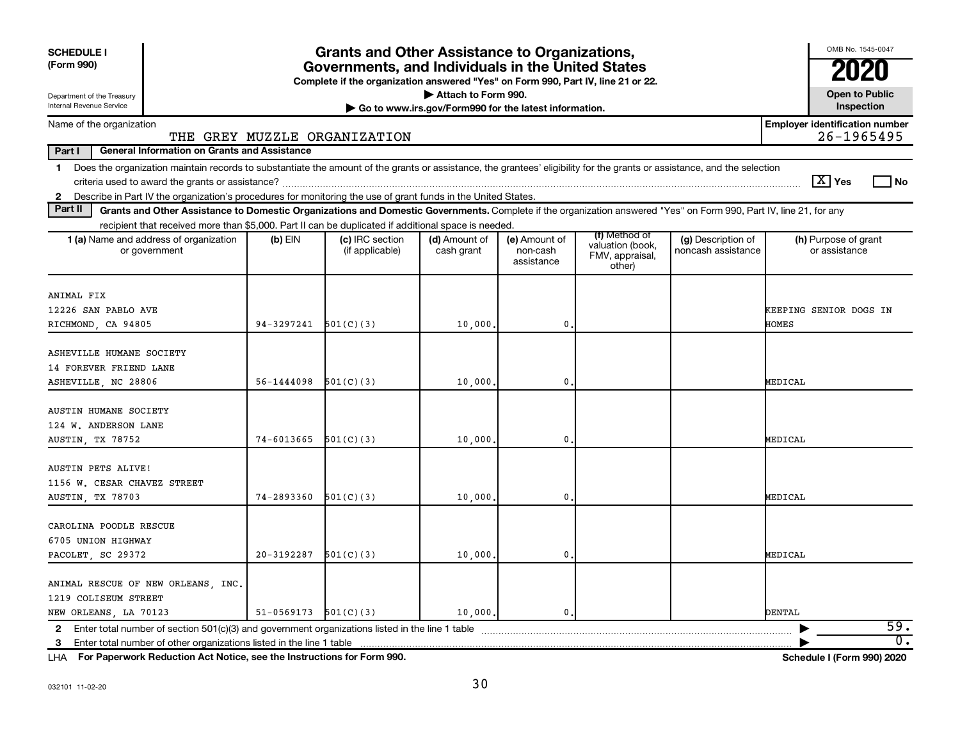| <b>SCHEDULE I</b><br>(Form 990)                                                                                                                                                                                                                                                                   |            | <b>Grants and Other Assistance to Organizations,</b><br>Governments, and Individuals in the United States<br>Complete if the organization answered "Yes" on Form 990, Part IV, line 21 or 22. |                                                                              |                                         |                                               |                                          | OMB No. 1545-0047                                   |
|---------------------------------------------------------------------------------------------------------------------------------------------------------------------------------------------------------------------------------------------------------------------------------------------------|------------|-----------------------------------------------------------------------------------------------------------------------------------------------------------------------------------------------|------------------------------------------------------------------------------|-----------------------------------------|-----------------------------------------------|------------------------------------------|-----------------------------------------------------|
| Department of the Treasury<br>Internal Revenue Service                                                                                                                                                                                                                                            |            |                                                                                                                                                                                               | Attach to Form 990.<br>Go to www.irs.gov/Form990 for the latest information. |                                         |                                               |                                          | <b>Open to Public</b><br>Inspection                 |
| Name of the organization                                                                                                                                                                                                                                                                          |            | THE GREY MUZZLE ORGANIZATION                                                                                                                                                                  |                                                                              |                                         |                                               |                                          | <b>Employer identification number</b><br>26-1965495 |
| Part I<br><b>General Information on Grants and Assistance</b>                                                                                                                                                                                                                                     |            |                                                                                                                                                                                               |                                                                              |                                         |                                               |                                          |                                                     |
| Does the organization maintain records to substantiate the amount of the grants or assistance, the grantees' eligibility for the grants or assistance, and the selection<br>1.<br>2 Describe in Part IV the organization's procedures for monitoring the use of grant funds in the United States. |            |                                                                                                                                                                                               |                                                                              |                                         |                                               |                                          | $ \mathbf{X} $ Yes<br>l No                          |
| Part II<br>Grants and Other Assistance to Domestic Organizations and Domestic Governments. Complete if the organization answered "Yes" on Form 990, Part IV, line 21, for any                                                                                                                     |            |                                                                                                                                                                                               |                                                                              |                                         |                                               |                                          |                                                     |
| recipient that received more than \$5,000. Part II can be duplicated if additional space is needed.                                                                                                                                                                                               |            |                                                                                                                                                                                               |                                                                              |                                         | (f) Method of                                 |                                          |                                                     |
| 1 (a) Name and address of organization<br>or government                                                                                                                                                                                                                                           | $(b)$ EIN  | (c) IRC section<br>(if applicable)                                                                                                                                                            | (d) Amount of<br>cash grant                                                  | (e) Amount of<br>non-cash<br>assistance | valuation (book,<br>FMV, appraisal,<br>other) | (g) Description of<br>noncash assistance | (h) Purpose of grant<br>or assistance               |
| ANIMAL FIX                                                                                                                                                                                                                                                                                        |            |                                                                                                                                                                                               |                                                                              |                                         |                                               |                                          |                                                     |
| 12226 SAN PABLO AVE                                                                                                                                                                                                                                                                               |            |                                                                                                                                                                                               |                                                                              |                                         |                                               |                                          | KEEPING SENIOR DOGS IN                              |
| RICHMOND, CA 94805                                                                                                                                                                                                                                                                                | 94-3297241 | 501(C)(3)                                                                                                                                                                                     | 10,000                                                                       | $\mathbf{0}$                            |                                               |                                          | HOMES                                               |
| ASHEVILLE HUMANE SOCIETY<br>14 FOREVER FRIEND LANE                                                                                                                                                                                                                                                |            |                                                                                                                                                                                               |                                                                              |                                         |                                               |                                          |                                                     |
| ASHEVILLE, NC 28806                                                                                                                                                                                                                                                                               | 56-1444098 | 501(C)(3)                                                                                                                                                                                     | 10,000                                                                       | 0                                       |                                               |                                          | MEDICAL                                             |
| AUSTIN HUMANE SOCIETY<br>124 W. ANDERSON LANE<br>AUSTIN, TX 78752                                                                                                                                                                                                                                 | 74-6013665 | 501(C)(3)                                                                                                                                                                                     | 10,000                                                                       | 0                                       |                                               |                                          | MEDICAL                                             |
| <b>AUSTIN PETS ALIVE!</b><br>1156 W. CESAR CHAVEZ STREET<br>AUSTIN, TX 78703                                                                                                                                                                                                                      | 74-2893360 | 501(C)(3)                                                                                                                                                                                     | 10,000                                                                       | 0                                       |                                               |                                          | MEDICAL                                             |
| CAROLINA POODLE RESCUE<br>6705 UNION HIGHWAY<br>PACOLET, SC 29372                                                                                                                                                                                                                                 | 20-3192287 | 501(C)(3)                                                                                                                                                                                     | 10,000                                                                       | $\mathbf{0}$                            |                                               |                                          | MEDICAL                                             |
| ANIMAL RESCUE OF NEW ORLEANS, INC.<br>1219 COLISEUM STREET<br>NEW ORLEANS, LA 70123                                                                                                                                                                                                               | 51-0569173 | 501(C)(3)                                                                                                                                                                                     | 10,000.                                                                      | $\mathbf{0}$ .                          |                                               |                                          | <b>DENTAL</b>                                       |
|                                                                                                                                                                                                                                                                                                   |            |                                                                                                                                                                                               |                                                                              |                                         |                                               |                                          | 59.                                                 |
| 3 Enter total number of other organizations listed in the line 1 table                                                                                                                                                                                                                            |            |                                                                                                                                                                                               |                                                                              |                                         |                                               |                                          | $\overline{0}$ .                                    |

**For Paperwork Reduction Act Notice, see the Instructions for Form 990. Schedule I (Form 990) 2020** LHA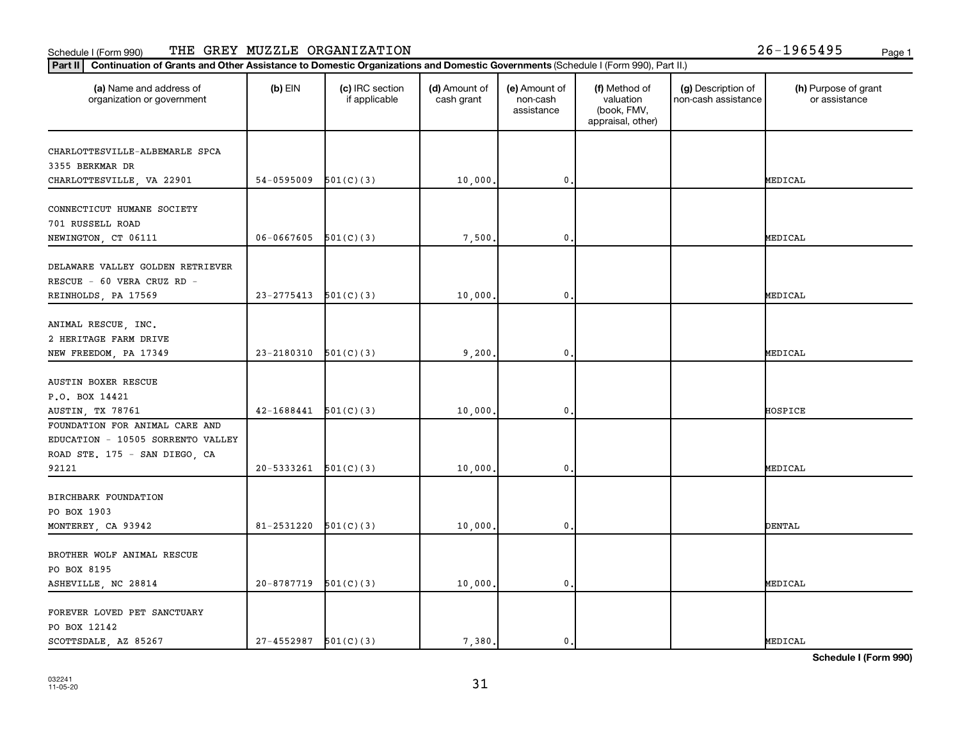#### Schedule I (Form 990) THE GREY MUZZLE ORGANIZATION 26-1965495 <sub>Page 1</sub>

| Continuation of Grants and Other Assistance to Domestic Organizations and Domestic Governments (Schedule I (Form 990), Part II.)<br>Part II |                            |                                  |                             |                                         |                                                                |                                           |                                       |
|---------------------------------------------------------------------------------------------------------------------------------------------|----------------------------|----------------------------------|-----------------------------|-----------------------------------------|----------------------------------------------------------------|-------------------------------------------|---------------------------------------|
| (a) Name and address of<br>organization or government                                                                                       | $(b)$ EIN                  | (c) IRC section<br>if applicable | (d) Amount of<br>cash grant | (e) Amount of<br>non-cash<br>assistance | (f) Method of<br>valuation<br>(book, FMV,<br>appraisal, other) | (g) Description of<br>non-cash assistance | (h) Purpose of grant<br>or assistance |
| CHARLOTTESVILLE-ALBEMARLE SPCA<br>3355 BERKMAR DR<br>CHARLOTTESVILLE, VA 22901                                                              | 54-0595009                 | 501(C)(3)                        | 10,000.                     | 0.                                      |                                                                |                                           | MEDICAL                               |
| CONNECTICUT HUMANE SOCIETY<br>701 RUSSELL ROAD<br>NEWINGTON, CT 06111                                                                       | 06-0667605                 | 501(C)(3)                        | 7,500.                      | $\mathbf{0}$ .                          |                                                                |                                           | MEDICAL                               |
| DELAWARE VALLEY GOLDEN RETRIEVER<br>RESCUE - 60 VERA CRUZ RD -<br>REINHOLDS, PA 17569                                                       | $23 - 2775413$             | 501(C)(3)                        | 10,000.                     | $\mathbf 0$                             |                                                                |                                           | MEDICAL                               |
| ANIMAL RESCUE, INC.<br>2 HERITAGE FARM DRIVE<br>NEW FREEDOM, PA 17349                                                                       | $23 - 2180310$ $501(C)(3)$ |                                  | 9,200.                      | 0.                                      |                                                                |                                           | MEDICAL                               |
| <b>AUSTIN BOXER RESCUE</b><br>P.O. BOX 14421<br><b>AUSTIN, TX 78761</b>                                                                     | $42-1688441$ $501(C)(3)$   |                                  | 10,000.                     | 0.                                      |                                                                |                                           | HOSPICE                               |
| FOUNDATION FOR ANIMAL CARE AND<br>EDUCATION - 10505 SORRENTO VALLEY<br>ROAD STE. 175 - SAN DIEGO, CA<br>92121                               | 20-5333261                 | 501(C)(3)                        | 10,000.                     | $\mathbf{0}$                            |                                                                |                                           | MEDICAL                               |
| BIRCHBARK FOUNDATION<br>PO BOX 1903<br>MONTEREY, CA 93942                                                                                   | 81-2531220                 | 501(C)(3)                        | 10,000.                     | 0,                                      |                                                                |                                           | <b>DENTAL</b>                         |
| BROTHER WOLF ANIMAL RESCUE<br>PO BOX 8195<br>ASHEVILLE, NC 28814                                                                            | 20-8787719                 | 501(C)(3)                        | 10,000.                     | 0.                                      |                                                                |                                           | MEDICAL                               |
| FOREVER LOVED PET SANCTUARY<br>PO BOX 12142<br>SCOTTSDALE, AZ 85267                                                                         | 27-4552987                 | 501(C)(3)                        | 7.380.                      | 0.                                      |                                                                |                                           | MEDICAL                               |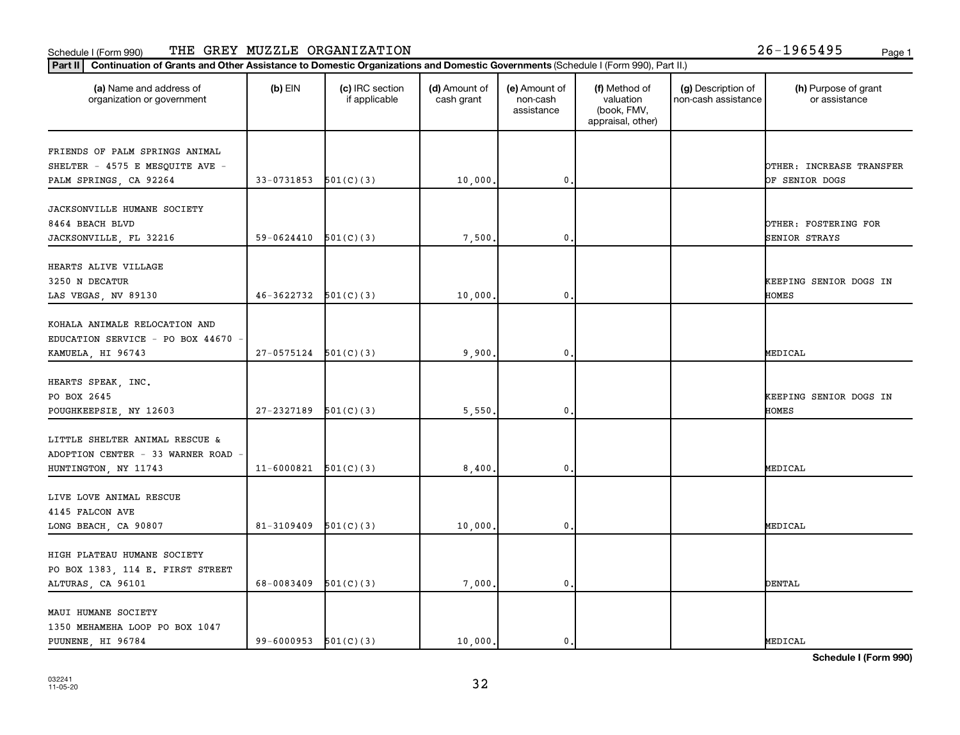#### Schedule I (Form 990) THE GREY MUZZLE ORGANIZATION 26-1965495 <sub>Page 1</sub>

| (a) Name and address of<br>organization or government | $(b)$ EIN                  | (c) IRC section<br>if applicable | (d) Amount of<br>cash grant | (e) Amount of<br>non-cash<br>assistance | (f) Method of<br>valuation<br>(book, FMV,<br>appraisal, other) | (g) Description of<br>non-cash assistance | (h) Purpose of grant<br>or assistance |
|-------------------------------------------------------|----------------------------|----------------------------------|-----------------------------|-----------------------------------------|----------------------------------------------------------------|-------------------------------------------|---------------------------------------|
| FRIENDS OF PALM SPRINGS ANIMAL                        |                            |                                  |                             |                                         |                                                                |                                           |                                       |
| SHELTER - 4575 E MESQUITE AVE -                       |                            |                                  |                             |                                         |                                                                |                                           | OTHER: INCREASE TRANSFER              |
| PALM SPRINGS, CA 92264                                | 33-0731853                 | 501(C)(3)                        | 10,000.                     | 0                                       |                                                                |                                           | OF SENIOR DOGS                        |
|                                                       |                            |                                  |                             |                                         |                                                                |                                           |                                       |
| JACKSONVILLE HUMANE SOCIETY                           |                            |                                  |                             |                                         |                                                                |                                           |                                       |
| 8464 BEACH BLVD                                       |                            |                                  |                             |                                         |                                                                |                                           | OTHER: FOSTERING FOR                  |
| JACKSONVILLE, FL 32216                                | 59-0624410                 | 501(C)(3)                        | 7,500                       | 0                                       |                                                                |                                           | SENIOR STRAYS                         |
|                                                       |                            |                                  |                             |                                         |                                                                |                                           |                                       |
| HEARTS ALIVE VILLAGE                                  |                            |                                  |                             |                                         |                                                                |                                           |                                       |
| 3250 N DECATUR                                        |                            |                                  |                             |                                         |                                                                |                                           | KEEPING SENIOR DOGS IN                |
| LAS VEGAS, NV 89130                                   | $46-3622732$ $501(C)(3)$   |                                  | 10,000.                     | $\mathbf 0$                             |                                                                |                                           | HOMES                                 |
|                                                       |                            |                                  |                             |                                         |                                                                |                                           |                                       |
| KOHALA ANIMALE RELOCATION AND                         |                            |                                  |                             |                                         |                                                                |                                           |                                       |
| EDUCATION SERVICE - PO BOX 44670                      |                            |                                  |                             |                                         |                                                                |                                           |                                       |
|                                                       | 27-0575124                 | 501(C)(3)                        | 9,900                       | $\mathbf 0$                             |                                                                |                                           | MEDICAL                               |
| KAMUELA, HI 96743                                     |                            |                                  |                             |                                         |                                                                |                                           |                                       |
| HEARTS SPEAK, INC.                                    |                            |                                  |                             |                                         |                                                                |                                           |                                       |
| PO BOX 2645                                           |                            |                                  |                             |                                         |                                                                |                                           | KEEPING SENIOR DOGS IN                |
|                                                       |                            |                                  |                             |                                         |                                                                |                                           |                                       |
| POUGHKEEPSIE, NY 12603                                | 27-2327189                 | 501(C)(3)                        | 5,550.                      | 0                                       |                                                                |                                           | <b>HOMES</b>                          |
| LITTLE SHELTER ANIMAL RESCUE &                        |                            |                                  |                             |                                         |                                                                |                                           |                                       |
|                                                       |                            |                                  |                             |                                         |                                                                |                                           |                                       |
| ADOPTION CENTER - 33 WARNER ROAD                      |                            |                                  |                             |                                         |                                                                |                                           |                                       |
| HUNTINGTON, NY 11743                                  | 11-6000821                 | 501(C)(3)                        | 8,400                       | 0                                       |                                                                |                                           | MEDICAL                               |
|                                                       |                            |                                  |                             |                                         |                                                                |                                           |                                       |
| LIVE LOVE ANIMAL RESCUE                               |                            |                                  |                             |                                         |                                                                |                                           |                                       |
| 4145 FALCON AVE                                       |                            |                                  |                             |                                         |                                                                |                                           |                                       |
| LONG BEACH, CA 90807                                  | 81-3109409                 | 501(C)(3)                        | 10,000.                     | 0.                                      |                                                                |                                           | MEDICAL                               |
|                                                       |                            |                                  |                             |                                         |                                                                |                                           |                                       |
| HIGH PLATEAU HUMANE SOCIETY                           |                            |                                  |                             |                                         |                                                                |                                           |                                       |
| PO BOX 1383, 114 E. FIRST STREET                      |                            |                                  |                             |                                         |                                                                |                                           |                                       |
| ALTURAS, CA 96101                                     | 68-0083409                 | 501(C)(3)                        | 7,000,                      | 0.                                      |                                                                |                                           | <b>DENTAL</b>                         |
|                                                       |                            |                                  |                             |                                         |                                                                |                                           |                                       |
| MAUI HUMANE SOCIETY                                   |                            |                                  |                             |                                         |                                                                |                                           |                                       |
| 1350 MEHAMEHA LOOP PO BOX 1047                        |                            |                                  |                             |                                         |                                                                |                                           |                                       |
| PUUNENE HI 96784                                      | $99 - 6000953$ $501(C)(3)$ |                                  | 10,000.                     | $\mathbf 0$ .                           |                                                                |                                           | MEDICAL                               |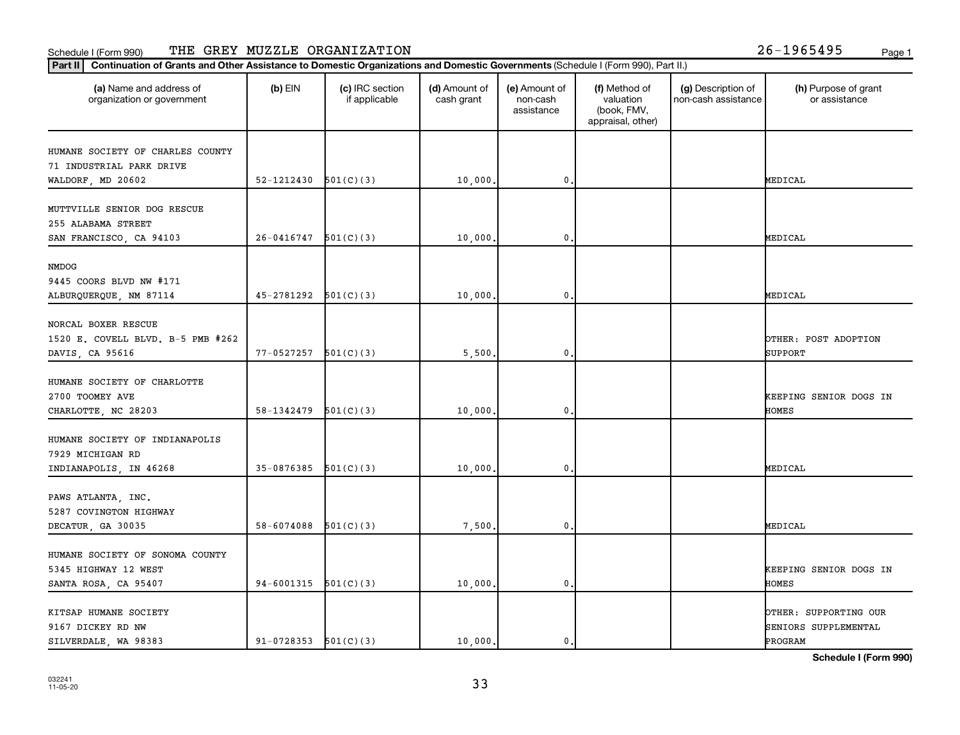#### Schedule I (Form 990) Page 1 Page 1 Page 1 Page 1 Page 1 Page 1 Page 1 Page 1 Page 1 THE GREY MUZZLE ORGANIZATION 26-1965495

| (a) Name and address of<br>organization or government | $(b)$ EIN                | (c) IRC section<br>if applicable | (d) Amount of<br>cash grant | (e) Amount of<br>non-cash<br>assistance | (f) Method of<br>valuation<br>(book, FMV,<br>appraisal, other) | (g) Description of<br>non-cash assistance | (h) Purpose of grant<br>or assistance |
|-------------------------------------------------------|--------------------------|----------------------------------|-----------------------------|-----------------------------------------|----------------------------------------------------------------|-------------------------------------------|---------------------------------------|
| HUMANE SOCIETY OF CHARLES COUNTY                      |                          |                                  |                             |                                         |                                                                |                                           |                                       |
| 71 INDUSTRIAL PARK DRIVE                              |                          |                                  |                             |                                         |                                                                |                                           |                                       |
| WALDORF, MD 20602                                     | 52-1212430               | 501(C)(3)                        | 10,000.                     | 0                                       |                                                                |                                           | MEDICAL                               |
| MUTTVILLE SENIOR DOG RESCUE                           |                          |                                  |                             |                                         |                                                                |                                           |                                       |
| 255 ALABAMA STREET                                    |                          |                                  |                             |                                         |                                                                |                                           |                                       |
| SAN FRANCISCO, CA 94103                               | 26-0416747               | 501(C)(3)                        | 10,000.                     | $\mathbf 0$ .                           |                                                                |                                           | MEDICAL                               |
|                                                       |                          |                                  |                             |                                         |                                                                |                                           |                                       |
| NMDOG                                                 |                          |                                  |                             |                                         |                                                                |                                           |                                       |
| 9445 COORS BLVD NW #171                               |                          |                                  |                             |                                         |                                                                |                                           |                                       |
| ALBURQUERQUE, NM 87114                                | $45-2781292$ $501(C)(3)$ |                                  | 10,000                      | $\mathbf{0}$                            |                                                                |                                           | MEDICAL                               |
| NORCAL BOXER RESCUE                                   |                          |                                  |                             |                                         |                                                                |                                           |                                       |
| 1520 E. COVELL BLVD. B-5 PMB #262                     |                          |                                  |                             |                                         |                                                                |                                           | OTHER: POST ADOPTION                  |
| DAVIS, CA 95616                                       | 77-0527257               | 501(C)(3)                        | 5,500                       | 0                                       |                                                                |                                           | <b>SUPPORT</b>                        |
|                                                       |                          |                                  |                             |                                         |                                                                |                                           |                                       |
| HUMANE SOCIETY OF CHARLOTTE                           |                          |                                  |                             |                                         |                                                                |                                           |                                       |
| 2700 TOOMEY AVE                                       |                          |                                  |                             |                                         |                                                                |                                           | KEEPING SENIOR DOGS IN                |
| CHARLOTTE, NC 28203                                   | 58-1342479               | 501(C)(3)                        | 10,000.                     | $\mathbf 0$ .                           |                                                                |                                           | HOMES                                 |
| HUMANE SOCIETY OF INDIANAPOLIS                        |                          |                                  |                             |                                         |                                                                |                                           |                                       |
| 7929 MICHIGAN RD                                      |                          |                                  |                             |                                         |                                                                |                                           |                                       |
| INDIANAPOLIS, IN 46268                                | 35-0876385               | 501(C)(3)                        | 10,000                      | $\mathbf{0}$                            |                                                                |                                           | MEDICAL                               |
|                                                       |                          |                                  |                             |                                         |                                                                |                                           |                                       |
| PAWS ATLANTA, INC.                                    |                          |                                  |                             |                                         |                                                                |                                           |                                       |
| 5287 COVINGTON HIGHWAY                                |                          |                                  |                             |                                         |                                                                |                                           |                                       |
| DECATUR, GA 30035                                     | 58-6074088               | 501(C)(3)                        | 7,500                       | $\mathbf{0}$                            |                                                                |                                           | MEDICAL                               |
| HUMANE SOCIETY OF SONOMA COUNTY                       |                          |                                  |                             |                                         |                                                                |                                           |                                       |
| 5345 HIGHWAY 12 WEST                                  |                          |                                  |                             |                                         |                                                                |                                           | KEEPING SENIOR DOGS IN                |
| SANTA ROSA, CA 95407                                  | 94-6001315               | 501(C)(3)                        | 10,000.                     | $\mathbf 0$ .                           |                                                                |                                           | HOMES                                 |
|                                                       |                          |                                  |                             |                                         |                                                                |                                           |                                       |
| KITSAP HUMANE SOCIETY                                 |                          |                                  |                             |                                         |                                                                |                                           | <b>DTHER: SUPPORTING OUR</b>          |
| 9167 DICKEY RD NW                                     |                          |                                  |                             |                                         |                                                                |                                           | SENIORS SUPPLEMENTAL                  |
| SILVERDALE, WA 98383                                  | $91-0728353$ $501(C)(3)$ |                                  | 10,000,                     | $\mathbf{0}$                            |                                                                |                                           | PROGRAM                               |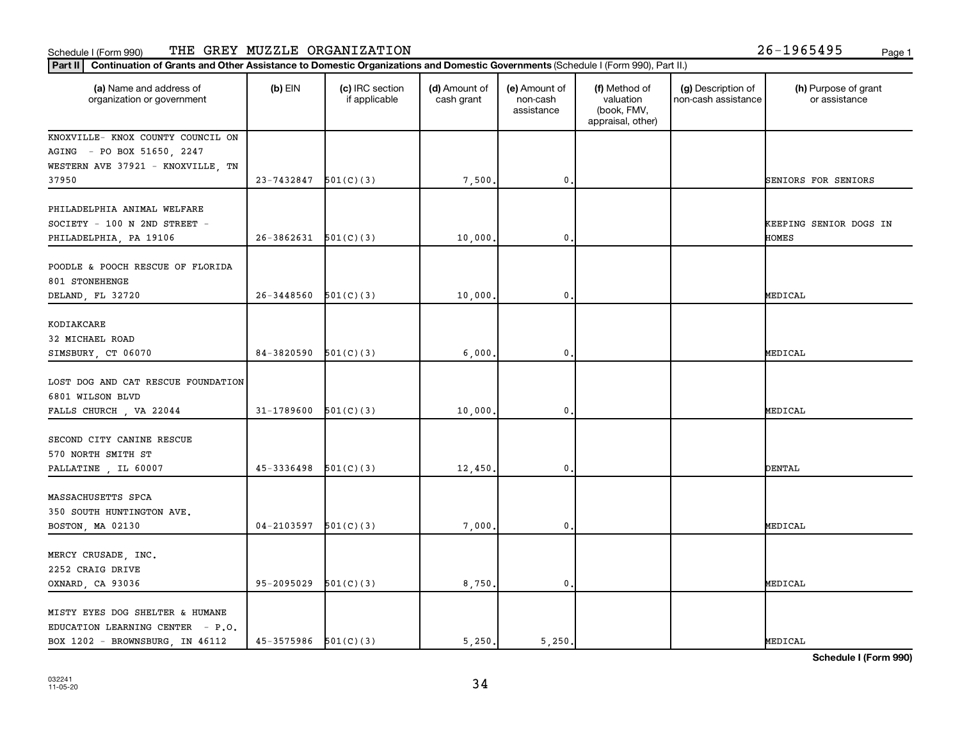#### Schedule I (Form 990) THE GREY MUZZLE ORGANIZATION 26-1965495 <sub>Page 1</sub>

| (a) Name and address of<br>organization or government                                                  | $(b)$ EIN                  | (c) IRC section<br>if applicable | (d) Amount of<br>cash grant | (e) Amount of<br>non-cash<br>assistance | (f) Method of<br>valuation<br>(book, FMV,<br>appraisal, other) | (g) Description of<br>non-cash assistance | (h) Purpose of grant<br>or assistance  |
|--------------------------------------------------------------------------------------------------------|----------------------------|----------------------------------|-----------------------------|-----------------------------------------|----------------------------------------------------------------|-------------------------------------------|----------------------------------------|
| KNOXVILLE- KNOX COUNTY COUNCIL ON                                                                      |                            |                                  |                             |                                         |                                                                |                                           |                                        |
| AGING - PO BOX 51650, 2247                                                                             |                            |                                  |                             |                                         |                                                                |                                           |                                        |
| WESTERN AVE 37921 - KNOXVILLE, TN                                                                      |                            |                                  |                             |                                         |                                                                |                                           |                                        |
| 37950                                                                                                  | $23 - 7432847$ $501(C)(3)$ |                                  | 7,500.                      | $\mathbf{0}$                            |                                                                |                                           | SENIORS FOR SENIORS                    |
| PHILADELPHIA ANIMAL WELFARE<br>SOCIETY - 100 N 2ND STREET -                                            | 26-3862631                 | 501(C)(3)                        | 10,000.                     | $\mathbf{0}$                            |                                                                |                                           | KEEPING SENIOR DOGS IN<br><b>HOMES</b> |
| PHILADELPHIA, PA 19106                                                                                 |                            |                                  |                             |                                         |                                                                |                                           |                                        |
| POODLE & POOCH RESCUE OF FLORIDA<br>801 STONEHENGE                                                     |                            |                                  |                             |                                         |                                                                |                                           |                                        |
| DELAND, FL 32720                                                                                       | $26 - 3448560$             | 501(C)(3)                        | 10,000.                     | $\mathbf{0}$                            |                                                                |                                           | MEDICAL                                |
| KODIAKCARE<br>32 MICHAEL ROAD                                                                          |                            |                                  |                             |                                         |                                                                |                                           |                                        |
| SIMSBURY, CT 06070                                                                                     | 84-3820590                 | 501(C)(3)                        | 6,000.                      | $\mathbf 0$                             |                                                                |                                           | MEDICAL                                |
| LOST DOG AND CAT RESCUE FOUNDATION<br>6801 WILSON BLVD                                                 |                            |                                  |                             |                                         |                                                                |                                           |                                        |
| FALLS CHURCH, VA 22044                                                                                 | 31-1789600                 | 501(C)(3)                        | 10,000.                     | $\mathbf 0$                             |                                                                |                                           | MEDICAL                                |
| SECOND CITY CANINE RESCUE<br>570 NORTH SMITH ST                                                        |                            |                                  |                             |                                         |                                                                |                                           |                                        |
| PALLATINE, IL 60007                                                                                    | 45-3336498                 | 501(C)(3)                        | 12,450.                     | $\mathbf{0}$                            |                                                                |                                           | <b>DENTAL</b>                          |
| MASSACHUSETTS SPCA<br>350 SOUTH HUNTINGTON AVE.                                                        |                            |                                  |                             |                                         |                                                                |                                           |                                        |
| BOSTON, MA 02130                                                                                       | $04-2103597$ $501(C)(3)$   |                                  | 7,000.                      | $\mathbf 0$ .                           |                                                                |                                           | MEDICAL                                |
| MERCY CRUSADE, INC.<br>2252 CRAIG DRIVE                                                                |                            |                                  |                             |                                         |                                                                |                                           |                                        |
| OXNARD, CA 93036                                                                                       | 95-2095029                 | 501(C)(3)                        | 8,750.                      | $\mathbf{0}$                            |                                                                |                                           | MEDICAL                                |
| MISTY EYES DOG SHELTER & HUMANE<br>EDUCATION LEARNING CENTER - P.O.<br>BOX 1202 - BROWNSBURG, IN 46112 | $45-3575986$ $501(C)(3)$   |                                  | 5.250.                      | 5,250.                                  |                                                                |                                           | MEDICAL                                |
|                                                                                                        |                            |                                  |                             |                                         |                                                                |                                           |                                        |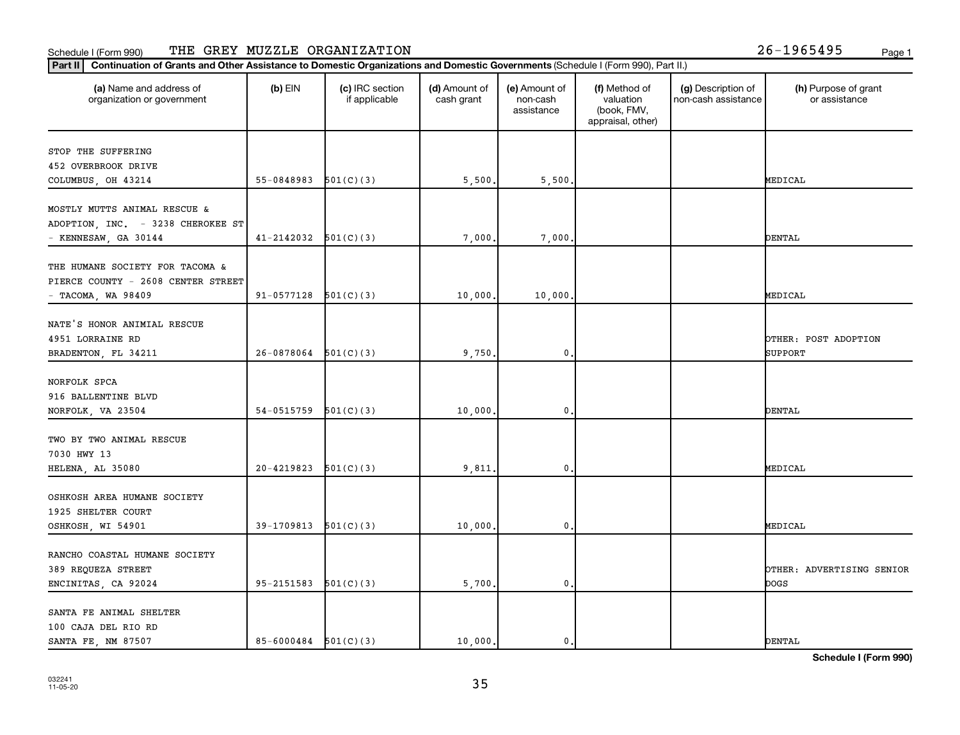#### Schedule I (Form 990) THE GREY MUZZLE ORGANIZATION 26-1965495 <sub>Page 1</sub>

| (a) Name and address of<br>organization or government | $(b)$ EIN                  | (c) IRC section<br>if applicable | (d) Amount of<br>cash grant | (e) Amount of<br>non-cash<br>assistance | (f) Method of<br>valuation<br>(book, FMV,<br>appraisal, other) | (g) Description of<br>non-cash assistance | (h) Purpose of grant<br>or assistance |
|-------------------------------------------------------|----------------------------|----------------------------------|-----------------------------|-----------------------------------------|----------------------------------------------------------------|-------------------------------------------|---------------------------------------|
| STOP THE SUFFERING                                    |                            |                                  |                             |                                         |                                                                |                                           |                                       |
| 452 OVERBROOK DRIVE                                   |                            |                                  |                             |                                         |                                                                |                                           |                                       |
| COLUMBUS, OH 43214                                    | $55-0848983$ $501(C)(3)$   |                                  | 5,500.                      | 5,500                                   |                                                                |                                           | MEDICAL                               |
| MOSTLY MUTTS ANIMAL RESCUE &                          |                            |                                  |                             |                                         |                                                                |                                           |                                       |
| ADOPTION, INC. - 3238 CHEROKEE ST                     |                            |                                  |                             |                                         |                                                                |                                           |                                       |
| - KENNESAW, GA 30144                                  | $41 - 2142032$ $501(C)(3)$ |                                  | 7,000.                      | 7,000                                   |                                                                |                                           | <b>DENTAL</b>                         |
|                                                       |                            |                                  |                             |                                         |                                                                |                                           |                                       |
| THE HUMANE SOCIETY FOR TACOMA &                       |                            |                                  |                             |                                         |                                                                |                                           |                                       |
| PIERCE COUNTY - 2608 CENTER STREET                    |                            |                                  |                             |                                         |                                                                |                                           |                                       |
| $-$ TACOMA, WA 98409                                  | 91-0577128                 | 501(C)(3)                        | 10,000.                     | 10,000                                  |                                                                |                                           | MEDICAL                               |
|                                                       |                            |                                  |                             |                                         |                                                                |                                           |                                       |
| NATE'S HONOR ANIMIAL RESCUE                           |                            |                                  |                             |                                         |                                                                |                                           |                                       |
| 4951 LORRAINE RD                                      |                            |                                  |                             |                                         |                                                                |                                           | OTHER: POST ADOPTION                  |
| BRADENTON, FL 34211                                   | 26-0878064                 | 501(C)(3)                        | 9,750.                      | 0                                       |                                                                |                                           | <b>SUPPORT</b>                        |
|                                                       |                            |                                  |                             |                                         |                                                                |                                           |                                       |
| NORFOLK SPCA                                          |                            |                                  |                             |                                         |                                                                |                                           |                                       |
| 916 BALLENTINE BLVD                                   |                            |                                  |                             |                                         |                                                                |                                           |                                       |
| NORFOLK, VA 23504                                     | 54-0515759                 | 501(C)(3)                        | 10,000.                     | 0                                       |                                                                |                                           | <b>DENTAL</b>                         |
| TWO BY TWO ANIMAL RESCUE                              |                            |                                  |                             |                                         |                                                                |                                           |                                       |
| 7030 HWY 13                                           |                            |                                  |                             |                                         |                                                                |                                           |                                       |
| HELENA, AL 35080                                      | 20-4219823                 | 501(C)(3)                        | 9,811                       | 0                                       |                                                                |                                           | MEDICAL                               |
|                                                       |                            |                                  |                             |                                         |                                                                |                                           |                                       |
| OSHKOSH AREA HUMANE SOCIETY                           |                            |                                  |                             |                                         |                                                                |                                           |                                       |
| 1925 SHELTER COURT                                    |                            |                                  |                             |                                         |                                                                |                                           |                                       |
| OSHKOSH, WI 54901                                     | $39-1709813$ $501(C)(3)$   |                                  | 10,000.                     | $\mathbf{0}$                            |                                                                |                                           | MEDICAL                               |
|                                                       |                            |                                  |                             |                                         |                                                                |                                           |                                       |
| RANCHO COASTAL HUMANE SOCIETY                         |                            |                                  |                             |                                         |                                                                |                                           |                                       |
| 389 REQUEZA STREET                                    |                            |                                  |                             |                                         |                                                                |                                           | OTHER: ADVERTISING SENIOR             |
| ENCINITAS, CA 92024                                   | 95-2151583                 | 501(C)(3)                        | 5,700.                      | $\mathbf{0}$                            |                                                                |                                           | <b>DOGS</b>                           |
|                                                       |                            |                                  |                             |                                         |                                                                |                                           |                                       |
| SANTA FE ANIMAL SHELTER                               |                            |                                  |                             |                                         |                                                                |                                           |                                       |
| 100 CAJA DEL RIO RD                                   |                            |                                  |                             |                                         |                                                                |                                           |                                       |
| SANTA FE, NM 87507                                    | $85 - 6000484$ $501(C)(3)$ |                                  | 10,000.                     | $\mathbf{0}$ .                          |                                                                |                                           | <b>DENTAL</b>                         |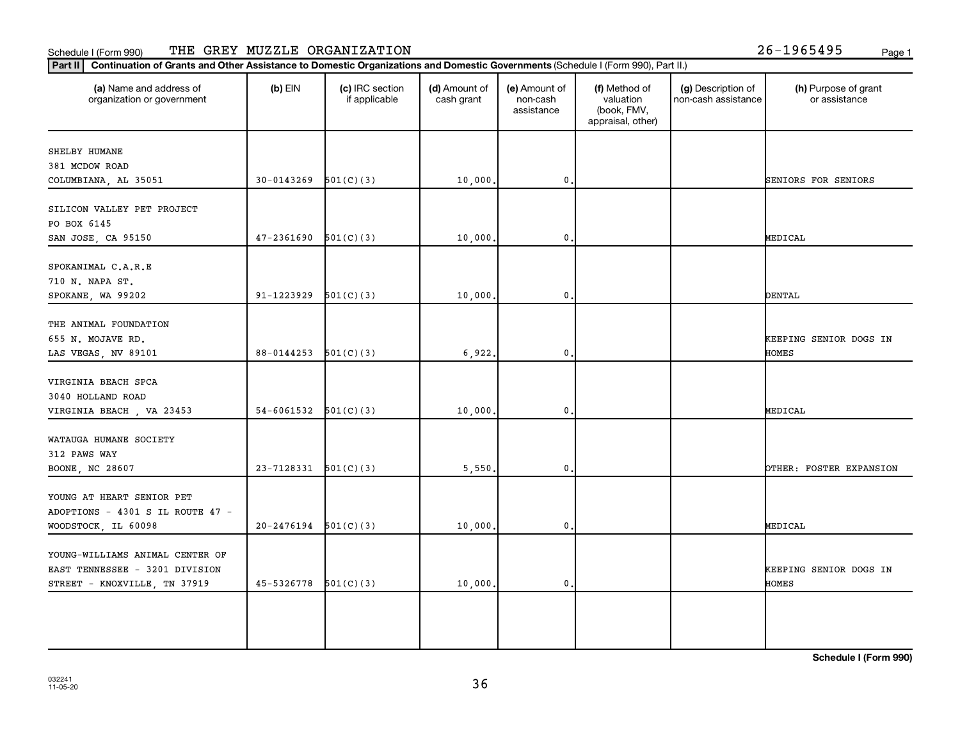#### Schedule I (Form 990) Page 1 Page 1 Page 1 Page 1 Page 1 Page 1 Page 1 Page 1 Page 1 THE GREY MUZZLE ORGANIZATION 26-1965495

| (a) Name and address of<br>organization or government                                             | $(b)$ EIN                | (c) IRC section<br>if applicable | (d) Amount of<br>cash grant | (e) Amount of<br>non-cash<br>assistance | (f) Method of<br>valuation<br>(book, FMV,<br>appraisal, other) | (g) Description of<br>non-cash assistance | (h) Purpose of grant<br>or assistance  |
|---------------------------------------------------------------------------------------------------|--------------------------|----------------------------------|-----------------------------|-----------------------------------------|----------------------------------------------------------------|-------------------------------------------|----------------------------------------|
| SHELBY HUMANE                                                                                     |                          |                                  |                             |                                         |                                                                |                                           |                                        |
| 381 MCDOW ROAD                                                                                    |                          |                                  |                             |                                         |                                                                |                                           |                                        |
| COLUMBIANA, AL 35051                                                                              | 30-0143269               | 501(C)(3)                        | 10,000.                     | $\mathbf 0$                             |                                                                |                                           | SENIORS FOR SENIORS                    |
| SILICON VALLEY PET PROJECT<br>PO BOX 6145                                                         |                          |                                  |                             |                                         |                                                                |                                           |                                        |
| SAN JOSE, CA 95150                                                                                | 47-2361690               | 501(C)(3)                        | 10,000                      | 0                                       |                                                                |                                           | MEDICAL                                |
| SPOKANIMAL C.A.R.E<br>710 N. NAPA ST.                                                             |                          |                                  |                             |                                         |                                                                |                                           |                                        |
| SPOKANE, WA 99202                                                                                 | 91-1223929               | 501(C)(3)                        | 10,000.                     | $\mathbf{0}$                            |                                                                |                                           | <b>DENTAL</b>                          |
| THE ANIMAL FOUNDATION<br>655 N. MOJAVE RD.<br>LAS VEGAS, NV 89101                                 | 88-0144253               | 501(C)(3)                        | 6,922.                      | $\mathbf{0}$                            |                                                                |                                           | KEEPING SENIOR DOGS IN<br>HOMES        |
| VIRGINIA BEACH SPCA<br>3040 HOLLAND ROAD                                                          | 54-6061532               | 501(C)(3)                        |                             | 0                                       |                                                                |                                           | MEDICAL                                |
| VIRGINIA BEACH, VA 23453                                                                          |                          |                                  | 10,000.                     |                                         |                                                                |                                           |                                        |
| WATAUGA HUMANE SOCIETY<br>312 PAWS WAY                                                            |                          |                                  |                             |                                         |                                                                |                                           |                                        |
| BOONE, NC 28607                                                                                   | 23-7128331               | 501(C)(3)                        | 5,550.                      | $\mathbf{0}$                            |                                                                |                                           | OTHER: FOSTER EXPANSION                |
| YOUNG AT HEART SENIOR PET<br>ADOPTIONS - 4301 S IL ROUTE 47 -                                     |                          |                                  |                             |                                         |                                                                |                                           |                                        |
| WOODSTOCK, IL 60098                                                                               | 20-2476194               | 501(C)(3)                        | 10,000.                     | 0.                                      |                                                                |                                           | MEDICAL                                |
| YOUNG-WILLIAMS ANIMAL CENTER OF<br>EAST TENNESSEE - 3201 DIVISION<br>STREET - KNOXVILLE, TN 37919 | $45-5326778$ $501(C)(3)$ |                                  | 10,000.                     | 0.                                      |                                                                |                                           | KEEPING SENIOR DOGS IN<br><b>HOMES</b> |
|                                                                                                   |                          |                                  |                             |                                         |                                                                |                                           |                                        |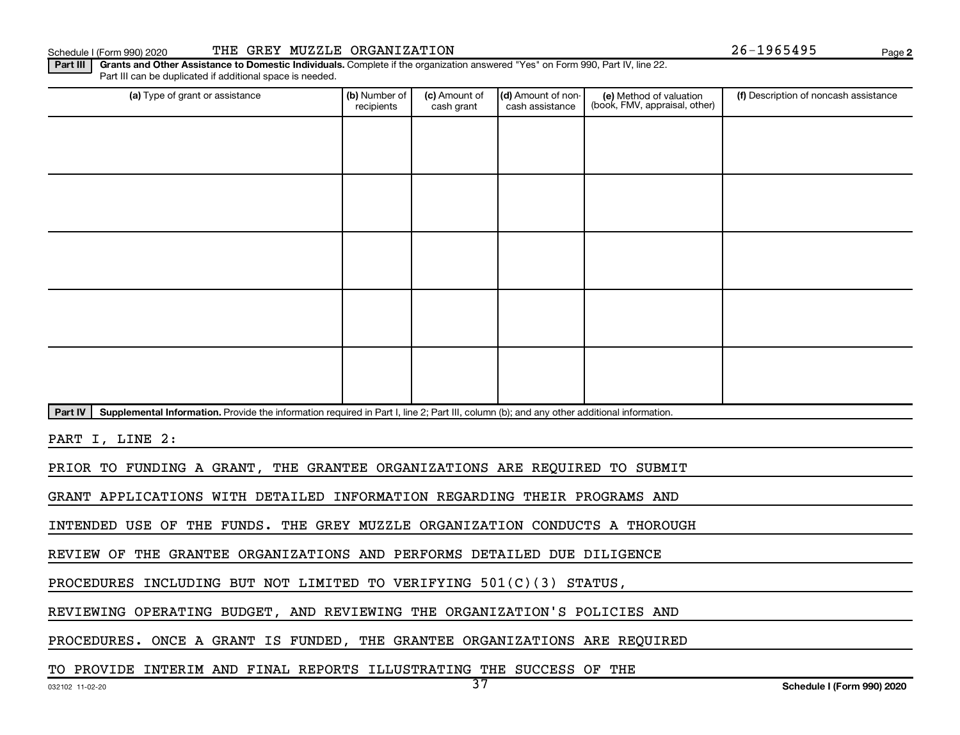Schedule I (Form 990) 2020 THE GREY MUZZLE ORGANIZATION Page

**2**

Part III | Grants and Other Assistance to Domestic Individuals. Complete if the organization answered "Yes" on Form 990, Part IV, line 22. Part III can be duplicated if additional space is needed.

| (a) Type of grant or assistance                                                                                                                      | (b) Number of<br>recipients | (c) Amount of<br>cash grant | (d) Amount of non-<br>cash assistance | (e) Method of valuation<br>(book, FMV, appraisal, other) | (f) Description of noncash assistance |
|------------------------------------------------------------------------------------------------------------------------------------------------------|-----------------------------|-----------------------------|---------------------------------------|----------------------------------------------------------|---------------------------------------|
|                                                                                                                                                      |                             |                             |                                       |                                                          |                                       |
|                                                                                                                                                      |                             |                             |                                       |                                                          |                                       |
|                                                                                                                                                      |                             |                             |                                       |                                                          |                                       |
|                                                                                                                                                      |                             |                             |                                       |                                                          |                                       |
|                                                                                                                                                      |                             |                             |                                       |                                                          |                                       |
|                                                                                                                                                      |                             |                             |                                       |                                                          |                                       |
|                                                                                                                                                      |                             |                             |                                       |                                                          |                                       |
|                                                                                                                                                      |                             |                             |                                       |                                                          |                                       |
|                                                                                                                                                      |                             |                             |                                       |                                                          |                                       |
|                                                                                                                                                      |                             |                             |                                       |                                                          |                                       |
| Part IV<br>Supplemental Information. Provide the information required in Part I, line 2; Part III, column (b); and any other additional information. |                             |                             |                                       |                                                          |                                       |

PART I, LINE 2:

PRIOR TO FUNDING A GRANT, THE GRANTEE ORGANIZATIONS ARE REQUIRED TO SUBMIT

GRANT APPLICATIONS WITH DETAILED INFORMATION REGARDING THEIR PROGRAMS AND

INTENDED USE OF THE FUNDS. THE GREY MUZZLE ORGANIZATION CONDUCTS A THOROUGH

REVIEW OF THE GRANTEE ORGANIZATIONS AND PERFORMS DETAILED DUE DILIGENCE

PROCEDURES INCLUDING BUT NOT LIMITED TO VERIFYING 501(C)(3) STATUS,

REVIEWING OPERATING BUDGET, AND REVIEWING THE ORGANIZATION'S POLICIES AND

PROCEDURES. ONCE A GRANT IS FUNDED, THE GRANTEE ORGANIZATIONS ARE REQUIRED

TO PROVIDE INTERIM AND FINAL REPORTS ILLUSTRATING THE SUCCESS OF THE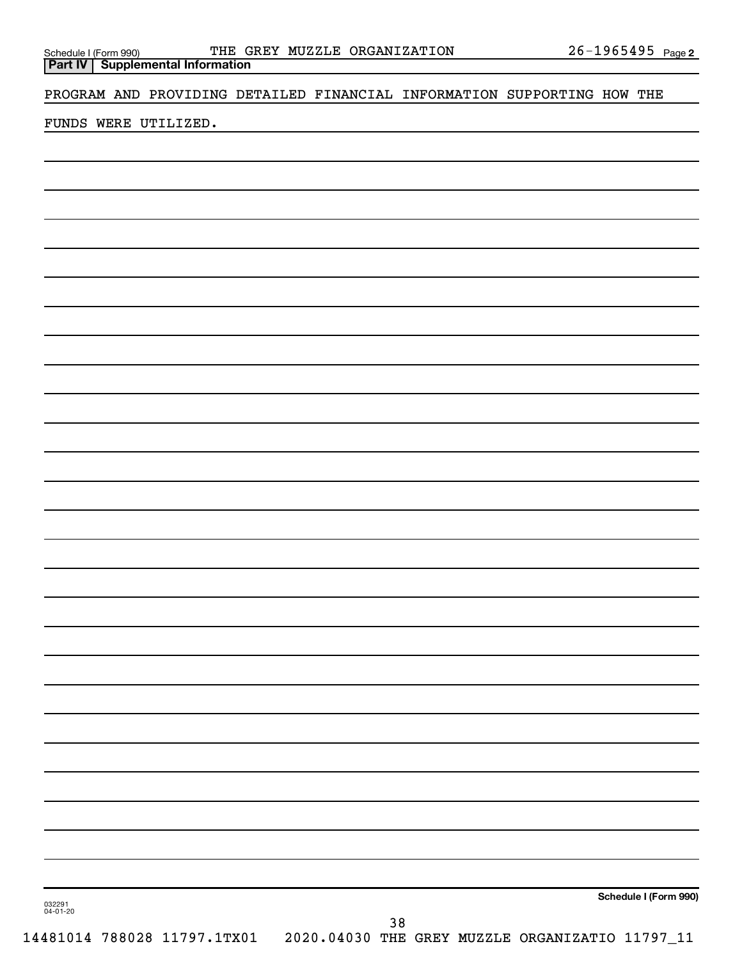**Part IV Supplemental Information**

PROGRAM AND PROVIDING DETAILED FINANCIAL INFORMATION SUPPORTING HOW THE

FUNDS WERE UTILIZED.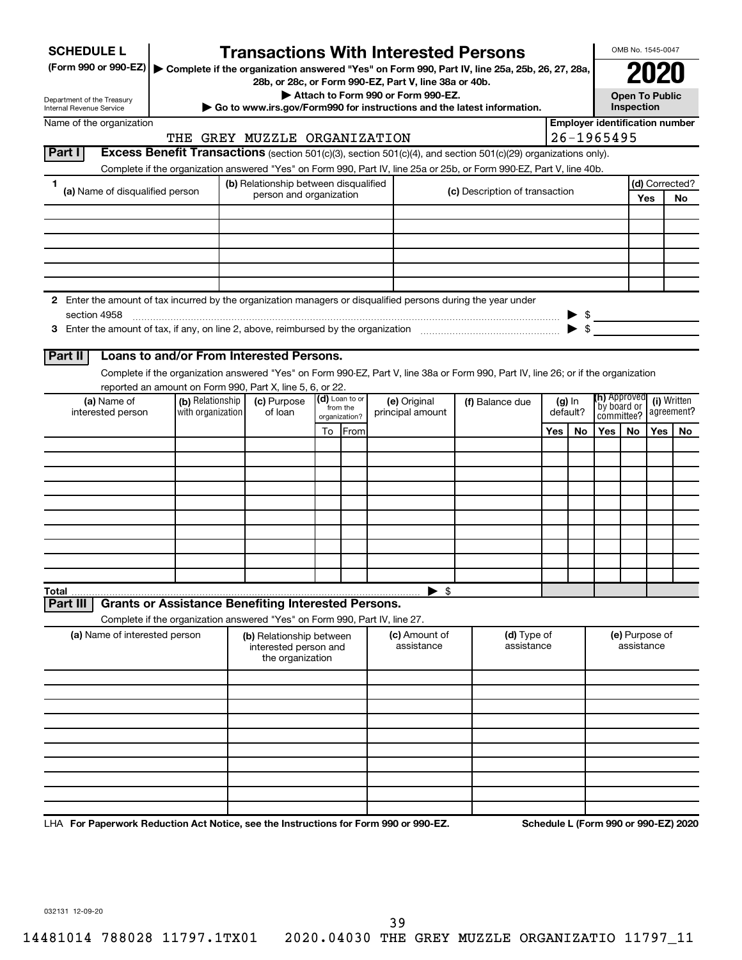| <b>SCHEDULE L</b>                                                                                                                | <b>Transactions With Interested Persons</b>                                                                                                                                                                                            |    |                           |  |                                                                                             |  |                                |     |                          |                                       | OMB No. 1545-0047                   |     |                                      |
|----------------------------------------------------------------------------------------------------------------------------------|----------------------------------------------------------------------------------------------------------------------------------------------------------------------------------------------------------------------------------------|----|---------------------------|--|---------------------------------------------------------------------------------------------|--|--------------------------------|-----|--------------------------|---------------------------------------|-------------------------------------|-----|--------------------------------------|
| (Form 990 or 990-EZ)   Complete if the organization answered "Yes" on Form 990, Part IV, line 25a, 25b, 26, 27, 28a,             |                                                                                                                                                                                                                                        |    |                           |  |                                                                                             |  |                                |     |                          |                                       |                                     |     |                                      |
|                                                                                                                                  |                                                                                                                                                                                                                                        |    |                           |  | 28b, or 28c, or Form 990-EZ, Part V, line 38a or 40b.<br>Attach to Form 990 or Form 990-EZ. |  |                                |     |                          |                                       |                                     |     |                                      |
| Department of the Treasury<br>Internal Revenue Service                                                                           | Go to www.irs.gov/Form990 for instructions and the latest information.                                                                                                                                                                 |    |                           |  |                                                                                             |  |                                |     |                          |                                       | <b>Open To Public</b><br>Inspection |     |                                      |
| Name of the organization                                                                                                         |                                                                                                                                                                                                                                        |    |                           |  |                                                                                             |  |                                |     |                          | <b>Employer identification number</b> |                                     |     |                                      |
|                                                                                                                                  | THE GREY MUZZLE ORGANIZATION                                                                                                                                                                                                           |    |                           |  |                                                                                             |  |                                |     |                          | $26 - 1965495$                        |                                     |     |                                      |
| Part I                                                                                                                           | Excess Benefit Transactions (section 501(c)(3), section 501(c)(4), and section 501(c)(29) organizations only).<br>Complete if the organization answered "Yes" on Form 990, Part IV, line 25a or 25b, or Form 990-EZ, Part V, line 40b. |    |                           |  |                                                                                             |  |                                |     |                          |                                       |                                     |     |                                      |
| 1                                                                                                                                | (b) Relationship between disqualified                                                                                                                                                                                                  |    |                           |  |                                                                                             |  |                                |     |                          |                                       |                                     |     | (d) Corrected?                       |
| (a) Name of disqualified person                                                                                                  | person and organization                                                                                                                                                                                                                |    |                           |  |                                                                                             |  | (c) Description of transaction |     |                          |                                       |                                     | Yes | <b>No</b>                            |
|                                                                                                                                  |                                                                                                                                                                                                                                        |    |                           |  |                                                                                             |  |                                |     |                          |                                       |                                     |     |                                      |
|                                                                                                                                  |                                                                                                                                                                                                                                        |    |                           |  |                                                                                             |  |                                |     |                          |                                       |                                     |     |                                      |
|                                                                                                                                  |                                                                                                                                                                                                                                        |    |                           |  |                                                                                             |  |                                |     |                          |                                       |                                     |     |                                      |
|                                                                                                                                  |                                                                                                                                                                                                                                        |    |                           |  |                                                                                             |  |                                |     |                          |                                       |                                     |     |                                      |
|                                                                                                                                  |                                                                                                                                                                                                                                        |    |                           |  |                                                                                             |  |                                |     |                          |                                       |                                     |     |                                      |
| 2 Enter the amount of tax incurred by the organization managers or disqualified persons during the year under                    |                                                                                                                                                                                                                                        |    |                           |  |                                                                                             |  |                                |     |                          |                                       |                                     |     |                                      |
| section 4958<br>3 Enter the amount of tax, if any, on line 2, above, reimbursed by the organization <i>manumeranom serial</i> \$ |                                                                                                                                                                                                                                        |    |                           |  |                                                                                             |  |                                |     | $\blacktriangleright$ \$ |                                       |                                     |     |                                      |
|                                                                                                                                  |                                                                                                                                                                                                                                        |    |                           |  |                                                                                             |  |                                |     |                          |                                       |                                     |     |                                      |
| Part II                                                                                                                          | Loans to and/or From Interested Persons.                                                                                                                                                                                               |    |                           |  |                                                                                             |  |                                |     |                          |                                       |                                     |     |                                      |
|                                                                                                                                  | Complete if the organization answered "Yes" on Form 990-EZ, Part V, line 38a or Form 990, Part IV, line 26; or if the organization                                                                                                     |    |                           |  |                                                                                             |  |                                |     |                          |                                       |                                     |     |                                      |
| (a) Name of                                                                                                                      | reported an amount on Form 990, Part X, line 5, 6, or 22.<br>(c) Purpose                                                                                                                                                               |    | (d) Loan to or            |  | (e) Original                                                                                |  | (f) Balance due                |     |                          | <b>(h)</b> Approved                   |                                     |     | (i) Written                          |
| interested person                                                                                                                | (b) Relationship<br>with organization<br>of loan                                                                                                                                                                                       |    | from the<br>organization? |  | principal amount                                                                            |  |                                |     | $(g)$ In<br>default?     |                                       | by board or<br>committee?           |     | agreement?                           |
|                                                                                                                                  |                                                                                                                                                                                                                                        | To | From                      |  |                                                                                             |  |                                | Yes | No                       | <b>Yes</b>                            | No.                                 | Yes | No                                   |
|                                                                                                                                  |                                                                                                                                                                                                                                        |    |                           |  |                                                                                             |  |                                |     |                          |                                       |                                     |     |                                      |
|                                                                                                                                  |                                                                                                                                                                                                                                        |    |                           |  |                                                                                             |  |                                |     |                          |                                       |                                     |     |                                      |
|                                                                                                                                  |                                                                                                                                                                                                                                        |    |                           |  |                                                                                             |  |                                |     |                          |                                       |                                     |     |                                      |
|                                                                                                                                  |                                                                                                                                                                                                                                        |    |                           |  |                                                                                             |  |                                |     |                          |                                       |                                     |     |                                      |
|                                                                                                                                  |                                                                                                                                                                                                                                        |    |                           |  |                                                                                             |  |                                |     |                          |                                       |                                     |     |                                      |
|                                                                                                                                  |                                                                                                                                                                                                                                        |    |                           |  |                                                                                             |  |                                |     |                          |                                       |                                     |     |                                      |
|                                                                                                                                  |                                                                                                                                                                                                                                        |    |                           |  |                                                                                             |  |                                |     |                          |                                       |                                     |     |                                      |
|                                                                                                                                  |                                                                                                                                                                                                                                        |    |                           |  |                                                                                             |  |                                |     |                          |                                       |                                     |     |                                      |
| Total                                                                                                                            |                                                                                                                                                                                                                                        |    |                           |  | $\blacktriangleright$ \$                                                                    |  |                                |     |                          |                                       |                                     |     |                                      |
| Part III                                                                                                                         | <b>Grants or Assistance Benefiting Interested Persons.</b>                                                                                                                                                                             |    |                           |  |                                                                                             |  |                                |     |                          |                                       |                                     |     |                                      |
|                                                                                                                                  | Complete if the organization answered "Yes" on Form 990, Part IV, line 27.                                                                                                                                                             |    |                           |  |                                                                                             |  |                                |     |                          |                                       |                                     |     |                                      |
| (a) Name of interested person                                                                                                    | (b) Relationship between<br>interested person and<br>the organization                                                                                                                                                                  |    |                           |  | (c) Amount of<br>assistance                                                                 |  | (d) Type of<br>assistance      |     |                          |                                       | (e) Purpose of<br>assistance        |     |                                      |
|                                                                                                                                  |                                                                                                                                                                                                                                        |    |                           |  |                                                                                             |  |                                |     |                          |                                       |                                     |     |                                      |
|                                                                                                                                  |                                                                                                                                                                                                                                        |    |                           |  |                                                                                             |  |                                |     |                          |                                       |                                     |     |                                      |
|                                                                                                                                  |                                                                                                                                                                                                                                        |    |                           |  |                                                                                             |  |                                |     |                          |                                       |                                     |     |                                      |
|                                                                                                                                  |                                                                                                                                                                                                                                        |    |                           |  |                                                                                             |  |                                |     |                          |                                       |                                     |     |                                      |
|                                                                                                                                  |                                                                                                                                                                                                                                        |    |                           |  |                                                                                             |  |                                |     |                          |                                       |                                     |     |                                      |
|                                                                                                                                  |                                                                                                                                                                                                                                        |    |                           |  |                                                                                             |  |                                |     |                          |                                       |                                     |     |                                      |
|                                                                                                                                  |                                                                                                                                                                                                                                        |    |                           |  |                                                                                             |  |                                |     |                          |                                       |                                     |     |                                      |
|                                                                                                                                  |                                                                                                                                                                                                                                        |    |                           |  |                                                                                             |  |                                |     |                          |                                       |                                     |     |                                      |
| LHA For Paperwork Reduction Act Notice, see the Instructions for Form 990 or 990-EZ.                                             |                                                                                                                                                                                                                                        |    |                           |  |                                                                                             |  |                                |     |                          |                                       |                                     |     | Schedule L (Form 990 or 990-EZ) 2020 |

032131 12-09-20

39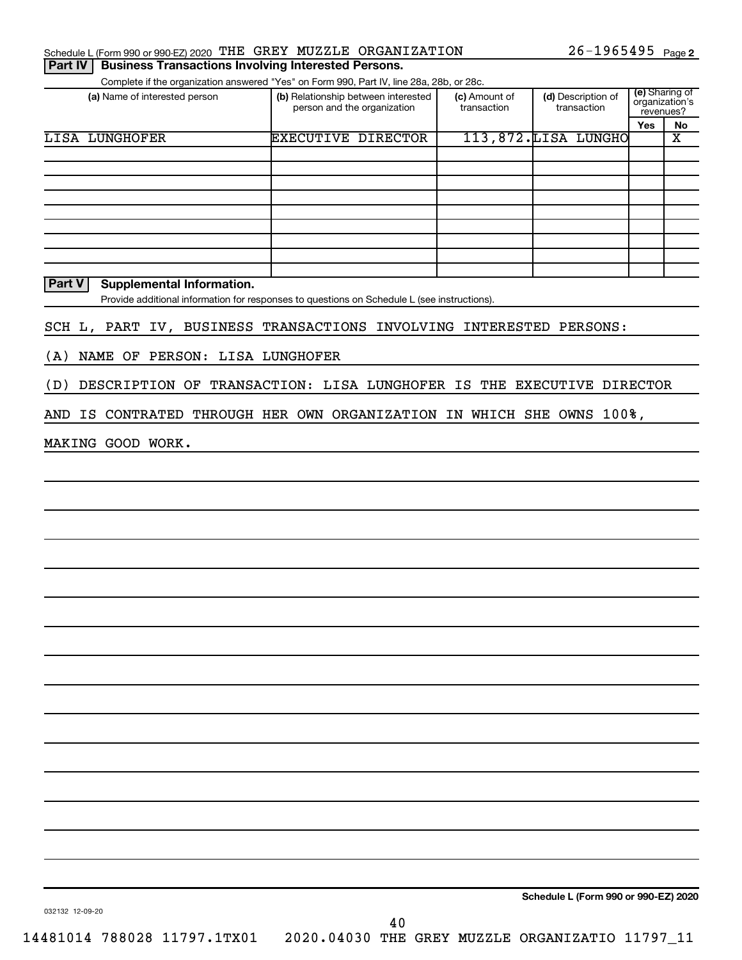|  | Schedule L (Form 990 or 990-EZ) 2020 THE GREY MUZZLE ORGANIZATION    |  |  | $26 - 1965495$ Page 2 |  |
|--|----------------------------------------------------------------------|--|--|-----------------------|--|
|  | <b>Part IV   Business Transactions Involving Interested Persons.</b> |  |  |                       |  |

|                                                                             | Complete if the organization answered "Yes" on Form 990, Part IV, line 28a, 28b, or 28c.    |                              |                                      |                             |                             |
|-----------------------------------------------------------------------------|---------------------------------------------------------------------------------------------|------------------------------|--------------------------------------|-----------------------------|-----------------------------|
| (a) Name of interested person                                               | (b) Relationship between interested<br>person and the organization                          | (c) Amount of<br>transaction | (d) Description of<br>transaction    | organization's<br>revenues? | (e) Sharing of              |
| <b>LISA LUNGHOFER</b>                                                       | <b>EXECUTIVE DIRECTOR</b>                                                                   |                              | 113,872.LISA LUNGHO                  | Yes                         | No<br>$\overline{\text{x}}$ |
|                                                                             |                                                                                             |                              |                                      |                             |                             |
|                                                                             |                                                                                             |                              |                                      |                             |                             |
|                                                                             |                                                                                             |                              |                                      |                             |                             |
|                                                                             |                                                                                             |                              |                                      |                             |                             |
|                                                                             |                                                                                             |                              |                                      |                             |                             |
|                                                                             |                                                                                             |                              |                                      |                             |                             |
|                                                                             |                                                                                             |                              |                                      |                             |                             |
| Part V<br><b>Supplemental Information.</b>                                  |                                                                                             |                              |                                      |                             |                             |
|                                                                             | Provide additional information for responses to questions on Schedule L (see instructions). |                              |                                      |                             |                             |
| SCH L, PART IV, BUSINESS TRANSACTIONS INVOLVING INTERESTED PERSONS:         |                                                                                             |                              |                                      |                             |                             |
| NAME OF PERSON: LISA LUNGHOFER<br>(A)                                       |                                                                                             |                              |                                      |                             |                             |
| DESCRIPTION OF TRANSACTION: LISA LUNGHOFER IS THE EXECUTIVE DIRECTOR<br>(D) |                                                                                             |                              |                                      |                             |                             |
| AND IS CONTRATED THROUGH HER OWN ORGANIZATION IN WHICH SHE OWNS 100%,       |                                                                                             |                              |                                      |                             |                             |
| MAKING GOOD WORK.                                                           |                                                                                             |                              |                                      |                             |                             |
|                                                                             |                                                                                             |                              |                                      |                             |                             |
|                                                                             |                                                                                             |                              |                                      |                             |                             |
|                                                                             |                                                                                             |                              |                                      |                             |                             |
|                                                                             |                                                                                             |                              |                                      |                             |                             |
|                                                                             |                                                                                             |                              |                                      |                             |                             |
|                                                                             |                                                                                             |                              |                                      |                             |                             |
|                                                                             |                                                                                             |                              |                                      |                             |                             |
|                                                                             |                                                                                             |                              |                                      |                             |                             |
|                                                                             |                                                                                             |                              |                                      |                             |                             |
|                                                                             |                                                                                             |                              |                                      |                             |                             |
|                                                                             |                                                                                             |                              |                                      |                             |                             |
|                                                                             |                                                                                             |                              |                                      |                             |                             |
|                                                                             |                                                                                             |                              |                                      |                             |                             |
|                                                                             |                                                                                             |                              |                                      |                             |                             |
|                                                                             |                                                                                             |                              |                                      |                             |                             |
|                                                                             |                                                                                             |                              | Schedule L (Form 990 or 990-EZ) 2020 |                             |                             |
| 032132 12-09-20                                                             | 40                                                                                          |                              |                                      |                             |                             |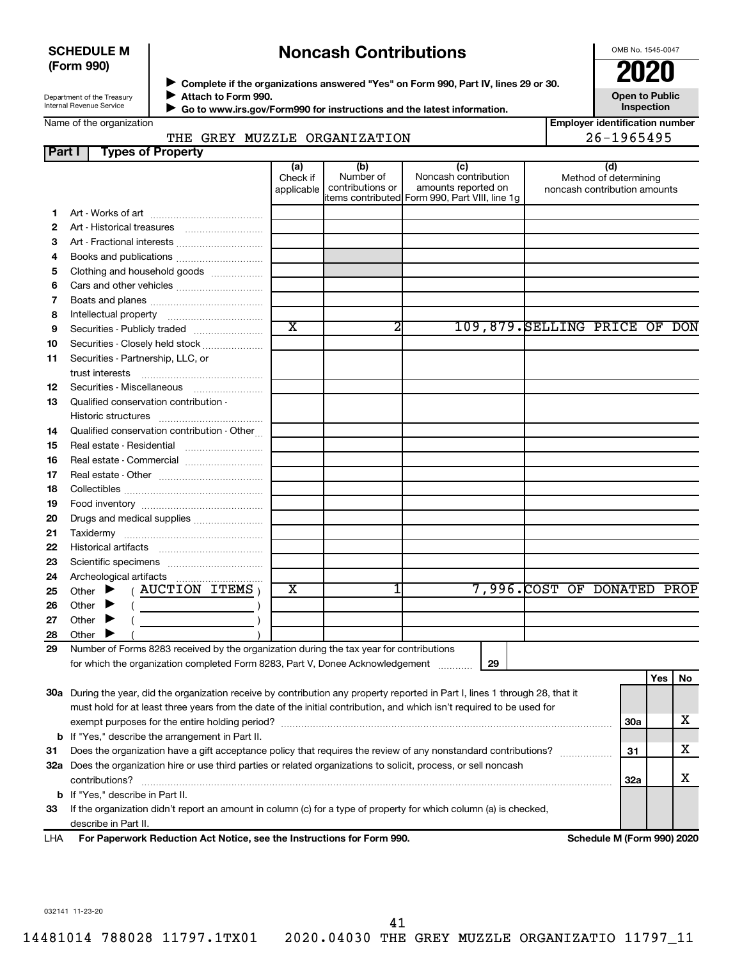#### **SCHEDULE M (Form 990)**

## **Noncash Contributions**

OMB No. 1545-0047

**Employer identification number**

| Department of the Treasury |
|----------------------------|
| Internal Revenue Service   |

◆ Complete if the organizations answered "Yes" on Form 990, Part IV, lines 29 or 30.<br>● Complete if the organizations answered "Yes" on Form 990, Part IV, lines 29 or 30. **Attach to Form 990.**  $\blacktriangleright$ 

**Open to Public Inspection**

|  | Name of the organization |
|--|--------------------------|
|  |                          |

 **Go to www.irs.gov/Form990 for instructions and the latest information.** J

## THE GREY MUZZLE ORGANIZATION 26-1965495

| Part I   | <b>Types of Property</b>                                                                                                       |                               |                                      |                                                                                                      |                                                              |            |     |     |
|----------|--------------------------------------------------------------------------------------------------------------------------------|-------------------------------|--------------------------------------|------------------------------------------------------------------------------------------------------|--------------------------------------------------------------|------------|-----|-----|
|          |                                                                                                                                | (a)<br>Check if<br>applicable | (b)<br>Number of<br>contributions or | (c)<br>Noncash contribution<br>amounts reported on<br>items contributed Form 990, Part VIII, line 1g | (d)<br>Method of determining<br>noncash contribution amounts |            |     |     |
| 1        |                                                                                                                                |                               |                                      |                                                                                                      |                                                              |            |     |     |
| 2        |                                                                                                                                |                               |                                      |                                                                                                      |                                                              |            |     |     |
| 3        | Art - Fractional interests                                                                                                     |                               |                                      |                                                                                                      |                                                              |            |     |     |
| 4        |                                                                                                                                |                               |                                      |                                                                                                      |                                                              |            |     |     |
| 5        | Clothing and household goods                                                                                                   |                               |                                      |                                                                                                      |                                                              |            |     |     |
| 6        |                                                                                                                                |                               |                                      |                                                                                                      |                                                              |            |     |     |
| 7        |                                                                                                                                |                               |                                      |                                                                                                      |                                                              |            |     |     |
| 8        |                                                                                                                                |                               |                                      |                                                                                                      |                                                              |            |     |     |
| 9        | Securities - Publicly traded                                                                                                   | $\overline{\text{x}}$         | 2                                    |                                                                                                      | 109,879. SELLING PRICE OF DON                                |            |     |     |
| 10       | Securities - Closely held stock                                                                                                |                               |                                      |                                                                                                      |                                                              |            |     |     |
| 11       | Securities - Partnership, LLC, or                                                                                              |                               |                                      |                                                                                                      |                                                              |            |     |     |
|          | trust interests                                                                                                                |                               |                                      |                                                                                                      |                                                              |            |     |     |
| 12       |                                                                                                                                |                               |                                      |                                                                                                      |                                                              |            |     |     |
| 13       | Qualified conservation contribution -                                                                                          |                               |                                      |                                                                                                      |                                                              |            |     |     |
|          |                                                                                                                                |                               |                                      |                                                                                                      |                                                              |            |     |     |
| 14       | Qualified conservation contribution - Other                                                                                    |                               |                                      |                                                                                                      |                                                              |            |     |     |
| 15       |                                                                                                                                |                               |                                      |                                                                                                      |                                                              |            |     |     |
| 16       | Real estate - Commercial                                                                                                       |                               |                                      |                                                                                                      |                                                              |            |     |     |
| 17       |                                                                                                                                |                               |                                      |                                                                                                      |                                                              |            |     |     |
| 18       |                                                                                                                                |                               |                                      |                                                                                                      |                                                              |            |     |     |
| 19       |                                                                                                                                |                               |                                      |                                                                                                      |                                                              |            |     |     |
| 20       | Drugs and medical supplies                                                                                                     |                               |                                      |                                                                                                      |                                                              |            |     |     |
| 21       |                                                                                                                                |                               |                                      |                                                                                                      |                                                              |            |     |     |
| 22       |                                                                                                                                |                               |                                      |                                                                                                      |                                                              |            |     |     |
| 23       |                                                                                                                                |                               |                                      |                                                                                                      |                                                              |            |     |     |
| 24       |                                                                                                                                | $\overline{\textbf{X}}$       |                                      |                                                                                                      |                                                              |            |     |     |
| 25       | $($ AUCTION ITEMS $)$<br>Other $\blacktriangleright$                                                                           |                               |                                      |                                                                                                      | 7,996. COST OF DONATED PROP                                  |            |     |     |
| 26       | Other $\blacktriangleright$<br><u>and the state of the state of the state</u>                                                  |                               |                                      |                                                                                                      |                                                              |            |     |     |
| 27       | Other $\blacktriangleright$                                                                                                    |                               |                                      |                                                                                                      |                                                              |            |     |     |
| 28<br>29 | Other $\blacktriangleright$<br>Number of Forms 8283 received by the organization during the tax year for contributions         |                               |                                      |                                                                                                      |                                                              |            |     |     |
|          | for which the organization completed Form 8283, Part V, Donee Acknowledgement                                                  |                               |                                      | 29                                                                                                   |                                                              |            |     |     |
|          |                                                                                                                                |                               |                                      |                                                                                                      |                                                              |            | Yes | No. |
|          | 30a During the year, did the organization receive by contribution any property reported in Part I, lines 1 through 28, that it |                               |                                      |                                                                                                      |                                                              |            |     |     |
|          | must hold for at least three years from the date of the initial contribution, and which isn't required to be used for          |                               |                                      |                                                                                                      |                                                              |            |     |     |
|          |                                                                                                                                |                               |                                      |                                                                                                      |                                                              | <b>30a</b> |     | x.  |
|          | <b>b</b> If "Yes," describe the arrangement in Part II.                                                                        |                               |                                      |                                                                                                      |                                                              |            |     |     |
| 31       | Does the organization have a gift acceptance policy that requires the review of any nonstandard contributions?                 |                               |                                      |                                                                                                      |                                                              | 31         |     | x   |
|          | 32a Does the organization hire or use third parties or related organizations to solicit, process, or sell noncash              |                               |                                      |                                                                                                      |                                                              |            |     |     |
|          | contributions?                                                                                                                 |                               |                                      |                                                                                                      |                                                              | 32a        |     | x   |
|          | <b>b</b> If "Yes," describe in Part II.                                                                                        |                               |                                      |                                                                                                      |                                                              |            |     |     |
| 33       | If the organization didn't report an amount in column (c) for a type of property for which column (a) is checked,              |                               |                                      |                                                                                                      |                                                              |            |     |     |
|          | describe in Part II.                                                                                                           |                               |                                      |                                                                                                      |                                                              |            |     |     |

**For Paperwork Reduction Act Notice, see the Instructions for Form 990. Schedule M (Form 990) 2020** LHA

032141 11-23-20

41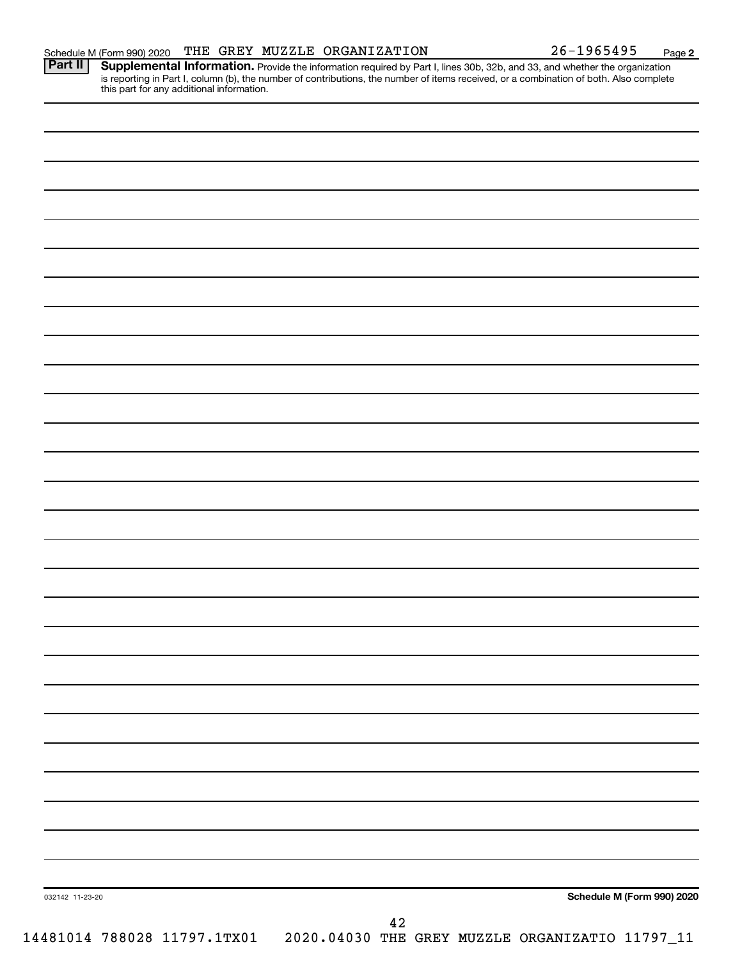**2**

Provide the information required by Part I, lines 30b, 32b, and 33, and whether the organization is reporting in Part I, column (b), the number of contributions, the number of items received, or a combination of both. Also complete this part for any additional information. **Part II Supplemental Information.** 

| 032142 11-23-20 | Schedule M (Form 990) 2020                                                               |
|-----------------|------------------------------------------------------------------------------------------|
|                 |                                                                                          |
|                 | $\bf 42$<br>14481014 788028 11797.1TX01  2020.04030 THE GREY MUZZLE ORGANIZATIO 11797_11 |
|                 |                                                                                          |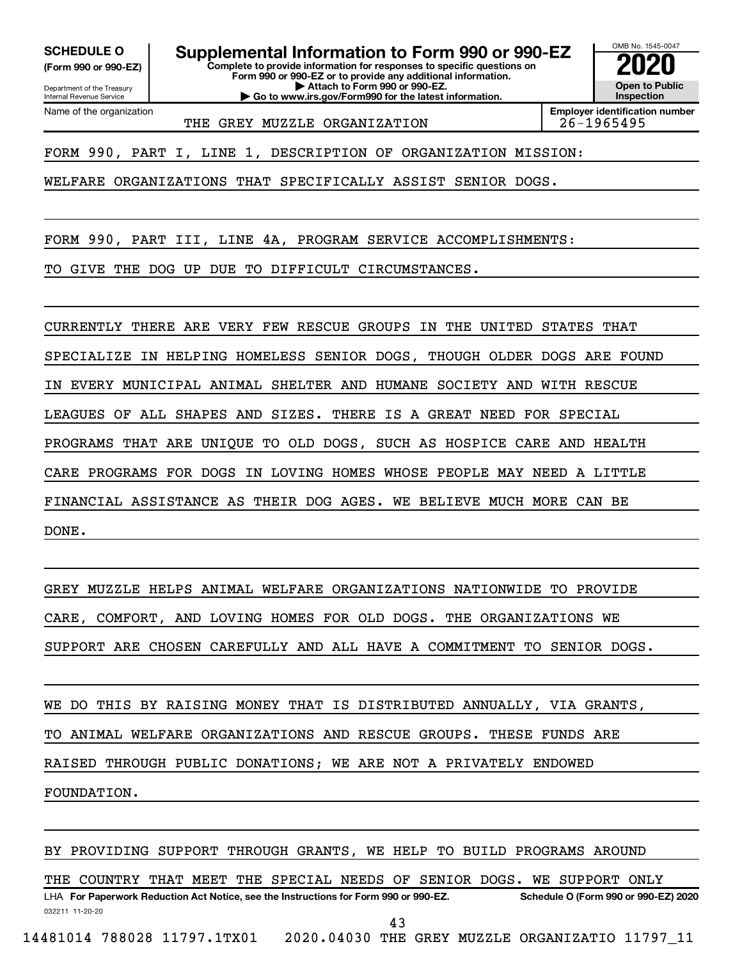**(Form 990 or 990-EZ)**

**SCHEDULE O Supplemental Information to Form 990 or 990-EZ 2020**<br>(Form 990 or 990-EZ) Complete to provide information for responses to specific questions on

**Complete to provide information for responses to specific questions on Form 990 or 990-EZ or to provide any additional information. | Attach to Form 990 or 990-EZ. | Go to www.irs.gov/Form990 for the latest information.**



Department of the Treasury Internal Revenue Service Name of the organization

THE GREY MUZZLE ORGANIZATION | 26-1965495

FORM 990, PART I, LINE 1, DESCRIPTION OF ORGANIZATION MISSION:

WELFARE ORGANIZATIONS THAT SPECIFICALLY ASSIST SENIOR DOGS.

FORM 990, PART III, LINE 4A, PROGRAM SERVICE ACCOMPLISHMENTS:

TO GIVE THE DOG UP DUE TO DIFFICULT CIRCUMSTANCES.

CURRENTLY THERE ARE VERY FEW RESCUE GROUPS IN THE UNITED STATES THAT

SPECIALIZE IN HELPING HOMELESS SENIOR DOGS, THOUGH OLDER DOGS ARE FOUND

IN EVERY MUNICIPAL ANIMAL SHELTER AND HUMANE SOCIETY AND WITH RESCUE

LEAGUES OF ALL SHAPES AND SIZES. THERE IS A GREAT NEED FOR SPECIAL

PROGRAMS THAT ARE UNIQUE TO OLD DOGS, SUCH AS HOSPICE CARE AND HEALTH

CARE PROGRAMS FOR DOGS IN LOVING HOMES WHOSE PEOPLE MAY NEED A LITTLE

FINANCIAL ASSISTANCE AS THEIR DOG AGES. WE BELIEVE MUCH MORE CAN BE

DONE.

GREY MUZZLE HELPS ANIMAL WELFARE ORGANIZATIONS NATIONWIDE TO PROVIDE CARE, COMFORT, AND LOVING HOMES FOR OLD DOGS. THE ORGANIZATIONS WE SUPPORT ARE CHOSEN CAREFULLY AND ALL HAVE A COMMITMENT TO SENIOR DOGS.

WE DO THIS BY RAISING MONEY THAT IS DISTRIBUTED ANNUALLY, VIA GRANTS,

TO ANIMAL WELFARE ORGANIZATIONS AND RESCUE GROUPS. THESE FUNDS ARE

RAISED THROUGH PUBLIC DONATIONS; WE ARE NOT A PRIVATELY ENDOWED

FOUNDATION.

BY PROVIDING SUPPORT THROUGH GRANTS, WE HELP TO BUILD PROGRAMS AROUND

032211 11-20-20 **For Paperwork Reduction Act Notice, see the Instructions for Form 990 or 990-EZ. Schedule O (Form 990 or 990-EZ) 2020** LHA THE COUNTRY THAT MEET THE SPECIAL NEEDS OF SENIOR DOGS. WE SUPPORT ONLY

43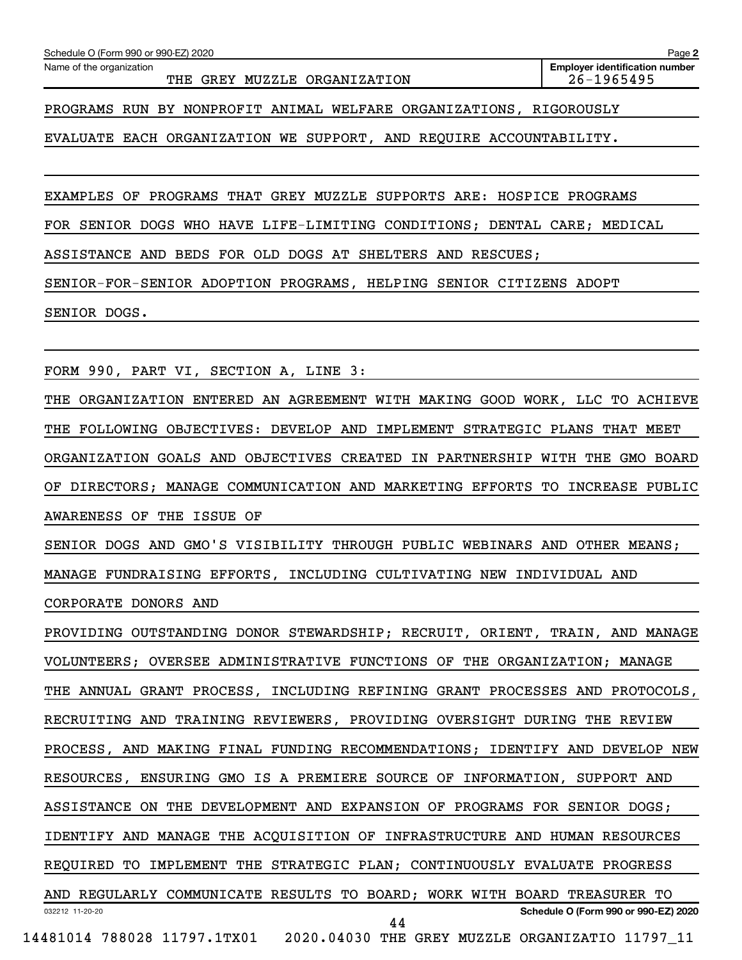Name of the organization

THE GREY MUZZLE ORGANIZATION **26-1965495** 

**Employer identification number**

PROGRAMS RUN BY NONPROFIT ANIMAL WELFARE ORGANIZATIONS, RIGOROUSLY

EVALUATE EACH ORGANIZATION WE SUPPORT, AND REQUIRE ACCOUNTABILITY.

EXAMPLES OF PROGRAMS THAT GREY MUZZLE SUPPORTS ARE: HOSPICE PROGRAMS

FOR SENIOR DOGS WHO HAVE LIFE-LIMITING CONDITIONS; DENTAL CARE; MEDICAL

ASSISTANCE AND BEDS FOR OLD DOGS AT SHELTERS AND RESCUES;

SENIOR-FOR-SENIOR ADOPTION PROGRAMS, HELPING SENIOR CITIZENS ADOPT

SENIOR DOGS.

FORM 990, PART VI, SECTION A, LINE 3:

THE ORGANIZATION ENTERED AN AGREEMENT WITH MAKING GOOD WORK, LLC TO ACHIEVE THE FOLLOWING OBJECTIVES: DEVELOP AND IMPLEMENT STRATEGIC PLANS THAT MEET ORGANIZATION GOALS AND OBJECTIVES CREATED IN PARTNERSHIP WITH THE GMO BOARD OF DIRECTORS; MANAGE COMMUNICATION AND MARKETING EFFORTS TO INCREASE PUBLIC AWARENESS OF THE ISSUE OF

SENIOR DOGS AND GMO'S VISIBILITY THROUGH PUBLIC WEBINARS AND OTHER MEANS; MANAGE FUNDRAISING EFFORTS, INCLUDING CULTIVATING NEW INDIVIDUAL AND

CORPORATE DONORS AND

032212 11-20-20 **Schedule O (Form 990 or 990-EZ) 2020** PROVIDING OUTSTANDING DONOR STEWARDSHIP; RECRUIT, ORIENT, TRAIN, AND MANAGE VOLUNTEERS; OVERSEE ADMINISTRATIVE FUNCTIONS OF THE ORGANIZATION; MANAGE THE ANNUAL GRANT PROCESS, INCLUDING REFINING GRANT PROCESSES AND PROTOCOLS, RECRUITING AND TRAINING REVIEWERS, PROVIDING OVERSIGHT DURING THE REVIEW PROCESS, AND MAKING FINAL FUNDING RECOMMENDATIONS; IDENTIFY AND DEVELOP NEW RESOURCES, ENSURING GMO IS A PREMIERE SOURCE OF INFORMATION, SUPPORT AND ASSISTANCE ON THE DEVELOPMENT AND EXPANSION OF PROGRAMS FOR SENIOR DOGS; IDENTIFY AND MANAGE THE ACQUISITION OF INFRASTRUCTURE AND HUMAN RESOURCES REQUIRED TO IMPLEMENT THE STRATEGIC PLAN; CONTINUOUSLY EVALUATE PROGRESS AND REGULARLY COMMUNICATE RESULTS TO BOARD; WORK WITH BOARD TREASURER TO 14481014 788028 11797.1TX01 2020.04030 THE GREY MUZZLE ORGANIZATIO 11797\_11 44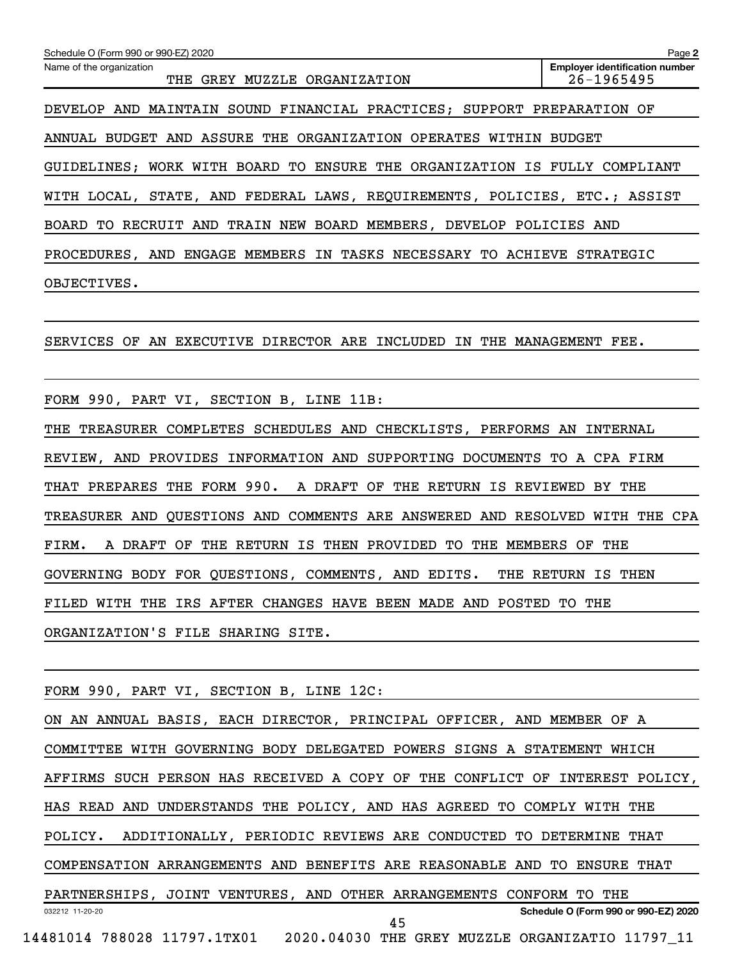**2 Employer identification number** Schedule O (Form 990 or 990-EZ) 2020 Name of the organization THE GREY MUZZLE ORGANIZATION **26-1965495** DEVELOP AND MAINTAIN SOUND FINANCIAL PRACTICES; SUPPORT PREPARATION OF ANNUAL BUDGET AND ASSURE THE ORGANIZATION OPERATES WITHIN BUDGET GUIDELINES; WORK WITH BOARD TO ENSURE THE ORGANIZATION IS FULLY COMPLIANT WITH LOCAL, STATE, AND FEDERAL LAWS, REQUIREMENTS, POLICIES, ETC.; ASSIST BOARD TO RECRUIT AND TRAIN NEW BOARD MEMBERS, DEVELOP POLICIES AND PROCEDURES, AND ENGAGE MEMBERS IN TASKS NECESSARY TO ACHIEVE STRATEGIC OBJECTIVES.

SERVICES OF AN EXECUTIVE DIRECTOR ARE INCLUDED IN THE MANAGEMENT FEE.

FORM 990, PART VI, SECTION B, LINE 11B:

THE TREASURER COMPLETES SCHEDULES AND CHECKLISTS, PERFORMS AN INTERNAL REVIEW, AND PROVIDES INFORMATION AND SUPPORTING DOCUMENTS TO A CPA FIRM THAT PREPARES THE FORM 990. A DRAFT OF THE RETURN IS REVIEWED BY THE TREASURER AND QUESTIONS AND COMMENTS ARE ANSWERED AND RESOLVED WITH THE CPA FIRM. A DRAFT OF THE RETURN IS THEN PROVIDED TO THE MEMBERS OF THE GOVERNING BODY FOR QUESTIONS, COMMENTS, AND EDITS. THE RETURN IS THEN FILED WITH THE IRS AFTER CHANGES HAVE BEEN MADE AND POSTED TO THE ORGANIZATION'S FILE SHARING SITE.

FORM 990, PART VI, SECTION B, LINE 12C:

032212 11-20-20 **Schedule O (Form 990 or 990-EZ) 2020** ON AN ANNUAL BASIS, EACH DIRECTOR, PRINCIPAL OFFICER, AND MEMBER OF A COMMITTEE WITH GOVERNING BODY DELEGATED POWERS SIGNS A STATEMENT WHICH AFFIRMS SUCH PERSON HAS RECEIVED A COPY OF THE CONFLICT OF INTEREST POLICY, HAS READ AND UNDERSTANDS THE POLICY, AND HAS AGREED TO COMPLY WITH THE POLICY. ADDITIONALLY, PERIODIC REVIEWS ARE CONDUCTED TO DETERMINE THAT COMPENSATION ARRANGEMENTS AND BENEFITS ARE REASONABLE AND TO ENSURE THAT PARTNERSHIPS, JOINT VENTURES, AND OTHER ARRANGEMENTS CONFORM TO THE 45